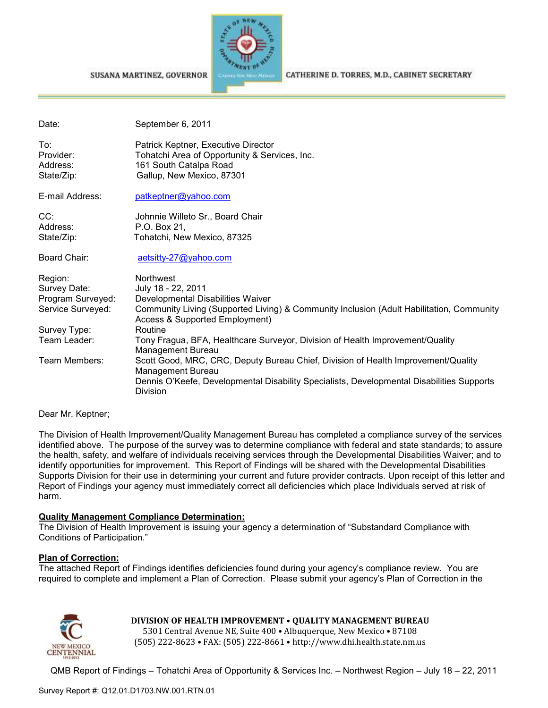#### SUSANA MARTINEZ, GOVERNOR



CATHERINE D. TORRES, M.D., CABINET SECRETARY

| Date:                                                             | September 6, 2011                                                                                                                                                                                               |
|-------------------------------------------------------------------|-----------------------------------------------------------------------------------------------------------------------------------------------------------------------------------------------------------------|
| To:<br>Provider:<br>Address:<br>State/Zip:                        | Patrick Keptner, Executive Director<br>Tohatchi Area of Opportunity & Services, Inc.<br>161 South Catalpa Road<br>Gallup, New Mexico, 87301                                                                     |
| E-mail Address:                                                   | patkeptner@yahoo.com                                                                                                                                                                                            |
| CC:<br>Address:<br>State/Zip:                                     | Johnnie Willeto Sr., Board Chair<br>P.O. Box 21,<br>Tohatchi, New Mexico, 87325                                                                                                                                 |
| Board Chair:                                                      | aetsitty-27@yahoo.com                                                                                                                                                                                           |
| Region:<br>Survey Date:<br>Program Surveyed:<br>Service Surveyed: | <b>Northwest</b><br>July 18 - 22, 2011<br>Developmental Disabilities Waiver<br>Community Living (Supported Living) & Community Inclusion (Adult Habilitation, Community<br>Access & Supported Employment)       |
| Survey Type:                                                      | Routine                                                                                                                                                                                                         |
| Team Leader:                                                      | Tony Fragua, BFA, Healthcare Surveyor, Division of Health Improvement/Quality<br>Management Bureau                                                                                                              |
| Team Members:                                                     | Scott Good, MRC, CRC, Deputy Bureau Chief, Division of Health Improvement/Quality<br>Management Bureau<br>Dennis O'Keefe, Developmental Disability Specialists, Developmental Disabilities Supports<br>Division |

Dear Mr. Keptner;

The Division of Health Improvement/Quality Management Bureau has completed a compliance survey of the services identified above. The purpose of the survey was to determine compliance with federal and state standards; to assure the health, safety, and welfare of individuals receiving services through the Developmental Disabilities Waiver; and to identify opportunities for improvement. This Report of Findings will be shared with the Developmental Disabilities Supports Division for their use in determining your current and future provider contracts. Upon receipt of this letter and Report of Findings your agency must immediately correct all deficiencies which place Individuals served at risk of harm.

#### **Quality Management Compliance Determination:**

The Division of Health Improvement is issuing your agency a determination of "Substandard Compliance with Conditions of Participation."

#### **Plan of Correction:**

The attached Report of Findings identifies deficiencies found during your agency's compliance review. You are required to complete and implement a Plan of Correction. Please submit your agency's Plan of Correction in the



# **DIVISION OF HEALTH IMPROVEMENT** • **QUALITY MANAGEMENT BUREAU**

5301 Central Avenue NE, Suite 400 • Albuquerque, New Mexico • 87108 (505) 222-8623 • FAX: (505) 222-8661 • http://www.dhi.health.state.nm.us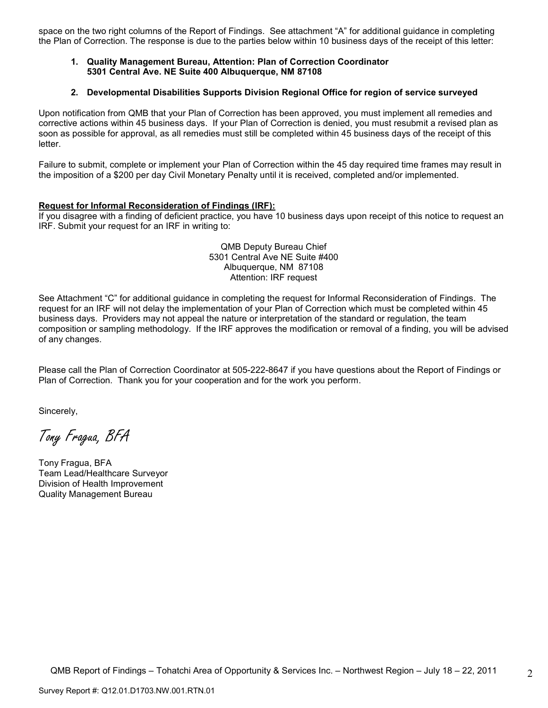space on the two right columns of the Report of Findings. See attachment "A" for additional guidance in completing the Plan of Correction. The response is due to the parties below within 10 business days of the receipt of this letter:

## **1. Quality Management Bureau, Attention: Plan of Correction Coordinator 5301 Central Ave. NE Suite 400 Albuquerque, NM 87108**

#### **2. Developmental Disabilities Supports Division Regional Office for region of service surveyed**

Upon notification from QMB that your Plan of Correction has been approved, you must implement all remedies and corrective actions within 45 business days. If your Plan of Correction is denied, you must resubmit a revised plan as soon as possible for approval, as all remedies must still be completed within 45 business days of the receipt of this letter.

Failure to submit, complete or implement your Plan of Correction within the 45 day required time frames may result in the imposition of a \$200 per day Civil Monetary Penalty until it is received, completed and/or implemented.

## **Request for Informal Reconsideration of Findings (IRF):**

If you disagree with a finding of deficient practice, you have 10 business days upon receipt of this notice to request an IRF. Submit your request for an IRF in writing to:

#### QMB Deputy Bureau Chief 5301 Central Ave NE Suite #400 Albuquerque, NM 87108 Attention: IRF request

See Attachment "C" for additional guidance in completing the request for Informal Reconsideration of Findings. The request for an IRF will not delay the implementation of your Plan of Correction which must be completed within 45 business days. Providers may not appeal the nature or interpretation of the standard or regulation, the team composition or sampling methodology. If the IRF approves the modification or removal of a finding, you will be advised of any changes.

Please call the Plan of Correction Coordinator at 505-222-8647 if you have questions about the Report of Findings or Plan of Correction. Thank you for your cooperation and for the work you perform.

Sincerely,

Tony Fragua, BFA

Tony Fragua, BFA Team Lead/Healthcare Surveyor Division of Health Improvement Quality Management Bureau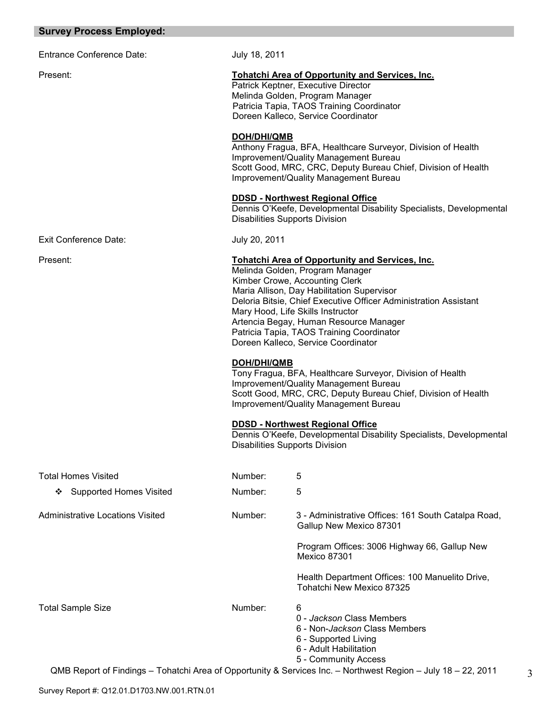# **Survey Process Employed:**

Entrance Conference Date: July 18, 2011

# Present: **Tohatchi Area of Opportunity and Services, Inc.**

Patrick Keptner, Executive Director Melinda Golden, Program Manager Patricia Tapia, TAOS Training Coordinator Doreen Kalleco, Service Coordinator

#### **DOH/DHI/QMB**

Anthony Fragua, BFA, Healthcare Surveyor, Division of Health Improvement/Quality Management Bureau Scott Good, MRC, CRC, Deputy Bureau Chief, Division of Health Improvement/Quality Management Bureau

## **DDSD - Northwest Regional Office**

Dennis O'Keefe, Developmental Disability Specialists, Developmental Disabilities Supports Division

Exit Conference Date: July 20, 2011

#### Present: **Tohatchi Area of Opportunity and Services, Inc.**

Melinda Golden, Program Manager Kimber Crowe, Accounting Clerk Maria Allison, Day Habilitation Supervisor Deloria Bitsie, Chief Executive Officer Administration Assistant Mary Hood, Life Skills Instructor Artencia Begay, Human Resource Manager Patricia Tapia, TAOS Training Coordinator Doreen Kalleco, Service Coordinator

#### **DOH/DHI/QMB**

Tony Fragua, BFA, Healthcare Surveyor, Division of Health Improvement/Quality Management Bureau Scott Good, MRC, CRC, Deputy Bureau Chief, Division of Health Improvement/Quality Management Bureau

#### **DDSD - Northwest Regional Office**

Dennis O'Keefe, Developmental Disability Specialists, Developmental Disabilities Supports Division

| <b>Total Homes Visited</b>                                                                   | Number: | 5                                                                                                                                                 |
|----------------------------------------------------------------------------------------------|---------|---------------------------------------------------------------------------------------------------------------------------------------------------|
| <b>Supported Homes Visited</b><br>❖                                                          | Number: | 5                                                                                                                                                 |
| Administrative Locations Visited                                                             | Number: | 3 - Administrative Offices: 161 South Catalpa Road,<br>Gallup New Mexico 87301                                                                    |
|                                                                                              |         | Program Offices: 3006 Highway 66, Gallup New<br><b>Mexico 87301</b>                                                                               |
|                                                                                              |         | Health Department Offices: 100 Manuelito Drive,<br>Tohatchi New Mexico 87325                                                                      |
| <b>Total Sample Size</b>                                                                     | Number: | 6<br>0 - Jackson Class Members<br>6 - Non- <i>Jackson</i> Class Members<br>6 - Supported Living<br>6 - Adult Habilitation<br>5 - Community Access |
| OMP Penert of Eindings Tobatchi Area of Oppertunity & Services Inc. Northwest Pegion Luly 18 |         | 22.2011                                                                                                                                           |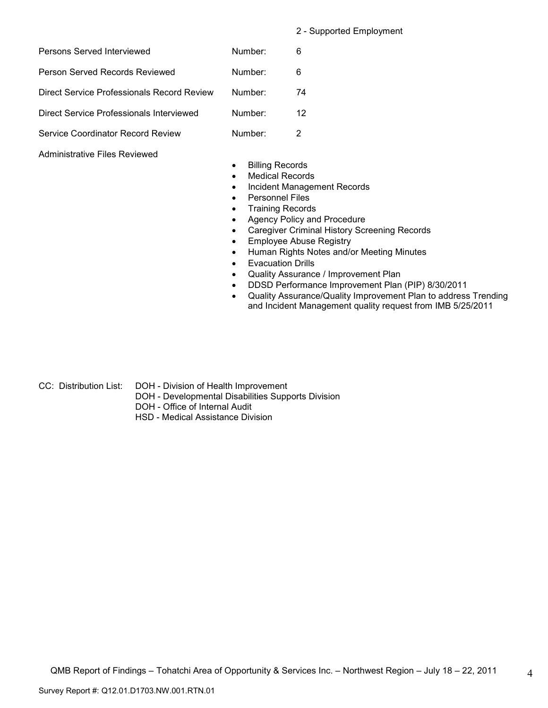2 - Supported Employment

| Persons Served Interviewed                 | Number: | 6  |
|--------------------------------------------|---------|----|
| Person Served Records Reviewed             | Number: | 6  |
| Direct Service Professionals Record Review | Number: | 74 |
| Direct Service Professionals Interviewed   | Number: | 12 |
| Service Coordinator Record Review          | Number: |    |

# Administrative Files Reviewed

- Billing Records
- Medical Records
- Incident Management Records
- Personnel Files
- Training Records
- Agency Policy and Procedure
- Caregiver Criminal History Screening Records
- Employee Abuse Registry
- Human Rights Notes and/or Meeting Minutes
- Evacuation Drills
- Quality Assurance / Improvement Plan
- DDSD Performance Improvement Plan (PIP) 8/30/2011
- Quality Assurance/Quality Improvement Plan to address Trending and Incident Management quality request from IMB 5/25/2011

- 
- CC: Distribution List: DOH Division of Health Improvement
	- DOH Developmental Disabilities Supports Division
	- DOH Office of Internal Audit
	- HSD Medical Assistance Division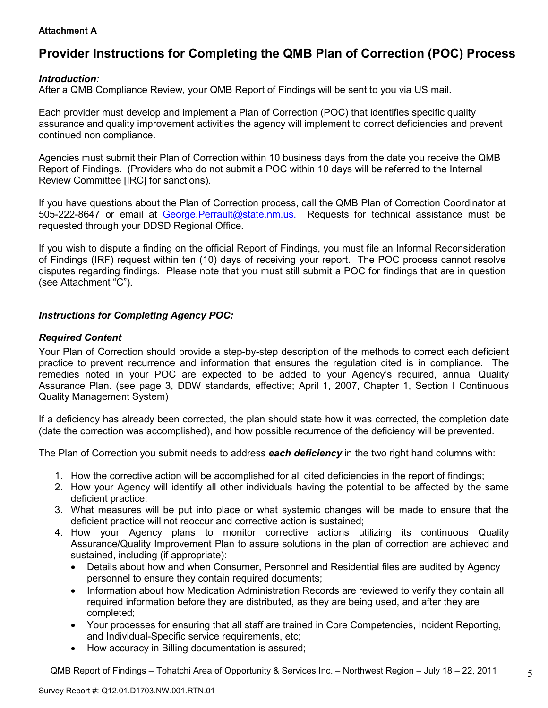# **Attachment A**

# **Provider Instructions for Completing the QMB Plan of Correction (POC) Process**

# *Introduction:*

After a QMB Compliance Review, your QMB Report of Findings will be sent to you via US mail.

Each provider must develop and implement a Plan of Correction (POC) that identifies specific quality assurance and quality improvement activities the agency will implement to correct deficiencies and prevent continued non compliance.

Agencies must submit their Plan of Correction within 10 business days from the date you receive the QMB Report of Findings. (Providers who do not submit a POC within 10 days will be referred to the Internal Review Committee [IRC] for sanctions).

If you have questions about the Plan of Correction process, call the QMB Plan of Correction Coordinator at 505-222-8647 or email at George.Perrault@state.nm.us. Requests for technical assistance must be requested through your DDSD Regional Office.

If you wish to dispute a finding on the official Report of Findings, you must file an Informal Reconsideration of Findings (IRF) request within ten (10) days of receiving your report. The POC process cannot resolve disputes regarding findings. Please note that you must still submit a POC for findings that are in question (see Attachment "C").

# *Instructions for Completing Agency POC:*

# *Required Content*

Your Plan of Correction should provide a step-by-step description of the methods to correct each deficient practice to prevent recurrence and information that ensures the regulation cited is in compliance. The remedies noted in your POC are expected to be added to your Agency's required, annual Quality Assurance Plan. (see page 3, DDW standards, effective; April 1, 2007, Chapter 1, Section I Continuous Quality Management System)

If a deficiency has already been corrected, the plan should state how it was corrected, the completion date (date the correction was accomplished), and how possible recurrence of the deficiency will be prevented.

The Plan of Correction you submit needs to address *each deficiency* in the two right hand columns with:

- 1. How the corrective action will be accomplished for all cited deficiencies in the report of findings;
- 2. How your Agency will identify all other individuals having the potential to be affected by the same deficient practice;
- 3. What measures will be put into place or what systemic changes will be made to ensure that the deficient practice will not reoccur and corrective action is sustained;
- 4. How your Agency plans to monitor corrective actions utilizing its continuous Quality Assurance/Quality Improvement Plan to assure solutions in the plan of correction are achieved and sustained, including (if appropriate):
	- Details about how and when Consumer, Personnel and Residential files are audited by Agency personnel to ensure they contain required documents;
	- Information about how Medication Administration Records are reviewed to verify they contain all required information before they are distributed, as they are being used, and after they are completed;
	- Your processes for ensuring that all staff are trained in Core Competencies, Incident Reporting, and Individual-Specific service requirements, etc;
	- How accuracy in Billing documentation is assured;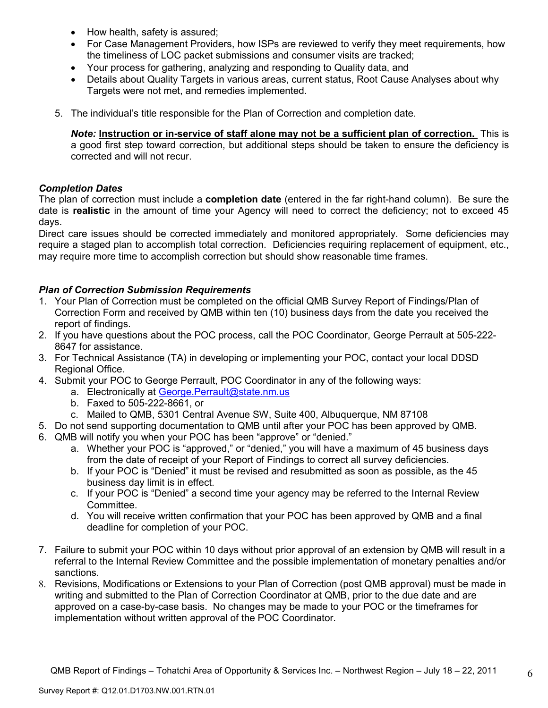- How health, safety is assured;
- For Case Management Providers, how ISPs are reviewed to verify they meet requirements, how the timeliness of LOC packet submissions and consumer visits are tracked;
- Your process for gathering, analyzing and responding to Quality data, and
- Details about Quality Targets in various areas, current status, Root Cause Analyses about why Targets were not met, and remedies implemented.
- 5. The individual's title responsible for the Plan of Correction and completion date.

*Note:* **Instruction or in-service of staff alone may not be a sufficient plan of correction.** This is a good first step toward correction, but additional steps should be taken to ensure the deficiency is corrected and will not recur.

# *Completion Dates*

The plan of correction must include a **completion date** (entered in the far right-hand column). Be sure the date is **realistic** in the amount of time your Agency will need to correct the deficiency; not to exceed 45 days.

Direct care issues should be corrected immediately and monitored appropriately. Some deficiencies may require a staged plan to accomplish total correction. Deficiencies requiring replacement of equipment, etc., may require more time to accomplish correction but should show reasonable time frames.

# *Plan of Correction Submission Requirements*

- 1. Your Plan of Correction must be completed on the official QMB Survey Report of Findings/Plan of Correction Form and received by QMB within ten (10) business days from the date you received the report of findings.
- 2. If you have questions about the POC process, call the POC Coordinator, George Perrault at 505-222- 8647 for assistance.
- 3. For Technical Assistance (TA) in developing or implementing your POC, contact your local DDSD Regional Office.
- 4. Submit your POC to George Perrault, POC Coordinator in any of the following ways:
	- a. Electronically at George.Perrault@state.nm.us
	- b. Faxed to 505-222-8661, or
	- c. Mailed to QMB, 5301 Central Avenue SW, Suite 400, Albuquerque, NM 87108
- 5. Do not send supporting documentation to QMB until after your POC has been approved by QMB.
- 6. QMB will notify you when your POC has been "approve" or "denied."
	- a. Whether your POC is "approved," or "denied," you will have a maximum of 45 business days from the date of receipt of your Report of Findings to correct all survey deficiencies.
	- b. If your POC is "Denied" it must be revised and resubmitted as soon as possible, as the 45 business day limit is in effect.
	- c. If your POC is "Denied" a second time your agency may be referred to the Internal Review Committee.
	- d. You will receive written confirmation that your POC has been approved by QMB and a final deadline for completion of your POC.
- 7. Failure to submit your POC within 10 days without prior approval of an extension by QMB will result in a referral to the Internal Review Committee and the possible implementation of monetary penalties and/or sanctions.
- 8. Revisions, Modifications or Extensions to your Plan of Correction (post QMB approval) must be made in writing and submitted to the Plan of Correction Coordinator at QMB, prior to the due date and are approved on a case-by-case basis. No changes may be made to your POC or the timeframes for implementation without written approval of the POC Coordinator.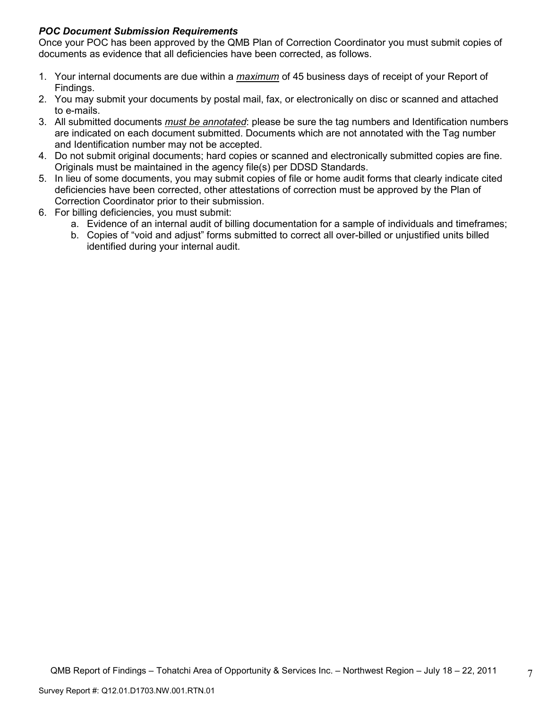# *POC Document Submission Requirements*

Once your POC has been approved by the QMB Plan of Correction Coordinator you must submit copies of documents as evidence that all deficiencies have been corrected, as follows.

- 1. Your internal documents are due within a *maximum* of 45 business days of receipt of your Report of Findings.
- 2. You may submit your documents by postal mail, fax, or electronically on disc or scanned and attached to e-mails.
- 3. All submitted documents *must be annotated*: please be sure the tag numbers and Identification numbers are indicated on each document submitted. Documents which are not annotated with the Tag number and Identification number may not be accepted.
- 4. Do not submit original documents; hard copies or scanned and electronically submitted copies are fine. Originals must be maintained in the agency file(s) per DDSD Standards.
- 5. In lieu of some documents, you may submit copies of file or home audit forms that clearly indicate cited deficiencies have been corrected, other attestations of correction must be approved by the Plan of Correction Coordinator prior to their submission.
- 6. For billing deficiencies, you must submit:
	- a. Evidence of an internal audit of billing documentation for a sample of individuals and timeframes;
	- b. Copies of "void and adjust" forms submitted to correct all over-billed or unjustified units billed identified during your internal audit.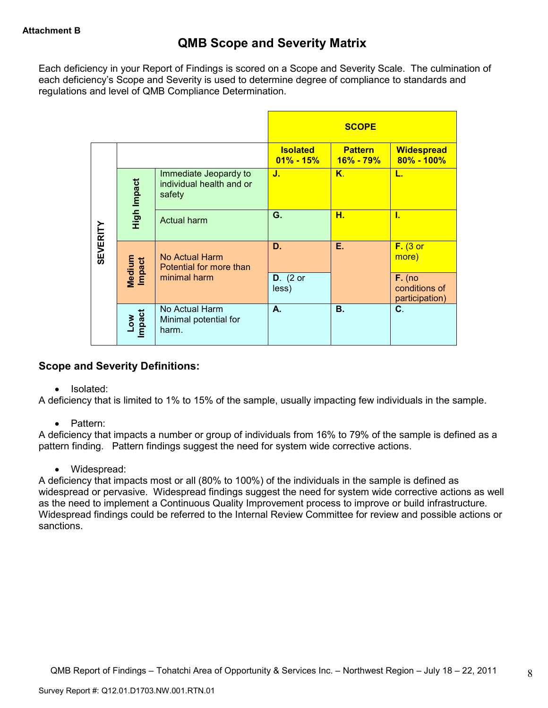Each deficiency in your Report of Findings is scored on a Scope and Severity Scale. The culmination of each deficiency's Scope and Severity is used to determine degree of compliance to standards and regulations and level of QMB Compliance Determination.

|                 |                                |                                                             |                                  | <b>SCOPE</b>                    |                                             |
|-----------------|--------------------------------|-------------------------------------------------------------|----------------------------------|---------------------------------|---------------------------------------------|
|                 |                                |                                                             | <b>Isolated</b><br>$01\% - 15\%$ | <b>Pattern</b><br>$16\% - 79\%$ | <b>Widespread</b><br>$80\% - 100\%$         |
|                 | High Impact                    | Immediate Jeopardy to<br>individual health and or<br>safety | J.                               | $K_{\cdot}$                     | L.                                          |
|                 |                                | <b>Actual harm</b>                                          | G.                               | н.                              | Ī.                                          |
| <b>SEVERITY</b> | <b>Medium</b><br><b>Impact</b> | No Actual Harm<br>Potential for more than                   | D.                               | Е.                              | $F.$ (3 or<br>more)                         |
|                 |                                | minimal harm                                                | $D.$ (2 or<br>less)              |                                 | $F.$ (no<br>conditions of<br>participation) |
|                 | Low<br>Impact                  | No Actual Harm<br>Minimal potential for<br>harm.            | А.                               | <b>B.</b>                       | C.                                          |

# **Scope and Severity Definitions:**

• Isolated:

A deficiency that is limited to 1% to 15% of the sample, usually impacting few individuals in the sample.

• Pattern:

A deficiency that impacts a number or group of individuals from 16% to 79% of the sample is defined as a pattern finding. Pattern findings suggest the need for system wide corrective actions.

• Widespread:

A deficiency that impacts most or all (80% to 100%) of the individuals in the sample is defined as widespread or pervasive. Widespread findings suggest the need for system wide corrective actions as well as the need to implement a Continuous Quality Improvement process to improve or build infrastructure. Widespread findings could be referred to the Internal Review Committee for review and possible actions or sanctions.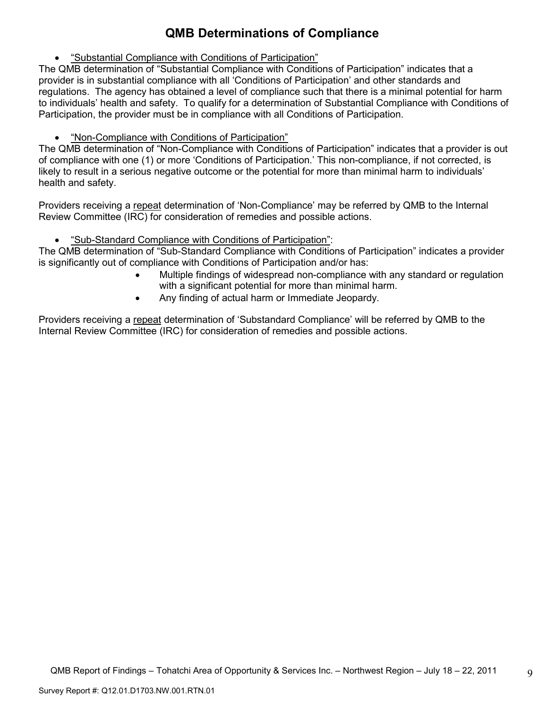# **QMB Determinations of Compliance**

• "Substantial Compliance with Conditions of Participation"

The QMB determination of "Substantial Compliance with Conditions of Participation" indicates that a provider is in substantial compliance with all 'Conditions of Participation' and other standards and regulations. The agency has obtained a level of compliance such that there is a minimal potential for harm to individuals' health and safety. To qualify for a determination of Substantial Compliance with Conditions of Participation, the provider must be in compliance with all Conditions of Participation.

• "Non-Compliance with Conditions of Participation"

The QMB determination of "Non-Compliance with Conditions of Participation" indicates that a provider is out of compliance with one (1) or more 'Conditions of Participation.' This non-compliance, if not corrected, is likely to result in a serious negative outcome or the potential for more than minimal harm to individuals' health and safety.

Providers receiving a repeat determination of 'Non-Compliance' may be referred by QMB to the Internal Review Committee (IRC) for consideration of remedies and possible actions.

• "Sub-Standard Compliance with Conditions of Participation":

The QMB determination of "Sub-Standard Compliance with Conditions of Participation" indicates a provider is significantly out of compliance with Conditions of Participation and/or has:

- Multiple findings of widespread non-compliance with any standard or regulation with a significant potential for more than minimal harm.
- Any finding of actual harm or Immediate Jeopardy.

Providers receiving a repeat determination of 'Substandard Compliance' will be referred by QMB to the Internal Review Committee (IRC) for consideration of remedies and possible actions.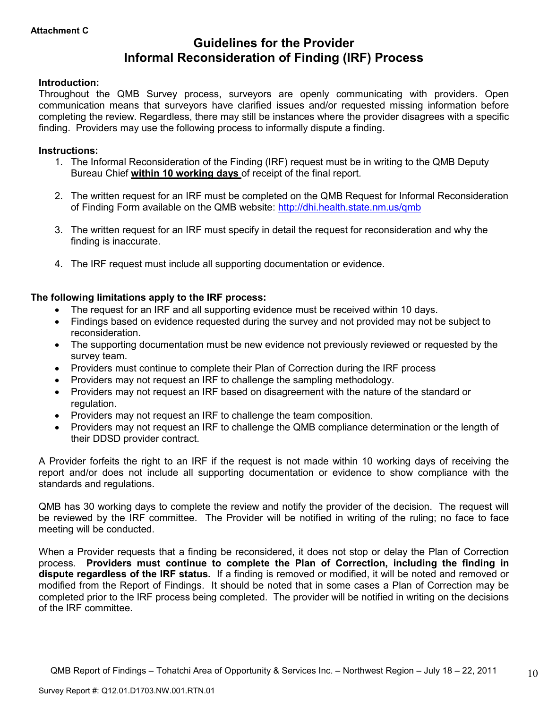# **Guidelines for the Provider Informal Reconsideration of Finding (IRF) Process**

# **Introduction:**

Throughout the QMB Survey process, surveyors are openly communicating with providers. Open communication means that surveyors have clarified issues and/or requested missing information before completing the review. Regardless, there may still be instances where the provider disagrees with a specific finding. Providers may use the following process to informally dispute a finding.

# **Instructions:**

- 1. The Informal Reconsideration of the Finding (IRF) request must be in writing to the QMB Deputy Bureau Chief **within 10 working days** of receipt of the final report.
- 2. The written request for an IRF must be completed on the QMB Request for Informal Reconsideration of Finding Form available on the QMB website: http://dhi.health.state.nm.us/qmb
- 3. The written request for an IRF must specify in detail the request for reconsideration and why the finding is inaccurate.
- 4. The IRF request must include all supporting documentation or evidence.

# **The following limitations apply to the IRF process:**

- The request for an IRF and all supporting evidence must be received within 10 days.
- Findings based on evidence requested during the survey and not provided may not be subject to reconsideration.
- The supporting documentation must be new evidence not previously reviewed or requested by the survey team.
- Providers must continue to complete their Plan of Correction during the IRF process
- Providers may not request an IRF to challenge the sampling methodology.
- Providers may not request an IRF based on disagreement with the nature of the standard or regulation.
- Providers may not request an IRF to challenge the team composition.
- Providers may not request an IRF to challenge the QMB compliance determination or the length of their DDSD provider contract.

A Provider forfeits the right to an IRF if the request is not made within 10 working days of receiving the report and/or does not include all supporting documentation or evidence to show compliance with the standards and regulations.

QMB has 30 working days to complete the review and notify the provider of the decision. The request will be reviewed by the IRF committee. The Provider will be notified in writing of the ruling; no face to face meeting will be conducted.

When a Provider requests that a finding be reconsidered, it does not stop or delay the Plan of Correction process. **Providers must continue to complete the Plan of Correction, including the finding in dispute regardless of the IRF status.** If a finding is removed or modified, it will be noted and removed or modified from the Report of Findings. It should be noted that in some cases a Plan of Correction may be completed prior to the IRF process being completed. The provider will be notified in writing on the decisions of the IRF committee.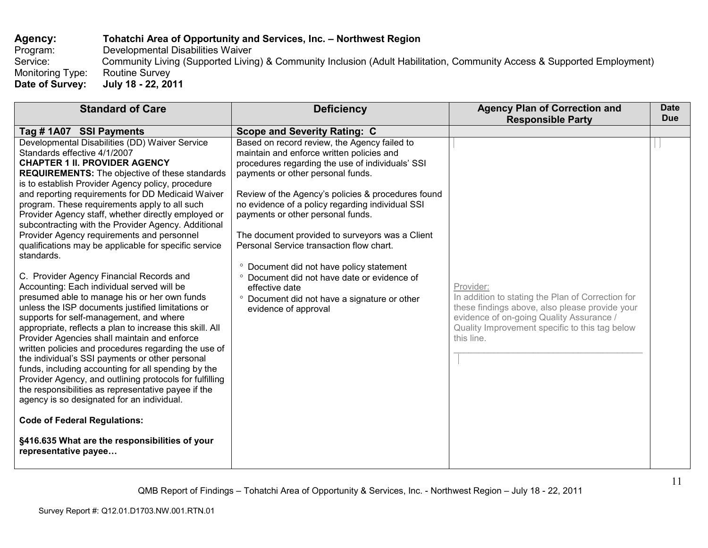# Agency: **Tohatchi Area of Opportunity and Services, Inc. – Northwest Region**<br>Program: Developmental Disabilities Waiver

Program: Developmental Disabilities Waiver<br>Service: Community Living (Supported Living Service: Community Living (Supported Living) & Community Inclusion (Adult Habilitation, Community Access & Supported Employment) Monitoring Type: Routine Survey

July 18 - 22, 2011 **Date of Survey: July 18 - 22, 2011** 

| <b>Standard of Care</b>                                                                                                                                                                                                                                                                                                                                                                                                                                                                                                                                                                                                                                                                                                                                                                                                                                                                                                                                                                                                                                                                                                                                                                                                                                                                                                                                                                | <b>Deficiency</b>                                                                                                                                                                                                                                                                                                                                                                                                                                                                                                                                                                                                                | <b>Agency Plan of Correction and</b><br><b>Responsible Party</b>                                                                                                                                                             | <b>Date</b><br><b>Due</b> |
|----------------------------------------------------------------------------------------------------------------------------------------------------------------------------------------------------------------------------------------------------------------------------------------------------------------------------------------------------------------------------------------------------------------------------------------------------------------------------------------------------------------------------------------------------------------------------------------------------------------------------------------------------------------------------------------------------------------------------------------------------------------------------------------------------------------------------------------------------------------------------------------------------------------------------------------------------------------------------------------------------------------------------------------------------------------------------------------------------------------------------------------------------------------------------------------------------------------------------------------------------------------------------------------------------------------------------------------------------------------------------------------|----------------------------------------------------------------------------------------------------------------------------------------------------------------------------------------------------------------------------------------------------------------------------------------------------------------------------------------------------------------------------------------------------------------------------------------------------------------------------------------------------------------------------------------------------------------------------------------------------------------------------------|------------------------------------------------------------------------------------------------------------------------------------------------------------------------------------------------------------------------------|---------------------------|
| Tag #1A07 SSI Payments                                                                                                                                                                                                                                                                                                                                                                                                                                                                                                                                                                                                                                                                                                                                                                                                                                                                                                                                                                                                                                                                                                                                                                                                                                                                                                                                                                 | <b>Scope and Severity Rating: C</b>                                                                                                                                                                                                                                                                                                                                                                                                                                                                                                                                                                                              |                                                                                                                                                                                                                              |                           |
| Developmental Disabilities (DD) Waiver Service<br>Standards effective 4/1/2007<br><b>CHAPTER 1 II. PROVIDER AGENCY</b><br><b>REQUIREMENTS:</b> The objective of these standards<br>is to establish Provider Agency policy, procedure<br>and reporting requirements for DD Medicaid Waiver<br>program. These requirements apply to all such<br>Provider Agency staff, whether directly employed or<br>subcontracting with the Provider Agency. Additional<br>Provider Agency requirements and personnel<br>qualifications may be applicable for specific service<br>standards.<br>C. Provider Agency Financial Records and<br>Accounting: Each individual served will be<br>presumed able to manage his or her own funds<br>unless the ISP documents justified limitations or<br>supports for self-management, and where<br>appropriate, reflects a plan to increase this skill. All<br>Provider Agencies shall maintain and enforce<br>written policies and procedures regarding the use of<br>the individual's SSI payments or other personal<br>funds, including accounting for all spending by the<br>Provider Agency, and outlining protocols for fulfilling<br>the responsibilities as representative payee if the<br>agency is so designated for an individual.<br><b>Code of Federal Regulations:</b><br>§416.635 What are the responsibilities of your<br>representative payee | Based on record review, the Agency failed to<br>maintain and enforce written policies and<br>procedures regarding the use of individuals' SSI<br>payments or other personal funds.<br>Review of the Agency's policies & procedures found<br>no evidence of a policy regarding individual SSI<br>payments or other personal funds.<br>The document provided to surveyors was a Client<br>Personal Service transaction flow chart.<br><sup>o</sup> Document did not have policy statement<br>° Document did not have date or evidence of<br>effective date<br>° Document did not have a signature or other<br>evidence of approval | Provider:<br>In addition to stating the Plan of Correction for<br>these findings above, also please provide your<br>evidence of on-going Quality Assurance /<br>Quality Improvement specific to this tag below<br>this line. |                           |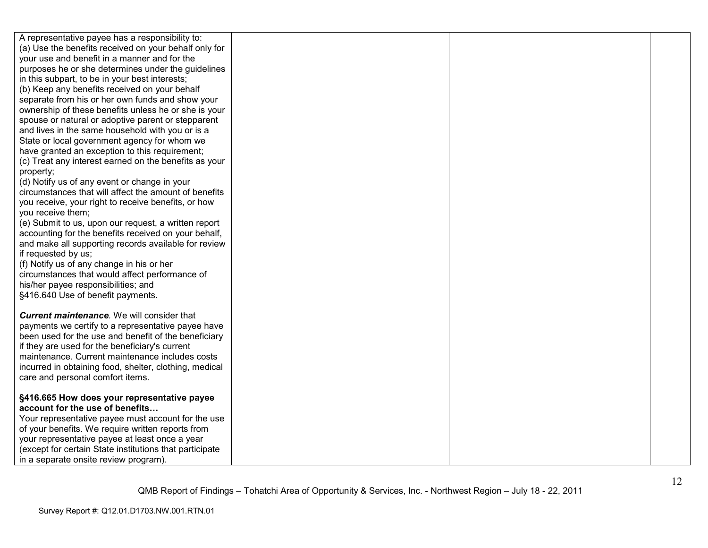| A representative payee has a responsibility to:         |  |  |
|---------------------------------------------------------|--|--|
| (a) Use the benefits received on your behalf only for   |  |  |
| your use and benefit in a manner and for the            |  |  |
| purposes he or she determines under the guidelines      |  |  |
| in this subpart, to be in your best interests;          |  |  |
| (b) Keep any benefits received on your behalf           |  |  |
| separate from his or her own funds and show your        |  |  |
| ownership of these benefits unless he or she is your    |  |  |
| spouse or natural or adoptive parent or stepparent      |  |  |
| and lives in the same household with you or is a        |  |  |
| State or local government agency for whom we            |  |  |
| have granted an exception to this requirement;          |  |  |
| (c) Treat any interest earned on the benefits as your   |  |  |
| property;                                               |  |  |
| (d) Notify us of any event or change in your            |  |  |
| circumstances that will affect the amount of benefits   |  |  |
| you receive, your right to receive benefits, or how     |  |  |
| you receive them;                                       |  |  |
| (e) Submit to us, upon our request, a written report    |  |  |
| accounting for the benefits received on your behalf,    |  |  |
| and make all supporting records available for review    |  |  |
| if requested by us;                                     |  |  |
| (f) Notify us of any change in his or her               |  |  |
| circumstances that would affect performance of          |  |  |
| his/her payee responsibilities; and                     |  |  |
| §416.640 Use of benefit payments.                       |  |  |
|                                                         |  |  |
| <b>Current maintenance.</b> We will consider that       |  |  |
| payments we certify to a representative payee have      |  |  |
| been used for the use and benefit of the beneficiary    |  |  |
|                                                         |  |  |
| if they are used for the beneficiary's current          |  |  |
| maintenance. Current maintenance includes costs         |  |  |
| incurred in obtaining food, shelter, clothing, medical  |  |  |
| care and personal comfort items.                        |  |  |
|                                                         |  |  |
| §416.665 How does your representative payee             |  |  |
| account for the use of benefits                         |  |  |
| Your representative payee must account for the use      |  |  |
| of your benefits. We require written reports from       |  |  |
| your representative payee at least once a year          |  |  |
| (except for certain State institutions that participate |  |  |
| in a separate onsite review program).                   |  |  |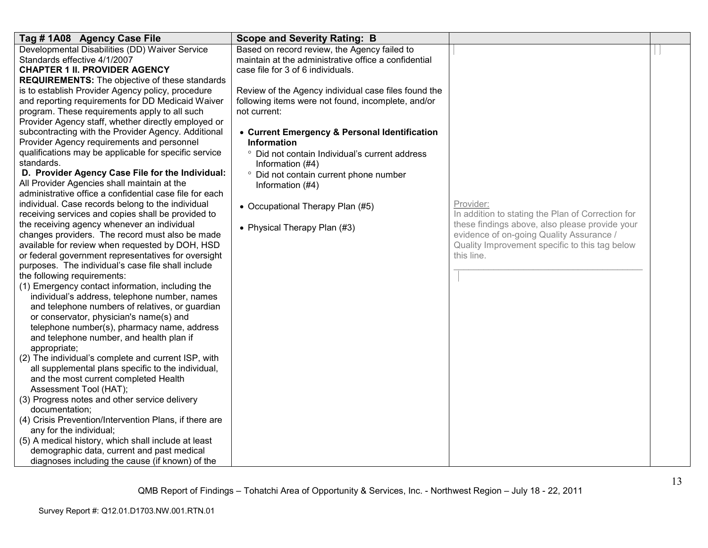| Tag #1A08 Agency Case File                              | <b>Scope and Severity Rating: B</b>                  |                                                   |  |
|---------------------------------------------------------|------------------------------------------------------|---------------------------------------------------|--|
| Developmental Disabilities (DD) Waiver Service          | Based on record review, the Agency failed to         |                                                   |  |
| Standards effective 4/1/2007                            | maintain at the administrative office a confidential |                                                   |  |
| <b>CHAPTER 1 II. PROVIDER AGENCY</b>                    | case file for 3 of 6 individuals.                    |                                                   |  |
| <b>REQUIREMENTS:</b> The objective of these standards   |                                                      |                                                   |  |
| is to establish Provider Agency policy, procedure       | Review of the Agency individual case files found the |                                                   |  |
| and reporting requirements for DD Medicaid Waiver       | following items were not found, incomplete, and/or   |                                                   |  |
| program. These requirements apply to all such           | not current:                                         |                                                   |  |
| Provider Agency staff, whether directly employed or     |                                                      |                                                   |  |
| subcontracting with the Provider Agency. Additional     | • Current Emergency & Personal Identification        |                                                   |  |
| Provider Agency requirements and personnel              | <b>Information</b>                                   |                                                   |  |
| qualifications may be applicable for specific service   | ° Did not contain Individual's current address       |                                                   |  |
| standards.                                              | Information (#4)                                     |                                                   |  |
| D. Provider Agency Case File for the Individual:        | ° Did not contain current phone number               |                                                   |  |
| All Provider Agencies shall maintain at the             | Information (#4)                                     |                                                   |  |
| administrative office a confidential case file for each |                                                      |                                                   |  |
| individual. Case records belong to the individual       | • Occupational Therapy Plan (#5)                     | Provider:                                         |  |
| receiving services and copies shall be provided to      |                                                      | In addition to stating the Plan of Correction for |  |
| the receiving agency whenever an individual             | • Physical Therapy Plan (#3)                         | these findings above, also please provide your    |  |
| changes providers. The record must also be made         |                                                      | evidence of on-going Quality Assurance /          |  |
| available for review when requested by DOH, HSD         |                                                      | Quality Improvement specific to this tag below    |  |
| or federal government representatives for oversight     |                                                      | this line.                                        |  |
| purposes. The individual's case file shall include      |                                                      |                                                   |  |
| the following requirements:                             |                                                      |                                                   |  |
| (1) Emergency contact information, including the        |                                                      |                                                   |  |
| individual's address, telephone number, names           |                                                      |                                                   |  |
| and telephone numbers of relatives, or guardian         |                                                      |                                                   |  |
| or conservator, physician's name(s) and                 |                                                      |                                                   |  |
| telephone number(s), pharmacy name, address             |                                                      |                                                   |  |
| and telephone number, and health plan if                |                                                      |                                                   |  |
| appropriate;                                            |                                                      |                                                   |  |
| (2) The individual's complete and current ISP, with     |                                                      |                                                   |  |
| all supplemental plans specific to the individual,      |                                                      |                                                   |  |
| and the most current completed Health                   |                                                      |                                                   |  |
| Assessment Tool (HAT);                                  |                                                      |                                                   |  |
| (3) Progress notes and other service delivery           |                                                      |                                                   |  |
| documentation;                                          |                                                      |                                                   |  |
| (4) Crisis Prevention/Intervention Plans, if there are  |                                                      |                                                   |  |
| any for the individual;                                 |                                                      |                                                   |  |
| (5) A medical history, which shall include at least     |                                                      |                                                   |  |
| demographic data, current and past medical              |                                                      |                                                   |  |
| diagnoses including the cause (if known) of the         |                                                      |                                                   |  |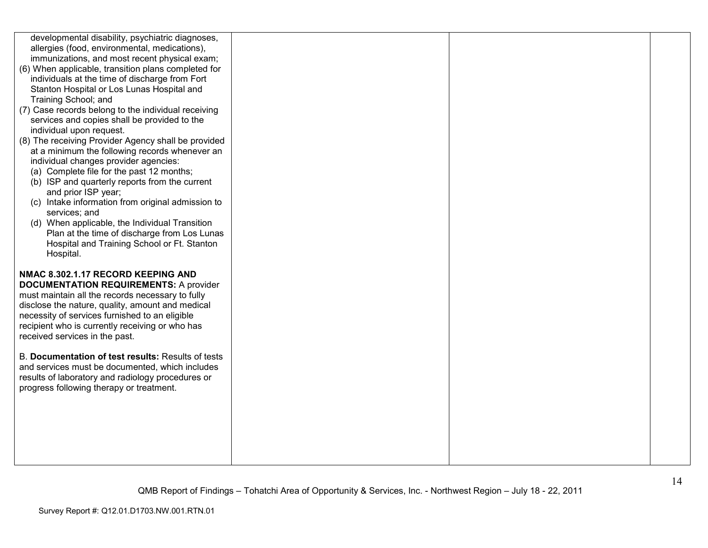| developmental disability, psychiatric diagnoses,<br>allergies (food, environmental, medications),<br>immunizations, and most recent physical exam;<br>(6) When applicable, transition plans completed for<br>individuals at the time of discharge from Fort<br>Stanton Hospital or Los Lunas Hospital and<br>Training School; and<br>(7) Case records belong to the individual receiving<br>services and copies shall be provided to the<br>individual upon request.<br>(8) The receiving Provider Agency shall be provided<br>at a minimum the following records whenever an<br>individual changes provider agencies:<br>(a) Complete file for the past 12 months;<br>(b) ISP and quarterly reports from the current<br>and prior ISP year;<br>(c) Intake information from original admission to<br>services; and<br>(d) When applicable, the Individual Transition<br>Plan at the time of discharge from Los Lunas<br>Hospital and Training School or Ft. Stanton |  |  |
|---------------------------------------------------------------------------------------------------------------------------------------------------------------------------------------------------------------------------------------------------------------------------------------------------------------------------------------------------------------------------------------------------------------------------------------------------------------------------------------------------------------------------------------------------------------------------------------------------------------------------------------------------------------------------------------------------------------------------------------------------------------------------------------------------------------------------------------------------------------------------------------------------------------------------------------------------------------------|--|--|
| Hospital.<br>NMAC 8.302.1.17 RECORD KEEPING AND<br><b>DOCUMENTATION REQUIREMENTS: A provider</b><br>must maintain all the records necessary to fully<br>disclose the nature, quality, amount and medical<br>necessity of services furnished to an eligible<br>recipient who is currently receiving or who has<br>received services in the past.                                                                                                                                                                                                                                                                                                                                                                                                                                                                                                                                                                                                                     |  |  |
| B. Documentation of test results: Results of tests<br>and services must be documented, which includes<br>results of laboratory and radiology procedures or<br>progress following therapy or treatment.                                                                                                                                                                                                                                                                                                                                                                                                                                                                                                                                                                                                                                                                                                                                                              |  |  |
|                                                                                                                                                                                                                                                                                                                                                                                                                                                                                                                                                                                                                                                                                                                                                                                                                                                                                                                                                                     |  |  |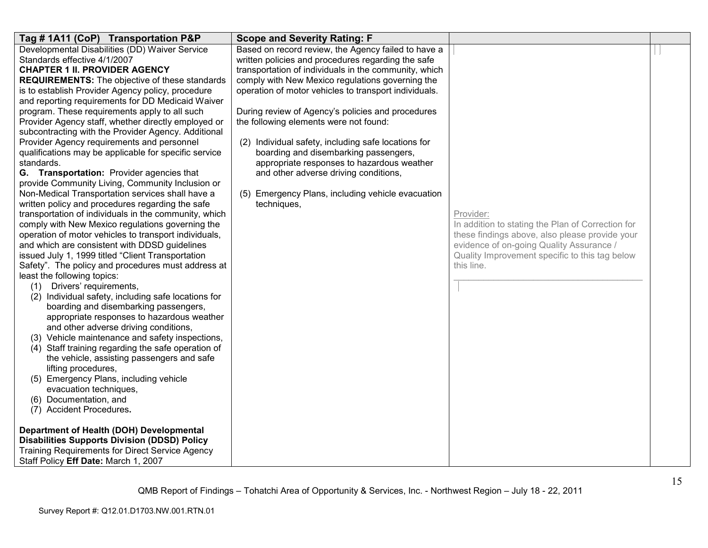| Tag # 1A11 (CoP) Transportation P&P                    | <b>Scope and Severity Rating: F</b>                   |                                                   |  |
|--------------------------------------------------------|-------------------------------------------------------|---------------------------------------------------|--|
| Developmental Disabilities (DD) Waiver Service         | Based on record review, the Agency failed to have a   |                                                   |  |
| Standards effective 4/1/2007                           | written policies and procedures regarding the safe    |                                                   |  |
| <b>CHAPTER 1 II. PROVIDER AGENCY</b>                   | transportation of individuals in the community, which |                                                   |  |
| <b>REQUIREMENTS:</b> The objective of these standards  | comply with New Mexico regulations governing the      |                                                   |  |
| is to establish Provider Agency policy, procedure      | operation of motor vehicles to transport individuals. |                                                   |  |
| and reporting requirements for DD Medicaid Waiver      |                                                       |                                                   |  |
| program. These requirements apply to all such          | During review of Agency's policies and procedures     |                                                   |  |
| Provider Agency staff, whether directly employed or    | the following elements were not found:                |                                                   |  |
| subcontracting with the Provider Agency. Additional    |                                                       |                                                   |  |
| Provider Agency requirements and personnel             | (2) Individual safety, including safe locations for   |                                                   |  |
| qualifications may be applicable for specific service  | boarding and disembarking passengers,                 |                                                   |  |
| standards.                                             | appropriate responses to hazardous weather            |                                                   |  |
| G. Transportation: Provider agencies that              | and other adverse driving conditions,                 |                                                   |  |
| provide Community Living, Community Inclusion or       |                                                       |                                                   |  |
| Non-Medical Transportation services shall have a       | (5) Emergency Plans, including vehicle evacuation     |                                                   |  |
| written policy and procedures regarding the safe       | techniques,                                           |                                                   |  |
| transportation of individuals in the community, which  |                                                       | Provider:                                         |  |
| comply with New Mexico regulations governing the       |                                                       | In addition to stating the Plan of Correction for |  |
| operation of motor vehicles to transport individuals,  |                                                       | these findings above, also please provide your    |  |
| and which are consistent with DDSD guidelines          |                                                       | evidence of on-going Quality Assurance /          |  |
| issued July 1, 1999 titled "Client Transportation      |                                                       | Quality Improvement specific to this tag below    |  |
| Safety". The policy and procedures must address at     |                                                       | this line.                                        |  |
| least the following topics:                            |                                                       |                                                   |  |
| (1) Drivers' requirements,                             |                                                       |                                                   |  |
| (2) Individual safety, including safe locations for    |                                                       |                                                   |  |
| boarding and disembarking passengers,                  |                                                       |                                                   |  |
| appropriate responses to hazardous weather             |                                                       |                                                   |  |
| and other adverse driving conditions,                  |                                                       |                                                   |  |
| (3) Vehicle maintenance and safety inspections,        |                                                       |                                                   |  |
| (4) Staff training regarding the safe operation of     |                                                       |                                                   |  |
| the vehicle, assisting passengers and safe             |                                                       |                                                   |  |
| lifting procedures,                                    |                                                       |                                                   |  |
| (5) Emergency Plans, including vehicle                 |                                                       |                                                   |  |
| evacuation techniques,                                 |                                                       |                                                   |  |
| (6) Documentation, and                                 |                                                       |                                                   |  |
| (7) Accident Procedures.                               |                                                       |                                                   |  |
|                                                        |                                                       |                                                   |  |
| Department of Health (DOH) Developmental               |                                                       |                                                   |  |
| <b>Disabilities Supports Division (DDSD) Policy</b>    |                                                       |                                                   |  |
| <b>Training Requirements for Direct Service Agency</b> |                                                       |                                                   |  |
| Staff Policy Eff Date: March 1, 2007                   |                                                       |                                                   |  |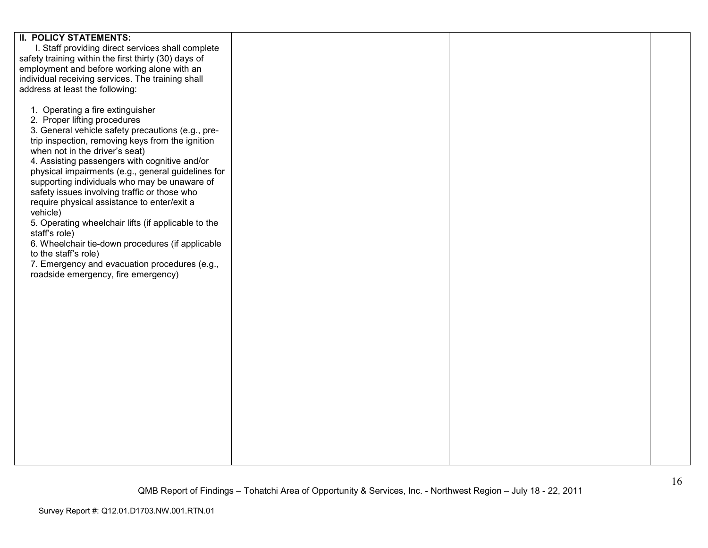| <b>II. POLICY STATEMENTS:</b>                        |  |  |
|------------------------------------------------------|--|--|
| I. Staff providing direct services shall complete    |  |  |
|                                                      |  |  |
| safety training within the first thirty (30) days of |  |  |
| employment and before working alone with an          |  |  |
| individual receiving services. The training shall    |  |  |
|                                                      |  |  |
| address at least the following:                      |  |  |
|                                                      |  |  |
| 1. Operating a fire extinguisher                     |  |  |
|                                                      |  |  |
| 2. Proper lifting procedures                         |  |  |
| 3. General vehicle safety precautions (e.g., pre-    |  |  |
| trip inspection, removing keys from the ignition     |  |  |
|                                                      |  |  |
| when not in the driver's seat)                       |  |  |
| 4. Assisting passengers with cognitive and/or        |  |  |
| physical impairments (e.g., general guidelines for   |  |  |
| supporting individuals who may be unaware of         |  |  |
|                                                      |  |  |
| safety issues involving traffic or those who         |  |  |
| require physical assistance to enter/exit a          |  |  |
| vehicle)                                             |  |  |
|                                                      |  |  |
| 5. Operating wheelchair lifts (if applicable to the  |  |  |
| staff's role)                                        |  |  |
| 6. Wheelchair tie-down procedures (if applicable     |  |  |
| to the staff's role)                                 |  |  |
| 7. Emergency and evacuation procedures (e.g.,        |  |  |
|                                                      |  |  |
| roadside emergency, fire emergency)                  |  |  |
|                                                      |  |  |
|                                                      |  |  |
|                                                      |  |  |
|                                                      |  |  |
|                                                      |  |  |
|                                                      |  |  |
|                                                      |  |  |
|                                                      |  |  |
|                                                      |  |  |
|                                                      |  |  |
|                                                      |  |  |
|                                                      |  |  |
|                                                      |  |  |
|                                                      |  |  |
|                                                      |  |  |
|                                                      |  |  |
|                                                      |  |  |
|                                                      |  |  |
|                                                      |  |  |
|                                                      |  |  |
|                                                      |  |  |
|                                                      |  |  |
|                                                      |  |  |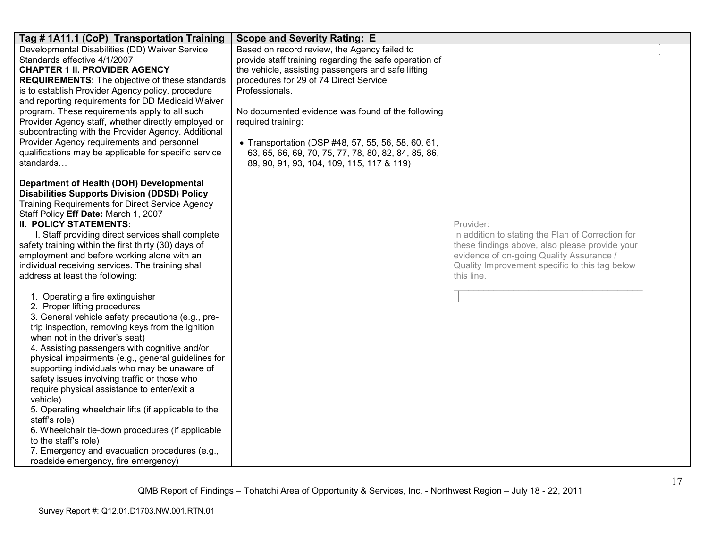| Tag #1A11.1 (CoP) Transportation Training                                                                                                                                                                                                                                                                                                                                                                                                                                                                                                                                                                                                                                                                                 | <b>Scope and Severity Rating: E</b>                                                                                                                                                                                                                                                                                                                                                                              |                                                                                                                                                                                                                              |  |
|---------------------------------------------------------------------------------------------------------------------------------------------------------------------------------------------------------------------------------------------------------------------------------------------------------------------------------------------------------------------------------------------------------------------------------------------------------------------------------------------------------------------------------------------------------------------------------------------------------------------------------------------------------------------------------------------------------------------------|------------------------------------------------------------------------------------------------------------------------------------------------------------------------------------------------------------------------------------------------------------------------------------------------------------------------------------------------------------------------------------------------------------------|------------------------------------------------------------------------------------------------------------------------------------------------------------------------------------------------------------------------------|--|
| Developmental Disabilities (DD) Waiver Service<br>Standards effective 4/1/2007<br><b>CHAPTER 1 II. PROVIDER AGENCY</b><br><b>REQUIREMENTS:</b> The objective of these standards<br>is to establish Provider Agency policy, procedure<br>and reporting requirements for DD Medicaid Waiver<br>program. These requirements apply to all such<br>Provider Agency staff, whether directly employed or<br>subcontracting with the Provider Agency. Additional<br>Provider Agency requirements and personnel<br>qualifications may be applicable for specific service                                                                                                                                                           | Based on record review, the Agency failed to<br>provide staff training regarding the safe operation of<br>the vehicle, assisting passengers and safe lifting<br>procedures for 29 of 74 Direct Service<br>Professionals.<br>No documented evidence was found of the following<br>required training:<br>• Transportation (DSP #48, 57, 55, 56, 58, 60, 61,<br>63, 65, 66, 69, 70, 75, 77, 78, 80, 82, 84, 85, 86, |                                                                                                                                                                                                                              |  |
| standards                                                                                                                                                                                                                                                                                                                                                                                                                                                                                                                                                                                                                                                                                                                 | 89, 90, 91, 93, 104, 109, 115, 117 & 119)                                                                                                                                                                                                                                                                                                                                                                        |                                                                                                                                                                                                                              |  |
| Department of Health (DOH) Developmental<br><b>Disabilities Supports Division (DDSD) Policy</b><br><b>Training Requirements for Direct Service Agency</b><br>Staff Policy Eff Date: March 1, 2007<br><b>II. POLICY STATEMENTS:</b><br>I. Staff providing direct services shall complete<br>safety training within the first thirty (30) days of<br>employment and before working alone with an<br>individual receiving services. The training shall<br>address at least the following:                                                                                                                                                                                                                                    |                                                                                                                                                                                                                                                                                                                                                                                                                  | Provider:<br>In addition to stating the Plan of Correction for<br>these findings above, also please provide your<br>evidence of on-going Quality Assurance /<br>Quality Improvement specific to this tag below<br>this line. |  |
| 1. Operating a fire extinguisher<br>2. Proper lifting procedures<br>3. General vehicle safety precautions (e.g., pre-<br>trip inspection, removing keys from the ignition<br>when not in the driver's seat)<br>4. Assisting passengers with cognitive and/or<br>physical impairments (e.g., general guidelines for<br>supporting individuals who may be unaware of<br>safety issues involving traffic or those who<br>require physical assistance to enter/exit a<br>vehicle)<br>5. Operating wheelchair lifts (if applicable to the<br>staff's role)<br>6. Wheelchair tie-down procedures (if applicable<br>to the staff's role)<br>7. Emergency and evacuation procedures (e.g.,<br>roadside emergency, fire emergency) |                                                                                                                                                                                                                                                                                                                                                                                                                  |                                                                                                                                                                                                                              |  |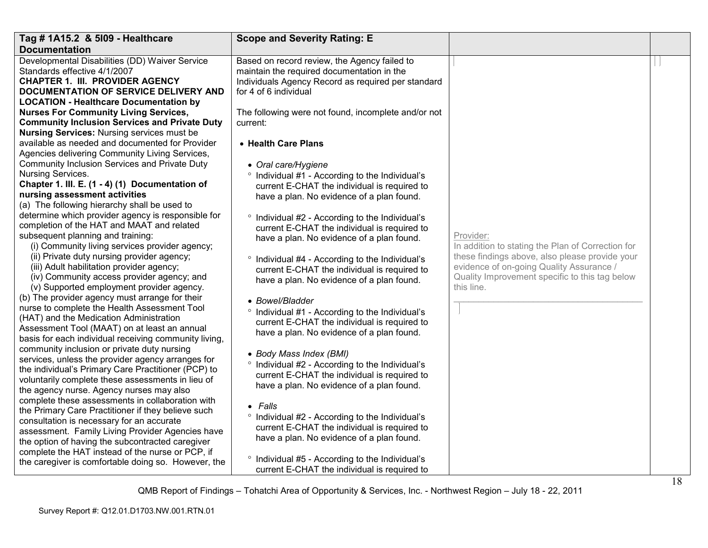| Tag # 1A15.2 & 5109 - Healthcare                                                                                                                                                                                                                            | <b>Scope and Severity Rating: E</b>                                                                                                                                                |                                                                                                                                                            |  |
|-------------------------------------------------------------------------------------------------------------------------------------------------------------------------------------------------------------------------------------------------------------|------------------------------------------------------------------------------------------------------------------------------------------------------------------------------------|------------------------------------------------------------------------------------------------------------------------------------------------------------|--|
| <b>Documentation</b>                                                                                                                                                                                                                                        |                                                                                                                                                                                    |                                                                                                                                                            |  |
| Developmental Disabilities (DD) Waiver Service<br>Standards effective 4/1/2007<br><b>CHAPTER 1. III. PROVIDER AGENCY</b><br><b>DOCUMENTATION OF SERVICE DELIVERY AND</b>                                                                                    | Based on record review, the Agency failed to<br>maintain the required documentation in the<br>Individuals Agency Record as required per standard<br>for 4 of 6 individual          |                                                                                                                                                            |  |
| <b>LOCATION - Healthcare Documentation by</b>                                                                                                                                                                                                               |                                                                                                                                                                                    |                                                                                                                                                            |  |
| <b>Nurses For Community Living Services,</b><br><b>Community Inclusion Services and Private Duty</b><br><b>Nursing Services: Nursing services must be</b>                                                                                                   | The following were not found, incomplete and/or not<br>current:                                                                                                                    |                                                                                                                                                            |  |
| available as needed and documented for Provider<br>Agencies delivering Community Living Services,                                                                                                                                                           | • Health Care Plans                                                                                                                                                                |                                                                                                                                                            |  |
| Community Inclusion Services and Private Duty<br>Nursing Services.                                                                                                                                                                                          | • Oral care/Hygiene                                                                                                                                                                |                                                                                                                                                            |  |
| Chapter 1. III. E. (1 - 4) (1) Documentation of                                                                                                                                                                                                             | <sup>o</sup> Individual #1 - According to the Individual's<br>current E-CHAT the individual is required to                                                                         |                                                                                                                                                            |  |
| nursing assessment activities<br>(a) The following hierarchy shall be used to                                                                                                                                                                               | have a plan. No evidence of a plan found.                                                                                                                                          |                                                                                                                                                            |  |
| determine which provider agency is responsible for<br>completion of the HAT and MAAT and related<br>subsequent planning and training:<br>(i) Community living services provider agency;                                                                     | <sup>o</sup> Individual #2 - According to the Individual's<br>current E-CHAT the individual is required to<br>have a plan. No evidence of a plan found.                            | Provider:<br>In addition to stating the Plan of Correction for                                                                                             |  |
| (ii) Private duty nursing provider agency;<br>(iii) Adult habilitation provider agency;<br>(iv) Community access provider agency; and<br>(v) Supported employment provider agency.                                                                          | <sup>o</sup> Individual #4 - According to the Individual's<br>current E-CHAT the individual is required to<br>have a plan. No evidence of a plan found.                            | these findings above, also please provide your<br>evidence of on-going Quality Assurance /<br>Quality Improvement specific to this tag below<br>this line. |  |
| (b) The provider agency must arrange for their<br>nurse to complete the Health Assessment Tool                                                                                                                                                              | • Bowel/Bladder                                                                                                                                                                    |                                                                                                                                                            |  |
| (HAT) and the Medication Administration<br>Assessment Tool (MAAT) on at least an annual<br>basis for each individual receiving community living,                                                                                                            | <sup>o</sup> Individual #1 - According to the Individual's<br>current E-CHAT the individual is required to<br>have a plan. No evidence of a plan found.                            |                                                                                                                                                            |  |
| community inclusion or private duty nursing<br>services, unless the provider agency arranges for<br>the individual's Primary Care Practitioner (PCP) to<br>voluntarily complete these assessments in lieu of<br>the agency nurse. Agency nurses may also    | • Body Mass Index (BMI)<br><sup>o</sup> Individual #2 - According to the Individual's<br>current E-CHAT the individual is required to<br>have a plan. No evidence of a plan found. |                                                                                                                                                            |  |
| complete these assessments in collaboration with<br>the Primary Care Practitioner if they believe such<br>consultation is necessary for an accurate<br>assessment. Family Living Provider Agencies have<br>the option of having the subcontracted caregiver | • Falls<br>° Individual #2 - According to the Individual's<br>current E-CHAT the individual is required to<br>have a plan. No evidence of a plan found.                            |                                                                                                                                                            |  |
| complete the HAT instead of the nurse or PCP, if<br>the caregiver is comfortable doing so. However, the                                                                                                                                                     | <sup>o</sup> Individual #5 - According to the Individual's<br>current E-CHAT the individual is required to                                                                         |                                                                                                                                                            |  |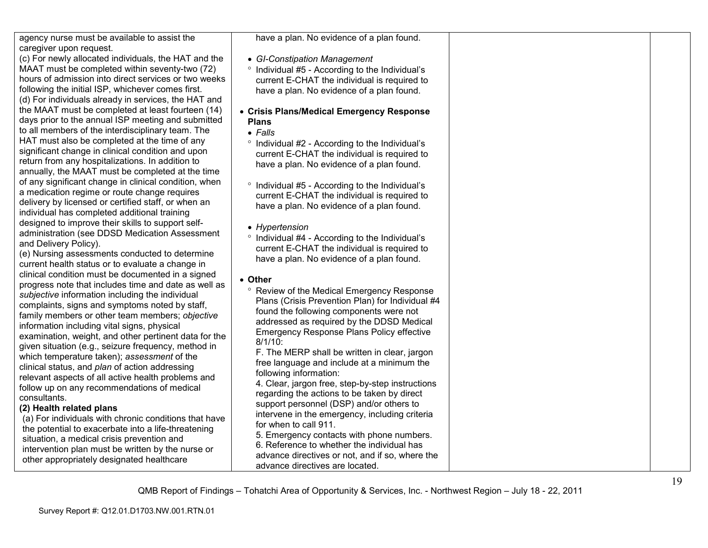| agency nurse must be available to assist the |  |
|----------------------------------------------|--|
| caregiver upon request.                      |  |

 (c) For newly allocated individuals, the HAT and the MAAT must be completed within seventy-two (72) hours of admission into direct services or two weeks following the initial ISP, whichever comes first. (d) For individuals already in services, the HAT and the MAAT must be completed at least fourteen (14) days prior to the annual ISP meeting and submitted to all members of the interdisciplinary team. The HAT must also be completed at the time of any significant change in clinical condition and upon return from any hospitalizations. In addition to annually, the MAAT must be completed at the time of any significant change in clinical condition, when a medication regime or route change requires delivery by licensed or certified staff, or when anindividual has completed additional training designed to improve their skills to support selfadministration (see DDSD Medication Assessment and Delivery Policy).

 (e) Nursing assessments conducted to determine current health status or to evaluate a change in clinical condition must be documented in a signed progress note that includes time and date as well as *subjective* information including the individual complaints, signs and symptoms noted by staff, family members or other team members; *objective* information including vital signs, physical examination, weight, and other pertinent data for the given situation (e.g., seizure frequency, method inwhich temperature taken); *assessment* of the clinical status, and *plan* of action addressing relevant aspects of all active health problems and follow up on any recommendations of medical consultants.

## **(2) Health related plans**

 (a) For individuals with chronic conditions that have the potential to exacerbate into a life-threateningsituation, a medical crisis prevention and intervention plan must be written by the nurse or other appropriately designated healthcare

have a plan. No evidence of a plan found.

- *GI-Constipation Management*
- ° Individual #5 According to the Individual's current E-CHAT the individual is required to have a plan. No evidence of a plan found.

#### • **Crisis Plans/Medical Emergency Response Plans**

- *Falls*
- ° Individual #2 According to the Individual's current E-CHAT the individual is required to have a plan. No evidence of a plan found.
- ° Individual #5 According to the Individual's current E-CHAT the individual is required to have a plan. No evidence of a plan found.
- *Hypertension*
- ° Individual #4 According to the Individual's current E-CHAT the individual is required to have a plan. No evidence of a plan found.
- **Other** 
	- ° Review of the Medical Emergency Response Plans (Crisis Prevention Plan) for Individual #4 found the following components were not addressed as required by the DDSD Medical Emergency Response Plans Policy effective 8/1/10:

 F. The MERP shall be written in clear, jargon free language and include at a minimum the following information:

 4. Clear, jargon free, step-by-step instructions regarding the actions to be taken by direct support personnel (DSP) and/or others to intervene in the emergency, including criteria for when to call 911.

 5. Emergency contacts with phone numbers. 6. Reference to whether the individual has advance directives or not, and if so, where the

advance directives are located.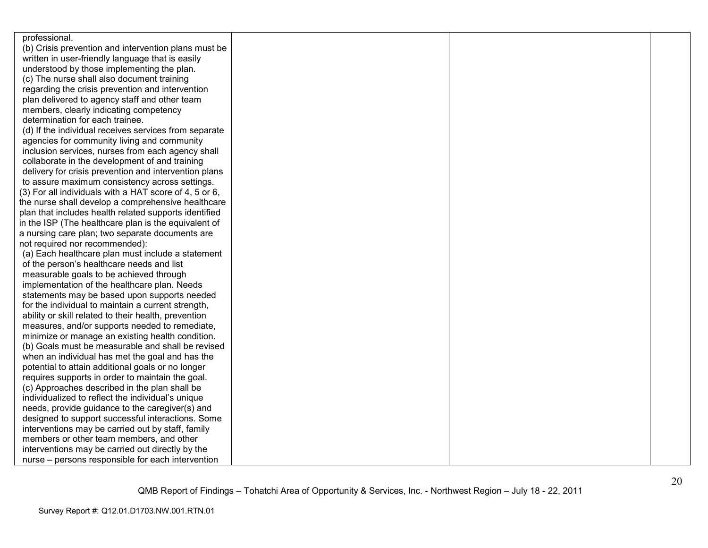| professional.                                          |  |  |
|--------------------------------------------------------|--|--|
| (b) Crisis prevention and intervention plans must be   |  |  |
| written in user-friendly language that is easily       |  |  |
| understood by those implementing the plan.             |  |  |
| (c) The nurse shall also document training             |  |  |
| regarding the crisis prevention and intervention       |  |  |
| plan delivered to agency staff and other team          |  |  |
| members, clearly indicating competency                 |  |  |
| determination for each trainee.                        |  |  |
| (d) If the individual receives services from separate  |  |  |
| agencies for community living and community            |  |  |
| inclusion services, nurses from each agency shall      |  |  |
| collaborate in the development of and training         |  |  |
| delivery for crisis prevention and intervention plans  |  |  |
| to assure maximum consistency across settings.         |  |  |
| (3) For all individuals with a HAT score of 4, 5 or 6, |  |  |
| the nurse shall develop a comprehensive healthcare     |  |  |
| plan that includes health related supports identified  |  |  |
| in the ISP (The healthcare plan is the equivalent of   |  |  |
| a nursing care plan; two separate documents are        |  |  |
| not required nor recommended):                         |  |  |
| (a) Each healthcare plan must include a statement      |  |  |
| of the person's healthcare needs and list              |  |  |
| measurable goals to be achieved through                |  |  |
| implementation of the healthcare plan. Needs           |  |  |
| statements may be based upon supports needed           |  |  |
| for the individual to maintain a current strength,     |  |  |
| ability or skill related to their health, prevention   |  |  |
| measures, and/or supports needed to remediate,         |  |  |
| minimize or manage an existing health condition.       |  |  |
| (b) Goals must be measurable and shall be revised      |  |  |
| when an individual has met the goal and has the        |  |  |
| potential to attain additional goals or no longer      |  |  |
| requires supports in order to maintain the goal.       |  |  |
| (c) Approaches described in the plan shall be          |  |  |
| individualized to reflect the individual's unique      |  |  |
| needs, provide guidance to the caregiver(s) and        |  |  |
| designed to support successful interactions. Some      |  |  |
| interventions may be carried out by staff, family      |  |  |
| members or other team members, and other               |  |  |
| interventions may be carried out directly by the       |  |  |
| nurse – persons responsible for each intervention      |  |  |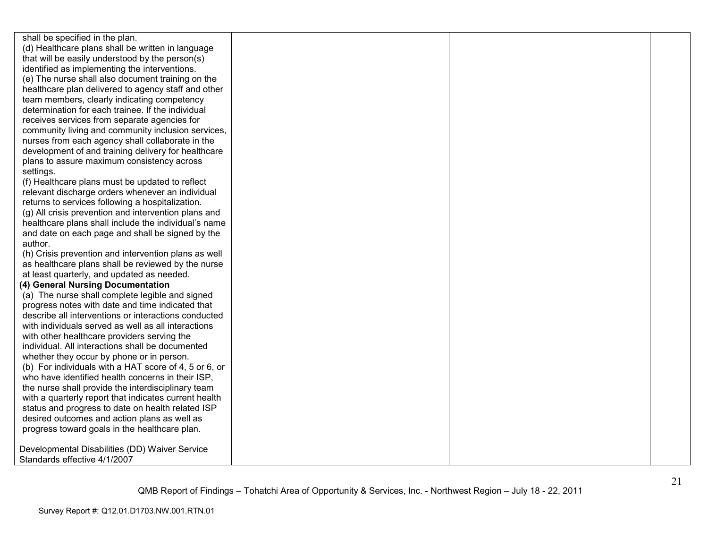shall be specified in the plan. (d) Healthcare plans shall be written in language that will be easily understood by the person(s) identified as implementing the interventions. (e) The nurse shall also document training on the healthcare plan delivered to agency staff and otherteam members, clearly indicating competency determination for each trainee. If the individual receives services from separate agencies for community living and community inclusion services, nurses from each agency shall collaborate in the development of and training delivery for healthcareplans to assure maximum consistency across settings. (f) Healthcare plans must be updated to reflect relevant discharge orders whenever an individual returns to services following a hospitalization. (g) All crisis prevention and intervention plans and healthcare plans shall include the individual's name and date on each page and shall be signed by the author. (h) Crisis prevention and intervention plans as well as healthcare plans shall be reviewed by the nurse at least quarterly, and updated as needed. **(4) General Nursing Documentation**  (a) The nurse shall complete legible and signed progress notes with date and time indicated that describe all interventions or interactions conducted with individuals served as well as all interactionswith other healthcare providers serving the individual. All interactions shall be documented whether they occur by phone or in person. (b) For individuals with a HAT score of 4, 5 or 6, or who have identified health concerns in their ISP, the nurse shall provide the interdisciplinary team with a quarterly report that indicates current health status and progress to date on health related ISP desired outcomes and action plans as well as progress toward goals in the healthcare plan. Developmental Disabilities (DD) Waiver Service Standards effective 4/1/2007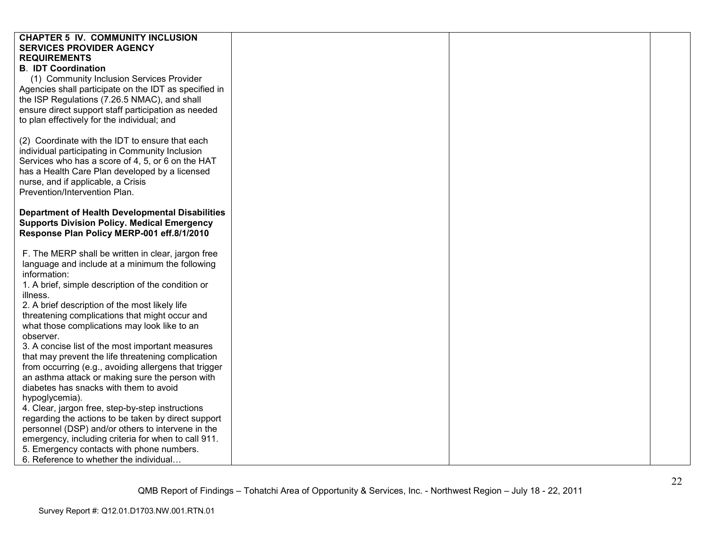| <b>CHAPTER 5 IV. COMMUNITY INCLUSION</b>               |  |  |
|--------------------------------------------------------|--|--|
| <b>SERVICES PROVIDER AGENCY</b>                        |  |  |
| <b>REQUIREMENTS</b>                                    |  |  |
| <b>B. IDT Coordination</b>                             |  |  |
| (1) Community Inclusion Services Provider              |  |  |
| Agencies shall participate on the IDT as specified in  |  |  |
| the ISP Regulations (7.26.5 NMAC), and shall           |  |  |
| ensure direct support staff participation as needed    |  |  |
| to plan effectively for the individual; and            |  |  |
|                                                        |  |  |
| (2) Coordinate with the IDT to ensure that each        |  |  |
| individual participating in Community Inclusion        |  |  |
| Services who has a score of 4, 5, or 6 on the HAT      |  |  |
| has a Health Care Plan developed by a licensed         |  |  |
| nurse, and if applicable, a Crisis                     |  |  |
| Prevention/Intervention Plan.                          |  |  |
|                                                        |  |  |
| <b>Department of Health Developmental Disabilities</b> |  |  |
| <b>Supports Division Policy. Medical Emergency</b>     |  |  |
| Response Plan Policy MERP-001 eff.8/1/2010             |  |  |
|                                                        |  |  |
| F. The MERP shall be written in clear, jargon free     |  |  |
| language and include at a minimum the following        |  |  |
| information:                                           |  |  |
| 1. A brief, simple description of the condition or     |  |  |
| illness.                                               |  |  |
| 2. A brief description of the most likely life         |  |  |
| threatening complications that might occur and         |  |  |
| what those complications may look like to an           |  |  |
| observer.                                              |  |  |
| 3. A concise list of the most important measures       |  |  |
| that may prevent the life threatening complication     |  |  |
| from occurring (e.g., avoiding allergens that trigger  |  |  |
| an asthma attack or making sure the person with        |  |  |
| diabetes has snacks with them to avoid                 |  |  |
| hypoglycemia).                                         |  |  |
| 4. Clear, jargon free, step-by-step instructions       |  |  |
| regarding the actions to be taken by direct support    |  |  |
| personnel (DSP) and/or others to intervene in the      |  |  |
| emergency, including criteria for when to call 911.    |  |  |
| 5. Emergency contacts with phone numbers.              |  |  |
| 6. Reference to whether the individual                 |  |  |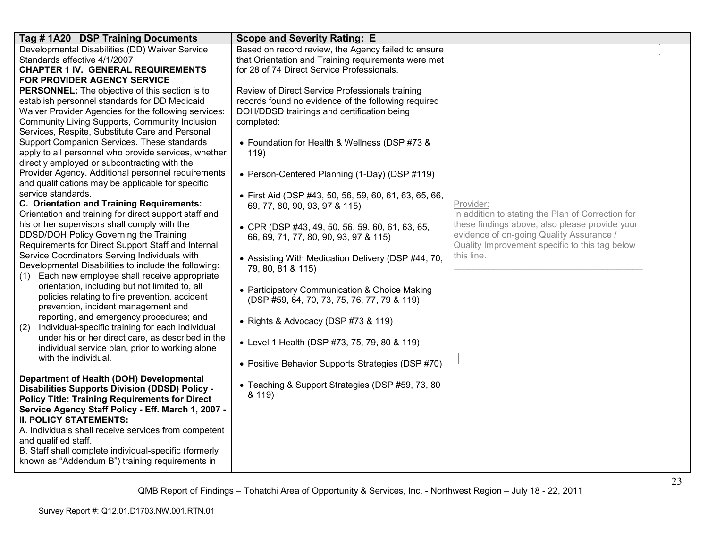| Tag #1A20 DSP Training Documents                                                                           | <b>Scope and Severity Rating: E</b>                   |                                                   |  |
|------------------------------------------------------------------------------------------------------------|-------------------------------------------------------|---------------------------------------------------|--|
| Developmental Disabilities (DD) Waiver Service                                                             | Based on record review, the Agency failed to ensure   |                                                   |  |
| Standards effective 4/1/2007                                                                               | that Orientation and Training requirements were met   |                                                   |  |
| <b>CHAPTER 1 IV. GENERAL REQUIREMENTS</b><br>FOR PROVIDER AGENCY SERVICE                                   | for 28 of 74 Direct Service Professionals.            |                                                   |  |
| PERSONNEL: The objective of this section is to                                                             | Review of Direct Service Professionals training       |                                                   |  |
| establish personnel standards for DD Medicaid                                                              | records found no evidence of the following required   |                                                   |  |
| Waiver Provider Agencies for the following services:                                                       | DOH/DDSD trainings and certification being            |                                                   |  |
| Community Living Supports, Community Inclusion                                                             | completed:                                            |                                                   |  |
| Services, Respite, Substitute Care and Personal                                                            |                                                       |                                                   |  |
| Support Companion Services. These standards                                                                | • Foundation for Health & Wellness (DSP #73 &         |                                                   |  |
| apply to all personnel who provide services, whether                                                       | 119)                                                  |                                                   |  |
| directly employed or subcontracting with the                                                               |                                                       |                                                   |  |
| Provider Agency. Additional personnel requirements<br>and qualifications may be applicable for specific    | • Person-Centered Planning (1-Day) (DSP #119)         |                                                   |  |
| service standards.                                                                                         | • First Aid (DSP #43, 50, 56, 59, 60, 61, 63, 65, 66, |                                                   |  |
| C. Orientation and Training Requirements:                                                                  | 69, 77, 80, 90, 93, 97 & 115)                         | Provider:                                         |  |
| Orientation and training for direct support staff and                                                      |                                                       | In addition to stating the Plan of Correction for |  |
| his or her supervisors shall comply with the                                                               | • CPR (DSP #43, 49, 50, 56, 59, 60, 61, 63, 65,       | these findings above, also please provide your    |  |
| DDSD/DOH Policy Governing the Training                                                                     | 66, 69, 71, 77, 80, 90, 93, 97 & 115)                 | evidence of on-going Quality Assurance /          |  |
| Requirements for Direct Support Staff and Internal                                                         |                                                       | Quality Improvement specific to this tag below    |  |
| Service Coordinators Serving Individuals with                                                              | • Assisting With Medication Delivery (DSP #44, 70,    | this line.                                        |  |
| Developmental Disabilities to include the following:<br>Each new employee shall receive appropriate<br>(1) | 79, 80, 81 & 115)                                     |                                                   |  |
| orientation, including but not limited to, all                                                             |                                                       |                                                   |  |
| policies relating to fire prevention, accident                                                             | • Participatory Communication & Choice Making         |                                                   |  |
| prevention, incident management and                                                                        | (DSP #59, 64, 70, 73, 75, 76, 77, 79 & 119)           |                                                   |  |
| reporting, and emergency procedures; and                                                                   | • Rights & Advocacy (DSP #73 & 119)                   |                                                   |  |
| Individual-specific training for each individual<br>(2)                                                    |                                                       |                                                   |  |
| under his or her direct care, as described in the                                                          | • Level 1 Health (DSP #73, 75, 79, 80 & 119)          |                                                   |  |
| individual service plan, prior to working alone                                                            |                                                       |                                                   |  |
| with the individual.                                                                                       | • Positive Behavior Supports Strategies (DSP #70)     |                                                   |  |
| Department of Health (DOH) Developmental                                                                   |                                                       |                                                   |  |
| <b>Disabilities Supports Division (DDSD) Policy -</b>                                                      | • Teaching & Support Strategies (DSP #59, 73, 80      |                                                   |  |
| <b>Policy Title: Training Requirements for Direct</b>                                                      | & 119)                                                |                                                   |  |
| Service Agency Staff Policy - Eff. March 1, 2007 -                                                         |                                                       |                                                   |  |
| <b>II. POLICY STATEMENTS:</b>                                                                              |                                                       |                                                   |  |
| A. Individuals shall receive services from competent                                                       |                                                       |                                                   |  |
| and qualified staff.                                                                                       |                                                       |                                                   |  |
| B. Staff shall complete individual-specific (formerly<br>known as "Addendum B") training requirements in   |                                                       |                                                   |  |
|                                                                                                            |                                                       |                                                   |  |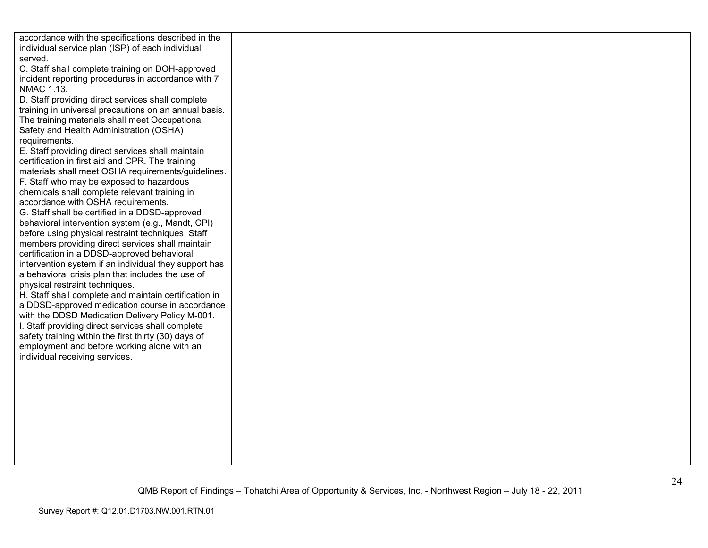| accordance with the specifications described in the   |  |  |
|-------------------------------------------------------|--|--|
| individual service plan (ISP) of each individual      |  |  |
| served.                                               |  |  |
| C. Staff shall complete training on DOH-approved      |  |  |
| incident reporting procedures in accordance with 7    |  |  |
| <b>NMAC 1.13.</b>                                     |  |  |
|                                                       |  |  |
| D. Staff providing direct services shall complete     |  |  |
| training in universal precautions on an annual basis. |  |  |
| The training materials shall meet Occupational        |  |  |
| Safety and Health Administration (OSHA)               |  |  |
| requirements.                                         |  |  |
| E. Staff providing direct services shall maintain     |  |  |
| certification in first aid and CPR. The training      |  |  |
| materials shall meet OSHA requirements/guidelines.    |  |  |
| F. Staff who may be exposed to hazardous              |  |  |
| chemicals shall complete relevant training in         |  |  |
| accordance with OSHA requirements.                    |  |  |
| G. Staff shall be certified in a DDSD-approved        |  |  |
| behavioral intervention system (e.g., Mandt, CPI)     |  |  |
| before using physical restraint techniques. Staff     |  |  |
| members providing direct services shall maintain      |  |  |
| certification in a DDSD-approved behavioral           |  |  |
| intervention system if an individual they support has |  |  |
| a behavioral crisis plan that includes the use of     |  |  |
| physical restraint techniques.                        |  |  |
| H. Staff shall complete and maintain certification in |  |  |
| a DDSD-approved medication course in accordance       |  |  |
| with the DDSD Medication Delivery Policy M-001.       |  |  |
| I. Staff providing direct services shall complete     |  |  |
| safety training within the first thirty (30) days of  |  |  |
| employment and before working alone with an           |  |  |
| individual receiving services.                        |  |  |
|                                                       |  |  |
|                                                       |  |  |
|                                                       |  |  |
|                                                       |  |  |
|                                                       |  |  |
|                                                       |  |  |
|                                                       |  |  |
|                                                       |  |  |
|                                                       |  |  |
|                                                       |  |  |
|                                                       |  |  |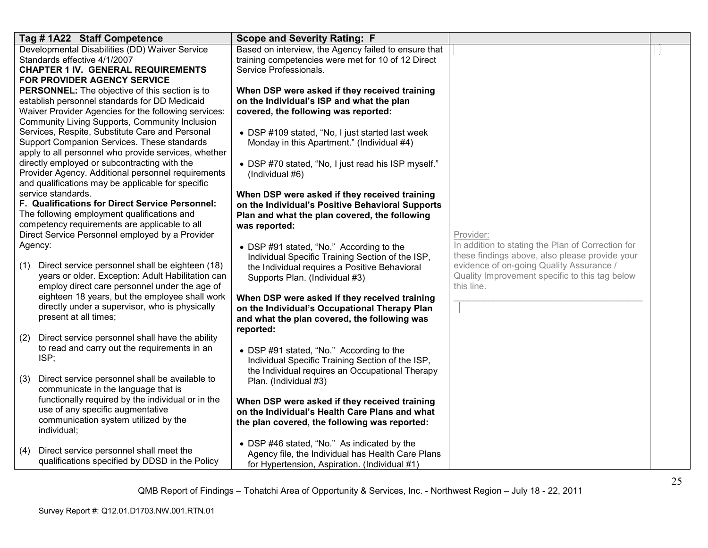| Tag #1A22 Staff Competence                                                                                                                                                                                               | <b>Scope and Severity Rating: F</b>                                                                                                                                 |                                                                                                                                                            |  |
|--------------------------------------------------------------------------------------------------------------------------------------------------------------------------------------------------------------------------|---------------------------------------------------------------------------------------------------------------------------------------------------------------------|------------------------------------------------------------------------------------------------------------------------------------------------------------|--|
| Developmental Disabilities (DD) Waiver Service<br>Standards effective 4/1/2007                                                                                                                                           | Based on interview, the Agency failed to ensure that<br>training competencies were met for 10 of 12 Direct                                                          |                                                                                                                                                            |  |
| <b>CHAPTER 1 IV. GENERAL REQUIREMENTS</b><br><b>FOR PROVIDER AGENCY SERVICE</b>                                                                                                                                          | Service Professionals.                                                                                                                                              |                                                                                                                                                            |  |
| PERSONNEL: The objective of this section is to<br>establish personnel standards for DD Medicaid                                                                                                                          | When DSP were asked if they received training<br>on the Individual's ISP and what the plan                                                                          |                                                                                                                                                            |  |
| Waiver Provider Agencies for the following services:<br>Community Living Supports, Community Inclusion                                                                                                                   | covered, the following was reported:                                                                                                                                |                                                                                                                                                            |  |
| Services, Respite, Substitute Care and Personal<br>Support Companion Services. These standards<br>apply to all personnel who provide services, whether                                                                   | • DSP #109 stated, "No, I just started last week<br>Monday in this Apartment." (Individual #4)                                                                      |                                                                                                                                                            |  |
| directly employed or subcontracting with the<br>Provider Agency. Additional personnel requirements<br>and qualifications may be applicable for specific                                                                  | • DSP #70 stated, "No, I just read his ISP myself."<br>(Individual #6)                                                                                              |                                                                                                                                                            |  |
| service standards.<br>F. Qualifications for Direct Service Personnel:<br>The following employment qualifications and<br>competency requirements are applicable to all<br>Direct Service Personnel employed by a Provider | When DSP were asked if they received training<br>on the Individual's Positive Behavioral Supports<br>Plan and what the plan covered, the following<br>was reported: | Provider:                                                                                                                                                  |  |
| Agency:                                                                                                                                                                                                                  | • DSP #91 stated, "No." According to the                                                                                                                            | In addition to stating the Plan of Correction for                                                                                                          |  |
| Direct service personnel shall be eighteen (18)<br>(1)<br>years or older. Exception: Adult Habilitation can<br>employ direct care personnel under the age of                                                             | Individual Specific Training Section of the ISP,<br>the Individual requires a Positive Behavioral<br>Supports Plan. (Individual #3)                                 | these findings above, also please provide your<br>evidence of on-going Quality Assurance /<br>Quality Improvement specific to this tag below<br>this line. |  |
| eighteen 18 years, but the employee shall work<br>directly under a supervisor, who is physically                                                                                                                         | When DSP were asked if they received training<br>on the Individual's Occupational Therapy Plan                                                                      |                                                                                                                                                            |  |
| present at all times;                                                                                                                                                                                                    | and what the plan covered, the following was<br>reported:                                                                                                           |                                                                                                                                                            |  |
| Direct service personnel shall have the ability<br>(2)<br>to read and carry out the requirements in an<br>ISP;                                                                                                           | • DSP #91 stated, "No." According to the<br>Individual Specific Training Section of the ISP,<br>the Individual requires an Occupational Therapy                     |                                                                                                                                                            |  |
| (3)<br>Direct service personnel shall be available to<br>communicate in the language that is                                                                                                                             | Plan. (Individual #3)                                                                                                                                               |                                                                                                                                                            |  |
| functionally required by the individual or in the<br>use of any specific augmentative<br>communication system utilized by the<br>individual;                                                                             | When DSP were asked if they received training<br>on the Individual's Health Care Plans and what<br>the plan covered, the following was reported:                    |                                                                                                                                                            |  |
| Direct service personnel shall meet the<br>(4)<br>qualifications specified by DDSD in the Policy                                                                                                                         | • DSP #46 stated, "No." As indicated by the<br>Agency file, the Individual has Health Care Plans<br>for Hypertension, Aspiration. (Individual #1)                   |                                                                                                                                                            |  |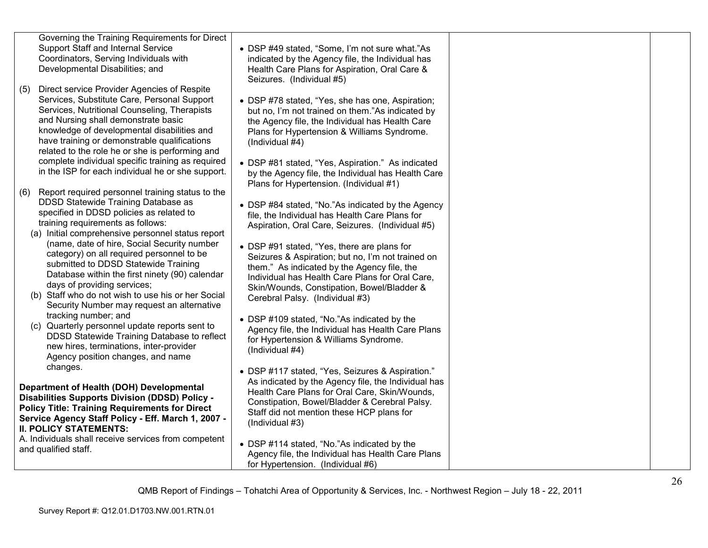| Governing the Training Requirements for Direct<br>Support Staff and Internal Service<br>Coordinators, Serving Individuals with<br>Developmental Disabilities; and<br>Direct service Provider Agencies of Respite<br>(5)                                                                                                                                                                        | • DSP #49 stated, "Some, I'm not sure what."As<br>indicated by the Agency file, the Individual has<br>Health Care Plans for Aspiration, Oral Care &<br>Seizures. (Individual #5)                                                                                                                                                                                                |  |
|------------------------------------------------------------------------------------------------------------------------------------------------------------------------------------------------------------------------------------------------------------------------------------------------------------------------------------------------------------------------------------------------|---------------------------------------------------------------------------------------------------------------------------------------------------------------------------------------------------------------------------------------------------------------------------------------------------------------------------------------------------------------------------------|--|
| Services, Substitute Care, Personal Support<br>Services, Nutritional Counseling, Therapists<br>and Nursing shall demonstrate basic<br>knowledge of developmental disabilities and<br>have training or demonstrable qualifications<br>related to the role he or she is performing and<br>complete individual specific training as required<br>in the ISP for each individual he or she support. | • DSP #78 stated, "Yes, she has one, Aspiration;<br>but no, I'm not trained on them."As indicated by<br>the Agency file, the Individual has Health Care<br>Plans for Hypertension & Williams Syndrome.<br>(Individual #4)<br>• DSP #81 stated, "Yes, Aspiration." As indicated<br>by the Agency file, the Individual has Health Care<br>Plans for Hypertension. (Individual #1) |  |
| Report required personnel training status to the<br>(6)<br>DDSD Statewide Training Database as<br>specified in DDSD policies as related to<br>training requirements as follows:<br>(a) Initial comprehensive personnel status report<br>(name, date of hire, Social Security number                                                                                                            | • DSP #84 stated, "No."As indicated by the Agency<br>file, the Individual has Health Care Plans for<br>Aspiration, Oral Care, Seizures. (Individual #5)<br>• DSP #91 stated, "Yes, there are plans for                                                                                                                                                                          |  |
| category) on all required personnel to be<br>submitted to DDSD Statewide Training<br>Database within the first ninety (90) calendar<br>days of providing services;<br>(b) Staff who do not wish to use his or her Social<br>Security Number may request an alternative                                                                                                                         | Seizures & Aspiration; but no, I'm not trained on<br>them." As indicated by the Agency file, the<br>Individual has Health Care Plans for Oral Care,<br>Skin/Wounds, Constipation, Bowel/Bladder &<br>Cerebral Palsy. (Individual #3)                                                                                                                                            |  |
| tracking number; and<br>(c) Quarterly personnel update reports sent to<br>DDSD Statewide Training Database to reflect<br>new hires, terminations, inter-provider<br>Agency position changes, and name<br>changes.                                                                                                                                                                              | • DSP #109 stated, "No."As indicated by the<br>Agency file, the Individual has Health Care Plans<br>for Hypertension & Williams Syndrome.<br>(Individual #4)                                                                                                                                                                                                                    |  |
| Department of Health (DOH) Developmental<br><b>Disabilities Supports Division (DDSD) Policy -</b><br><b>Policy Title: Training Requirements for Direct</b><br>Service Agency Staff Policy - Eff. March 1, 2007 -<br><b>II. POLICY STATEMENTS:</b>                                                                                                                                              | • DSP #117 stated, "Yes, Seizures & Aspiration."<br>As indicated by the Agency file, the Individual has<br>Health Care Plans for Oral Care, Skin/Wounds,<br>Constipation, Bowel/Bladder & Cerebral Palsy.<br>Staff did not mention these HCP plans for<br>(Individual #3)                                                                                                       |  |
| A. Individuals shall receive services from competent<br>and qualified staff.                                                                                                                                                                                                                                                                                                                   | • DSP #114 stated, "No."As indicated by the<br>Agency file, the Individual has Health Care Plans<br>for Hypertension. (Individual #6)                                                                                                                                                                                                                                           |  |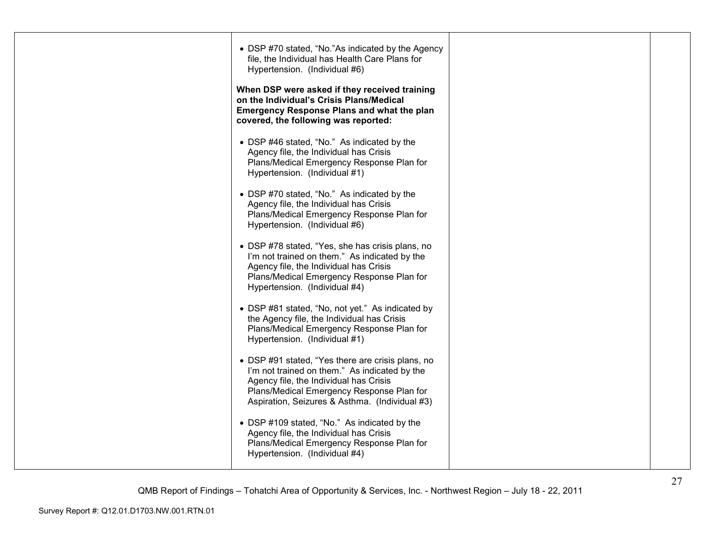| • DSP #70 stated, "No."As indicated by the Agency<br>file, the Individual has Health Care Plans for<br>Hypertension. (Individual #6)                                                                                                        |  |
|---------------------------------------------------------------------------------------------------------------------------------------------------------------------------------------------------------------------------------------------|--|
| When DSP were asked if they received training<br>on the Individual's Crisis Plans/Medical<br><b>Emergency Response Plans and what the plan</b><br>covered, the following was reported:                                                      |  |
| • DSP #46 stated, "No." As indicated by the<br>Agency file, the Individual has Crisis<br>Plans/Medical Emergency Response Plan for<br>Hypertension. (Individual #1)                                                                         |  |
| • DSP #70 stated, "No." As indicated by the<br>Agency file, the Individual has Crisis<br>Plans/Medical Emergency Response Plan for<br>Hypertension. (Individual #6)                                                                         |  |
| • DSP #78 stated, "Yes, she has crisis plans, no<br>I'm not trained on them." As indicated by the<br>Agency file, the Individual has Crisis<br>Plans/Medical Emergency Response Plan for<br>Hypertension. (Individual #4)                   |  |
| • DSP #81 stated, "No, not yet." As indicated by<br>the Agency file, the Individual has Crisis<br>Plans/Medical Emergency Response Plan for<br>Hypertension. (Individual #1)                                                                |  |
| • DSP #91 stated, "Yes there are crisis plans, no<br>I'm not trained on them." As indicated by the<br>Agency file, the Individual has Crisis<br>Plans/Medical Emergency Response Plan for<br>Aspiration, Seizures & Asthma. (Individual #3) |  |
| • DSP #109 stated, "No." As indicated by the<br>Agency file, the Individual has Crisis<br>Plans/Medical Emergency Response Plan for<br>Hypertension. (Individual #4)                                                                        |  |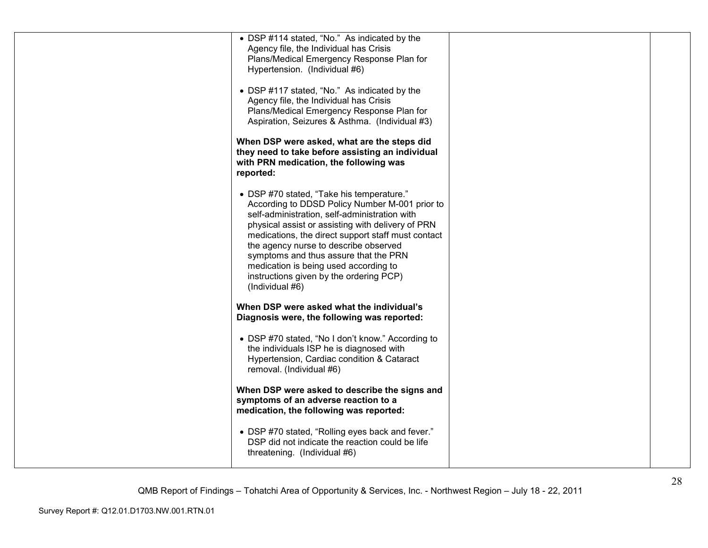| • DSP #114 stated, "No." As indicated by the       |  |
|----------------------------------------------------|--|
| Agency file, the Individual has Crisis             |  |
| Plans/Medical Emergency Response Plan for          |  |
| Hypertension. (Individual #6)                      |  |
|                                                    |  |
| • DSP #117 stated, "No." As indicated by the       |  |
| Agency file, the Individual has Crisis             |  |
| Plans/Medical Emergency Response Plan for          |  |
| Aspiration, Seizures & Asthma. (Individual #3)     |  |
|                                                    |  |
|                                                    |  |
| When DSP were asked, what are the steps did        |  |
| they need to take before assisting an individual   |  |
| with PRN medication, the following was             |  |
| reported:                                          |  |
|                                                    |  |
| • DSP #70 stated, "Take his temperature."          |  |
| According to DDSD Policy Number M-001 prior to     |  |
| self-administration, self-administration with      |  |
| physical assist or assisting with delivery of PRN  |  |
| medications, the direct support staff must contact |  |
|                                                    |  |
| the agency nurse to describe observed              |  |
| symptoms and thus assure that the PRN              |  |
| medication is being used according to              |  |
| instructions given by the ordering PCP)            |  |
| (Individual #6)                                    |  |
|                                                    |  |
| When DSP were asked what the individual's          |  |
| Diagnosis were, the following was reported:        |  |
|                                                    |  |
| • DSP #70 stated, "No I don't know." According to  |  |
| the individuals ISP he is diagnosed with           |  |
|                                                    |  |
| Hypertension, Cardiac condition & Cataract         |  |
| removal. (Individual #6)                           |  |
|                                                    |  |
| When DSP were asked to describe the signs and      |  |
| symptoms of an adverse reaction to a               |  |
| medication, the following was reported:            |  |
|                                                    |  |
| • DSP #70 stated, "Rolling eyes back and fever."   |  |
| DSP did not indicate the reaction could be life    |  |
| threatening. (Individual #6)                       |  |
|                                                    |  |
|                                                    |  |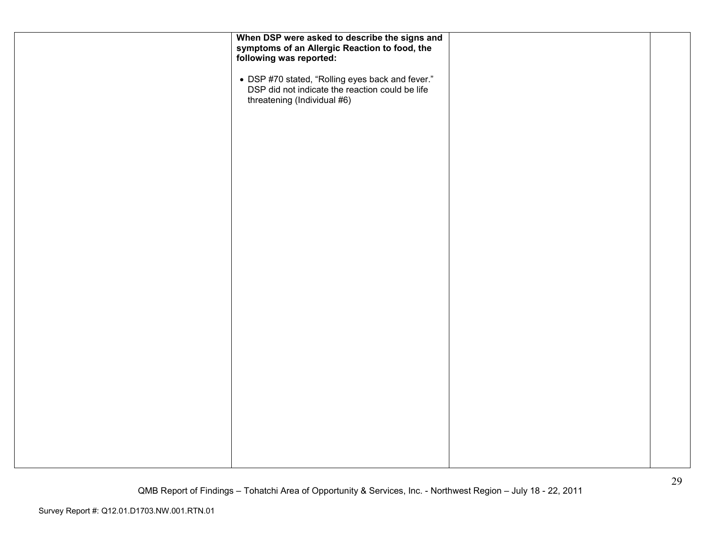| When DSP were asked to describe the signs and<br>symptoms of an Allergic Reaction to food, the<br>following was reported:          |  |
|------------------------------------------------------------------------------------------------------------------------------------|--|
| • DSP #70 stated, "Rolling eyes back and fever."<br>DSP did not indicate the reaction could be life<br>threatening (Individual #6) |  |
|                                                                                                                                    |  |
|                                                                                                                                    |  |
|                                                                                                                                    |  |
|                                                                                                                                    |  |
|                                                                                                                                    |  |
|                                                                                                                                    |  |
|                                                                                                                                    |  |
|                                                                                                                                    |  |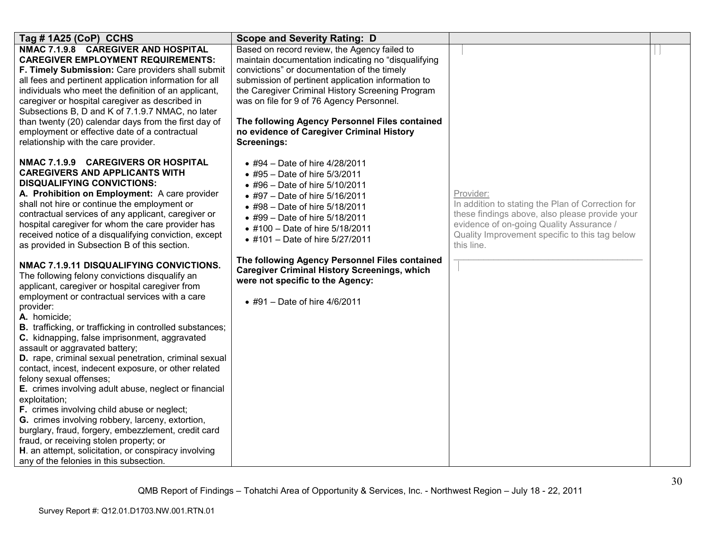| Tag # 1A25 (CoP) CCHS                                                                                                                                                                                                                                                                                                                                                                                                                                                                                                                                                                                                                                                                            | <b>Scope and Severity Rating: D</b>                                                                                                                                                                                                                                                                                                                                                                                                                                 |                                                                                                                                                                                                                              |  |
|--------------------------------------------------------------------------------------------------------------------------------------------------------------------------------------------------------------------------------------------------------------------------------------------------------------------------------------------------------------------------------------------------------------------------------------------------------------------------------------------------------------------------------------------------------------------------------------------------------------------------------------------------------------------------------------------------|---------------------------------------------------------------------------------------------------------------------------------------------------------------------------------------------------------------------------------------------------------------------------------------------------------------------------------------------------------------------------------------------------------------------------------------------------------------------|------------------------------------------------------------------------------------------------------------------------------------------------------------------------------------------------------------------------------|--|
| NMAC 7.1.9.8 CAREGIVER AND HOSPITAL<br><b>CAREGIVER EMPLOYMENT REQUIREMENTS:</b><br>F. Timely Submission: Care providers shall submit<br>all fees and pertinent application information for all<br>individuals who meet the definition of an applicant,<br>caregiver or hospital caregiver as described in<br>Subsections B, D and K of 7.1.9.7 NMAC, no later<br>than twenty (20) calendar days from the first day of<br>employment or effective date of a contractual<br>relationship with the care provider.                                                                                                                                                                                  | Based on record review, the Agency failed to<br>maintain documentation indicating no "disqualifying<br>convictions" or documentation of the timely<br>submission of pertinent application information to<br>the Caregiver Criminal History Screening Program<br>was on file for 9 of 76 Agency Personnel.<br>The following Agency Personnel Files contained<br>no evidence of Caregiver Criminal History<br><b>Screenings:</b>                                      |                                                                                                                                                                                                                              |  |
| NMAC 7.1.9.9 CAREGIVERS OR HOSPITAL<br><b>CAREGIVERS AND APPLICANTS WITH</b><br><b>DISQUALIFYING CONVICTIONS:</b><br>A. Prohibition on Employment: A care provider<br>shall not hire or continue the employment or<br>contractual services of any applicant, caregiver or<br>hospital caregiver for whom the care provider has<br>received notice of a disqualifying conviction, except<br>as provided in Subsection B of this section.<br>NMAC 7.1.9.11 DISQUALIFYING CONVICTIONS.<br>The following felony convictions disqualify an<br>applicant, caregiver or hospital caregiver from<br>employment or contractual services with a care<br>provider:                                          | • #94 – Date of hire $4/28/2011$<br>• #95 - Date of hire 5/3/2011<br>• #96 – Date of hire $5/10/2011$<br>• #97 - Date of hire 5/16/2011<br>• #98 - Date of hire 5/18/2011<br>• #99 – Date of hire $5/18/2011$<br>• #100 - Date of hire 5/18/2011<br>• #101 - Date of hire 5/27/2011<br>The following Agency Personnel Files contained<br><b>Caregiver Criminal History Screenings, which</b><br>were not specific to the Agency:<br>• #91 - Date of hire $4/6/2011$ | Provider:<br>In addition to stating the Plan of Correction for<br>these findings above, also please provide your<br>evidence of on-going Quality Assurance /<br>Quality Improvement specific to this tag below<br>this line. |  |
| A. homicide;<br><b>B.</b> trafficking, or trafficking in controlled substances;<br>C. kidnapping, false imprisonment, aggravated<br>assault or aggravated battery;<br>D. rape, criminal sexual penetration, criminal sexual<br>contact, incest, indecent exposure, or other related<br>felony sexual offenses;<br>E. crimes involving adult abuse, neglect or financial<br>exploitation;<br>F. crimes involving child abuse or neglect;<br>G. crimes involving robbery, larceny, extortion,<br>burglary, fraud, forgery, embezzlement, credit card<br>fraud, or receiving stolen property; or<br>H. an attempt, solicitation, or conspiracy involving<br>any of the felonies in this subsection. |                                                                                                                                                                                                                                                                                                                                                                                                                                                                     |                                                                                                                                                                                                                              |  |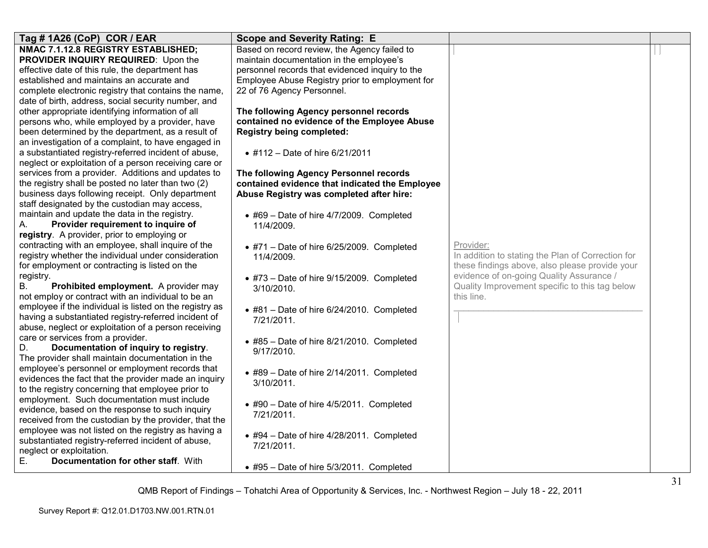| Tag # 1A26 (CoP) COR / EAR                                                                      | <b>Scope and Severity Rating: E</b>               |                                                   |  |
|-------------------------------------------------------------------------------------------------|---------------------------------------------------|---------------------------------------------------|--|
| NMAC 7.1.12.8 REGISTRY ESTABLISHED;                                                             | Based on record review, the Agency failed to      |                                                   |  |
| PROVIDER INQUIRY REQUIRED: Upon the                                                             | maintain documentation in the employee's          |                                                   |  |
| effective date of this rule, the department has                                                 | personnel records that evidenced inquiry to the   |                                                   |  |
| established and maintains an accurate and                                                       | Employee Abuse Registry prior to employment for   |                                                   |  |
| complete electronic registry that contains the name,                                            | 22 of 76 Agency Personnel.                        |                                                   |  |
| date of birth, address, social security number, and                                             |                                                   |                                                   |  |
| other appropriate identifying information of all                                                | The following Agency personnel records            |                                                   |  |
| persons who, while employed by a provider, have                                                 | contained no evidence of the Employee Abuse       |                                                   |  |
| been determined by the department, as a result of                                               | <b>Registry being completed:</b>                  |                                                   |  |
| an investigation of a complaint, to have engaged in                                             |                                                   |                                                   |  |
| a substantiated registry-referred incident of abuse,                                            | • #112 - Date of hire 6/21/2011                   |                                                   |  |
| neglect or exploitation of a person receiving care or                                           |                                                   |                                                   |  |
| services from a provider. Additions and updates to                                              | The following Agency Personnel records            |                                                   |  |
| the registry shall be posted no later than two (2)                                              | contained evidence that indicated the Employee    |                                                   |  |
| business days following receipt. Only department                                                | Abuse Registry was completed after hire:          |                                                   |  |
| staff designated by the custodian may access,                                                   |                                                   |                                                   |  |
| maintain and update the data in the registry.                                                   | $\bullet$ #69 - Date of hire 4/7/2009. Completed  |                                                   |  |
| Provider requirement to inquire of<br>А.                                                        | 11/4/2009.                                        |                                                   |  |
| registry. A provider, prior to employing or                                                     |                                                   |                                                   |  |
| contracting with an employee, shall inquire of the                                              | $\bullet$ #71 - Date of hire 6/25/2009. Completed | Provider:                                         |  |
| registry whether the individual under consideration                                             | 11/4/2009.                                        | In addition to stating the Plan of Correction for |  |
| for employment or contracting is listed on the                                                  |                                                   | these findings above, also please provide your    |  |
| registry.                                                                                       | $\bullet$ #73 - Date of hire 9/15/2009. Completed | evidence of on-going Quality Assurance /          |  |
| <b>B.</b><br>Prohibited employment. A provider may                                              | 3/10/2010.                                        | Quality Improvement specific to this tag below    |  |
| not employ or contract with an individual to be an                                              |                                                   | this line.                                        |  |
| employee if the individual is listed on the registry as                                         | $\bullet$ #81 - Date of hire 6/24/2010. Completed |                                                   |  |
| having a substantiated registry-referred incident of                                            | 7/21/2011.                                        |                                                   |  |
| abuse, neglect or exploitation of a person receiving                                            |                                                   |                                                   |  |
| care or services from a provider.                                                               | $\bullet$ #85 - Date of hire 8/21/2010. Completed |                                                   |  |
| Documentation of inquiry to registry.<br>D.<br>The provider shall maintain documentation in the | 9/17/2010.                                        |                                                   |  |
| employee's personnel or employment records that                                                 |                                                   |                                                   |  |
| evidences the fact that the provider made an inquiry                                            | $\bullet$ #89 - Date of hire 2/14/2011. Completed |                                                   |  |
| to the registry concerning that employee prior to                                               | 3/10/2011.                                        |                                                   |  |
| employment. Such documentation must include                                                     |                                                   |                                                   |  |
| evidence, based on the response to such inquiry                                                 | • #90 - Date of hire 4/5/2011. Completed          |                                                   |  |
| received from the custodian by the provider, that the                                           | 7/21/2011.                                        |                                                   |  |
| employee was not listed on the registry as having a                                             |                                                   |                                                   |  |
| substantiated registry-referred incident of abuse,                                              | $\bullet$ #94 - Date of hire 4/28/2011. Completed |                                                   |  |
| neglect or exploitation.                                                                        | 7/21/2011.                                        |                                                   |  |
| Documentation for other staff. With<br>Е.                                                       |                                                   |                                                   |  |
|                                                                                                 | $\bullet$ #95 - Date of hire 5/3/2011. Completed  |                                                   |  |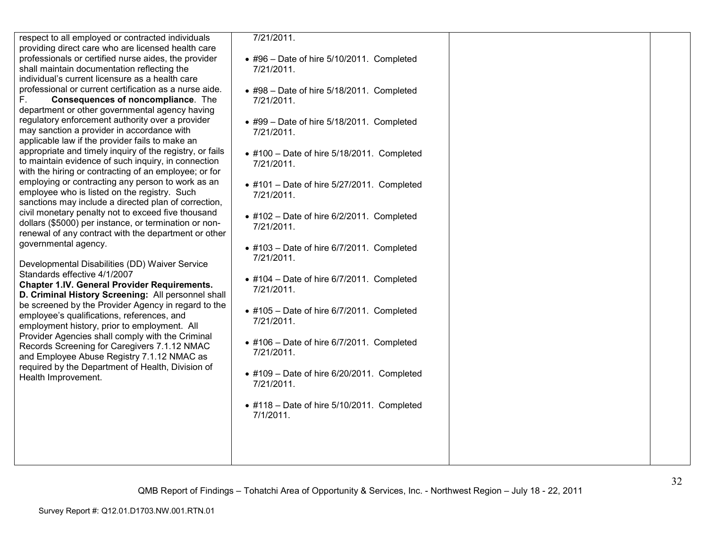respect to all employed or contracted individuals providing direct care who are licensed health care professionals or certified nurse aides, the provider shall maintain documentation reflecting the individual's current licensure as a health care professional or current certification as a nurse aide.

F. **Consequences of noncompliance**. The department or other governmental agency having regulatory enforcement authority over a provider may sanction a provider in accordance with applicable law if the provider fails to make an appropriate and timely inquiry of the registry, or fails to maintain evidence of such inquiry, in connection with the hiring or contracting of an employee; or for employing or contracting any person to work as an employee who is listed on the registry. Such sanctions may include a directed plan of correction, civil monetary penalty not to exceed five thousand dollars (\$5000) per instance, or termination or non renewal of any contract with the department or other governmental agency.

Developmental Disabilities (DD) Waiver Service Standards effective 4/1/2007

 **Chapter 1.IV. General Provider Requirements. D. Criminal History Screening:** All personnel shall be screened by the Provider Agency in regard to theemployee's qualifications, references, and employment history, prior to employment. All Provider Agencies shall comply with the Criminal Records Screening for Caregivers 7.1.12 NMAC and Employee Abuse Registry 7.1.12 NMAC as required by the Department of Health, Division of Health Improvement.

7/21/2011.

- #96 Date of hire 5/10/2011. Completed 7/21/2011.
- #98 Date of hire 5/18/2011. Completed 7/21/2011.
- #99 Date of hire 5/18/2011. Completed 7/21/2011.
- #100 Date of hire 5/18/2011. Completed 7/21/2011.
- #101 Date of hire 5/27/2011. Completed 7/21/2011.
- #102 Date of hire 6/2/2011. Completed 7/21/2011.
- #103 Date of hire 6/7/2011. Completed 7/21/2011.
- #104 Date of hire 6/7/2011. Completed 7/21/2011.
- #105 Date of hire 6/7/2011. Completed 7/21/2011.
- #106 Date of hire 6/7/2011. Completed 7/21/2011.
- #109 Date of hire 6/20/2011. Completed 7/21/2011.
- #118 Date of hire 5/10/2011. Completed 7/1/2011.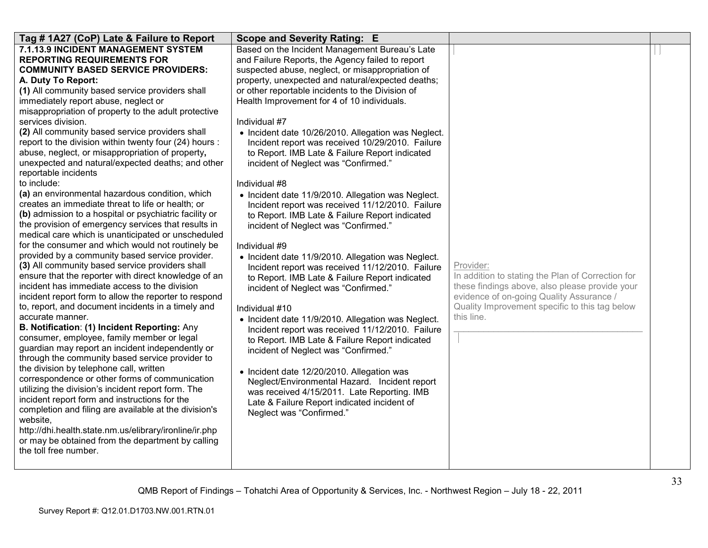| Tag # 1A27 (CoP) Late & Failure to Report                                                           | <b>Scope and Severity Rating: E</b>                                                    |                                                   |  |
|-----------------------------------------------------------------------------------------------------|----------------------------------------------------------------------------------------|---------------------------------------------------|--|
| 7.1.13.9 INCIDENT MANAGEMENT SYSTEM                                                                 | Based on the Incident Management Bureau's Late                                         |                                                   |  |
| <b>REPORTING REQUIREMENTS FOR</b>                                                                   | and Failure Reports, the Agency failed to report                                       |                                                   |  |
| <b>COMMUNITY BASED SERVICE PROVIDERS:</b>                                                           | suspected abuse, neglect, or misappropriation of                                       |                                                   |  |
| A. Duty To Report:                                                                                  | property, unexpected and natural/expected deaths;                                      |                                                   |  |
| (1) All community based service providers shall                                                     | or other reportable incidents to the Division of                                       |                                                   |  |
| immediately report abuse, neglect or                                                                | Health Improvement for 4 of 10 individuals.                                            |                                                   |  |
| misappropriation of property to the adult protective                                                |                                                                                        |                                                   |  |
| services division.<br>(2) All community based service providers shall                               | Individual #7                                                                          |                                                   |  |
| report to the division within twenty four (24) hours :                                              | • Incident date 10/26/2010. Allegation was Neglect.                                    |                                                   |  |
| abuse, neglect, or misappropriation of property,                                                    | Incident report was received 10/29/2010. Failure                                       |                                                   |  |
| unexpected and natural/expected deaths; and other                                                   | to Report. IMB Late & Failure Report indicated<br>incident of Neglect was "Confirmed." |                                                   |  |
| reportable incidents                                                                                |                                                                                        |                                                   |  |
| to include:                                                                                         | Individual #8                                                                          |                                                   |  |
| (a) an environmental hazardous condition, which                                                     | • Incident date 11/9/2010. Allegation was Neglect.                                     |                                                   |  |
| creates an immediate threat to life or health; or                                                   | Incident report was received 11/12/2010. Failure                                       |                                                   |  |
| (b) admission to a hospital or psychiatric facility or                                              | to Report. IMB Late & Failure Report indicated                                         |                                                   |  |
| the provision of emergency services that results in                                                 | incident of Neglect was "Confirmed."                                                   |                                                   |  |
| medical care which is unanticipated or unscheduled                                                  |                                                                                        |                                                   |  |
| for the consumer and which would not routinely be                                                   | Individual #9                                                                          |                                                   |  |
| provided by a community based service provider.                                                     | • Incident date 11/9/2010. Allegation was Neglect.                                     |                                                   |  |
| (3) All community based service providers shall                                                     | Incident report was received 11/12/2010. Failure                                       | Provider:                                         |  |
| ensure that the reporter with direct knowledge of an                                                | to Report. IMB Late & Failure Report indicated                                         | In addition to stating the Plan of Correction for |  |
| incident has immediate access to the division                                                       | incident of Neglect was "Confirmed."                                                   | these findings above, also please provide your    |  |
| incident report form to allow the reporter to respond                                               |                                                                                        | evidence of on-going Quality Assurance /          |  |
| to, report, and document incidents in a timely and                                                  | Individual #10                                                                         | Quality Improvement specific to this tag below    |  |
| accurate manner.                                                                                    | • Incident date 11/9/2010. Allegation was Neglect.                                     | this line.                                        |  |
| B. Notification: (1) Incident Reporting: Any                                                        | Incident report was received 11/12/2010. Failure                                       |                                                   |  |
| consumer, employee, family member or legal                                                          | to Report. IMB Late & Failure Report indicated                                         |                                                   |  |
| guardian may report an incident independently or<br>through the community based service provider to | incident of Neglect was "Confirmed."                                                   |                                                   |  |
| the division by telephone call, written                                                             |                                                                                        |                                                   |  |
| correspondence or other forms of communication                                                      | • Incident date 12/20/2010. Allegation was                                             |                                                   |  |
| utilizing the division's incident report form. The                                                  | Neglect/Environmental Hazard. Incident report                                          |                                                   |  |
| incident report form and instructions for the                                                       | was received 4/15/2011. Late Reporting. IMB                                            |                                                   |  |
| completion and filing are available at the division's                                               | Late & Failure Report indicated incident of<br>Neglect was "Confirmed."                |                                                   |  |
| website.                                                                                            |                                                                                        |                                                   |  |
| http://dhi.health.state.nm.us/elibrary/ironline/ir.php                                              |                                                                                        |                                                   |  |
| or may be obtained from the department by calling                                                   |                                                                                        |                                                   |  |
| the toll free number.                                                                               |                                                                                        |                                                   |  |
|                                                                                                     |                                                                                        |                                                   |  |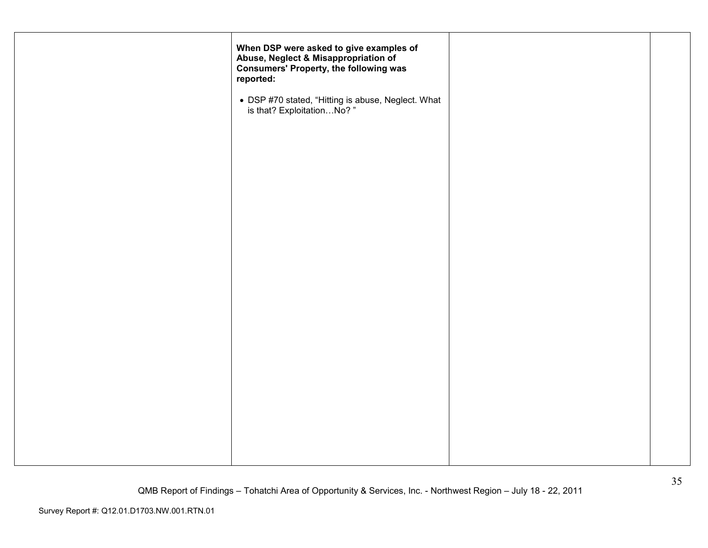| When DSP were asked to give examples of<br>Abuse, Neglect & Misappropriation of<br><b>Consumers' Property, the following was</b><br>reported: |  |
|-----------------------------------------------------------------------------------------------------------------------------------------------|--|
| • DSP #70 stated, "Hitting is abuse, Neglect. What is that? ExploitationNo?"                                                                  |  |
|                                                                                                                                               |  |
|                                                                                                                                               |  |
|                                                                                                                                               |  |
|                                                                                                                                               |  |
|                                                                                                                                               |  |
|                                                                                                                                               |  |
|                                                                                                                                               |  |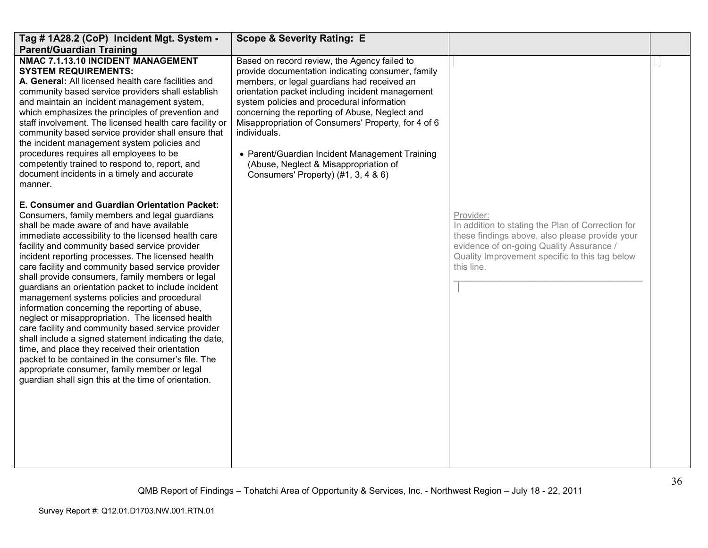| Tag # 1A28.2 (CoP) Incident Mgt. System -<br><b>Parent/Guardian Training</b>                                                                                                                                                                                                                                                                                                                                                                                                                                                                                                                                                                                                                                                                                                                                                                                                                                                                                 | <b>Scope &amp; Severity Rating: E</b>                                                                                                                                                                                                                                                                                                                                                                                                                                                                         |                                                                                                                                                                                                                              |  |
|--------------------------------------------------------------------------------------------------------------------------------------------------------------------------------------------------------------------------------------------------------------------------------------------------------------------------------------------------------------------------------------------------------------------------------------------------------------------------------------------------------------------------------------------------------------------------------------------------------------------------------------------------------------------------------------------------------------------------------------------------------------------------------------------------------------------------------------------------------------------------------------------------------------------------------------------------------------|---------------------------------------------------------------------------------------------------------------------------------------------------------------------------------------------------------------------------------------------------------------------------------------------------------------------------------------------------------------------------------------------------------------------------------------------------------------------------------------------------------------|------------------------------------------------------------------------------------------------------------------------------------------------------------------------------------------------------------------------------|--|
| NMAC 7.1.13.10 INCIDENT MANAGEMENT<br><b>SYSTEM REQUIREMENTS:</b><br>A. General: All licensed health care facilities and<br>community based service providers shall establish<br>and maintain an incident management system,<br>which emphasizes the principles of prevention and<br>staff involvement. The licensed health care facility or<br>community based service provider shall ensure that<br>the incident management system policies and<br>procedures requires all employees to be<br>competently trained to respond to, report, and<br>document incidents in a timely and accurate<br>manner.                                                                                                                                                                                                                                                                                                                                                     | Based on record review, the Agency failed to<br>provide documentation indicating consumer, family<br>members, or legal guardians had received an<br>orientation packet including incident management<br>system policies and procedural information<br>concerning the reporting of Abuse, Neglect and<br>Misappropriation of Consumers' Property, for 4 of 6<br>individuals.<br>• Parent/Guardian Incident Management Training<br>(Abuse, Neglect & Misappropriation of<br>Consumers' Property) (#1, 3, 4 & 6) |                                                                                                                                                                                                                              |  |
| E. Consumer and Guardian Orientation Packet:<br>Consumers, family members and legal guardians<br>shall be made aware of and have available<br>immediate accessibility to the licensed health care<br>facility and community based service provider<br>incident reporting processes. The licensed health<br>care facility and community based service provider<br>shall provide consumers, family members or legal<br>guardians an orientation packet to include incident<br>management systems policies and procedural<br>information concerning the reporting of abuse,<br>neglect or misappropriation. The licensed health<br>care facility and community based service provider<br>shall include a signed statement indicating the date,<br>time, and place they received their orientation<br>packet to be contained in the consumer's file. The<br>appropriate consumer, family member or legal<br>guardian shall sign this at the time of orientation. |                                                                                                                                                                                                                                                                                                                                                                                                                                                                                                               | Provider:<br>In addition to stating the Plan of Correction for<br>these findings above, also please provide your<br>evidence of on-going Quality Assurance /<br>Quality Improvement specific to this tag below<br>this line. |  |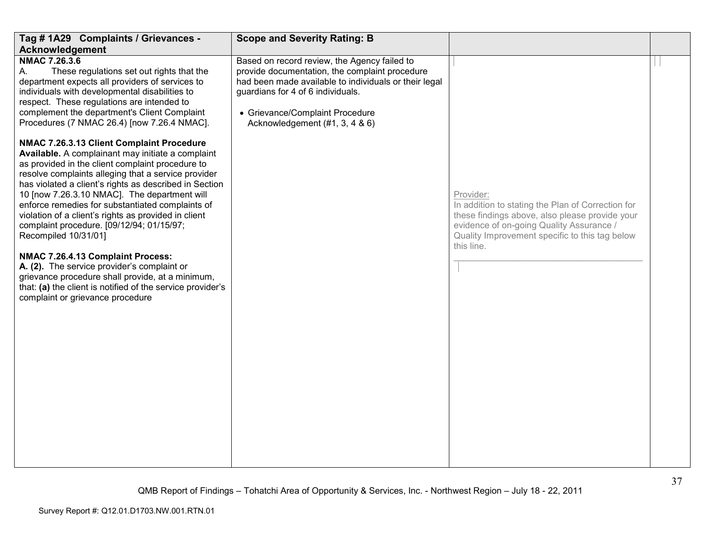| Tag # 1A29 Complaints / Grievances -                                                                                                                                                                                                                                                                                                                                                                                                                                                                                                                                                                                                                                                                                                           | <b>Scope and Severity Rating: B</b>                                                                                                                                                                                                                               |                                                                                                                                                                                                                              |  |
|------------------------------------------------------------------------------------------------------------------------------------------------------------------------------------------------------------------------------------------------------------------------------------------------------------------------------------------------------------------------------------------------------------------------------------------------------------------------------------------------------------------------------------------------------------------------------------------------------------------------------------------------------------------------------------------------------------------------------------------------|-------------------------------------------------------------------------------------------------------------------------------------------------------------------------------------------------------------------------------------------------------------------|------------------------------------------------------------------------------------------------------------------------------------------------------------------------------------------------------------------------------|--|
| Acknowledgement                                                                                                                                                                                                                                                                                                                                                                                                                                                                                                                                                                                                                                                                                                                                |                                                                                                                                                                                                                                                                   |                                                                                                                                                                                                                              |  |
| NMAC 7.26.3.6<br>These regulations set out rights that the<br>А.<br>department expects all providers of services to<br>individuals with developmental disabilities to<br>respect. These regulations are intended to<br>complement the department's Client Complaint<br>Procedures (7 NMAC 26.4) [now 7.26.4 NMAC].                                                                                                                                                                                                                                                                                                                                                                                                                             | Based on record review, the Agency failed to<br>provide documentation, the complaint procedure<br>had been made available to individuals or their legal<br>guardians for 4 of 6 individuals.<br>• Grievance/Complaint Procedure<br>Acknowledgement (#1, 3, 4 & 6) |                                                                                                                                                                                                                              |  |
| NMAC 7.26.3.13 Client Complaint Procedure<br>Available. A complainant may initiate a complaint<br>as provided in the client complaint procedure to<br>resolve complaints alleging that a service provider<br>has violated a client's rights as described in Section<br>10 [now 7.26.3.10 NMAC]. The department will<br>enforce remedies for substantiated complaints of<br>violation of a client's rights as provided in client<br>complaint procedure. [09/12/94; 01/15/97;<br>Recompiled 10/31/01]<br>NMAC 7.26.4.13 Complaint Process:<br>A. (2). The service provider's complaint or<br>grievance procedure shall provide, at a minimum,<br>that: (a) the client is notified of the service provider's<br>complaint or grievance procedure |                                                                                                                                                                                                                                                                   | Provider:<br>In addition to stating the Plan of Correction for<br>these findings above, also please provide your<br>evidence of on-going Quality Assurance /<br>Quality Improvement specific to this tag below<br>this line. |  |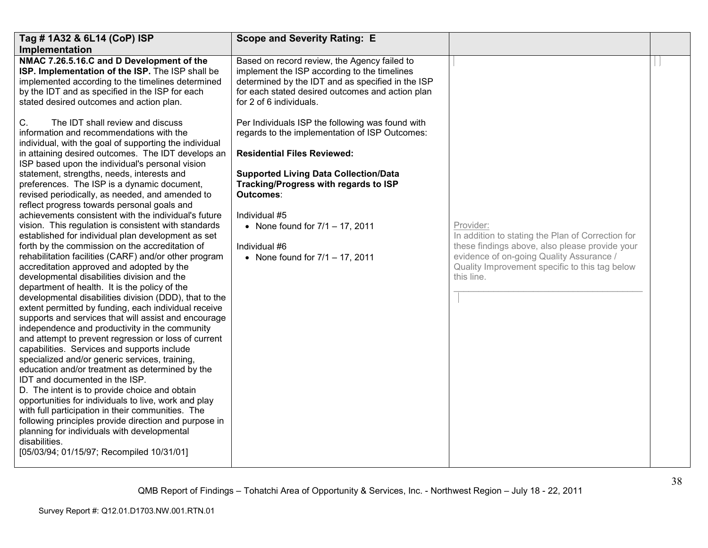| Tag # 1A32 & 6L14 (CoP) ISP                                                                                                                                                                                                                                                                                                                                                                                                                                                                                                                                                                                                                                                                                                                                                                                | <b>Scope and Severity Rating: E</b>                                                                                                                                                                                              |                                                                                                                                                                                                                              |  |
|------------------------------------------------------------------------------------------------------------------------------------------------------------------------------------------------------------------------------------------------------------------------------------------------------------------------------------------------------------------------------------------------------------------------------------------------------------------------------------------------------------------------------------------------------------------------------------------------------------------------------------------------------------------------------------------------------------------------------------------------------------------------------------------------------------|----------------------------------------------------------------------------------------------------------------------------------------------------------------------------------------------------------------------------------|------------------------------------------------------------------------------------------------------------------------------------------------------------------------------------------------------------------------------|--|
| Implementation                                                                                                                                                                                                                                                                                                                                                                                                                                                                                                                                                                                                                                                                                                                                                                                             |                                                                                                                                                                                                                                  |                                                                                                                                                                                                                              |  |
| NMAC 7.26.5.16.C and D Development of the<br>ISP. Implementation of the ISP. The ISP shall be<br>implemented according to the timelines determined<br>by the IDT and as specified in the ISP for each<br>stated desired outcomes and action plan.                                                                                                                                                                                                                                                                                                                                                                                                                                                                                                                                                          | Based on record review, the Agency failed to<br>implement the ISP according to the timelines<br>determined by the IDT and as specified in the ISP<br>for each stated desired outcomes and action plan<br>for 2 of 6 individuals. |                                                                                                                                                                                                                              |  |
| C.<br>The IDT shall review and discuss<br>information and recommendations with the<br>individual, with the goal of supporting the individual                                                                                                                                                                                                                                                                                                                                                                                                                                                                                                                                                                                                                                                               | Per Individuals ISP the following was found with<br>regards to the implementation of ISP Outcomes:                                                                                                                               |                                                                                                                                                                                                                              |  |
| in attaining desired outcomes. The IDT develops an<br>ISP based upon the individual's personal vision                                                                                                                                                                                                                                                                                                                                                                                                                                                                                                                                                                                                                                                                                                      | <b>Residential Files Reviewed:</b>                                                                                                                                                                                               |                                                                                                                                                                                                                              |  |
| statement, strengths, needs, interests and<br>preferences. The ISP is a dynamic document,<br>revised periodically, as needed, and amended to<br>reflect progress towards personal goals and<br>achievements consistent with the individual's future<br>vision. This regulation is consistent with standards<br>established for individual plan development as set<br>forth by the commission on the accreditation of<br>rehabilitation facilities (CARF) and/or other program<br>accreditation approved and adopted by the<br>developmental disabilities division and the<br>department of health. It is the policy of the                                                                                                                                                                                 | <b>Supported Living Data Collection/Data</b><br>Tracking/Progress with regards to ISP<br>Outcomes:<br>Individual #5<br>• None found for $7/1 - 17$ , 2011<br>Individual #6<br>• None found for $7/1 - 17$ , 2011                 | Provider:<br>In addition to stating the Plan of Correction for<br>these findings above, also please provide your<br>evidence of on-going Quality Assurance /<br>Quality Improvement specific to this tag below<br>this line. |  |
| developmental disabilities division (DDD), that to the<br>extent permitted by funding, each individual receive<br>supports and services that will assist and encourage<br>independence and productivity in the community<br>and attempt to prevent regression or loss of current<br>capabilities. Services and supports include<br>specialized and/or generic services, training,<br>education and/or treatment as determined by the<br>IDT and documented in the ISP.<br>D. The intent is to provide choice and obtain<br>opportunities for individuals to live, work and play<br>with full participation in their communities. The<br>following principles provide direction and purpose in<br>planning for individuals with developmental<br>disabilities.<br>[05/03/94; 01/15/97; Recompiled 10/31/01] |                                                                                                                                                                                                                                  |                                                                                                                                                                                                                              |  |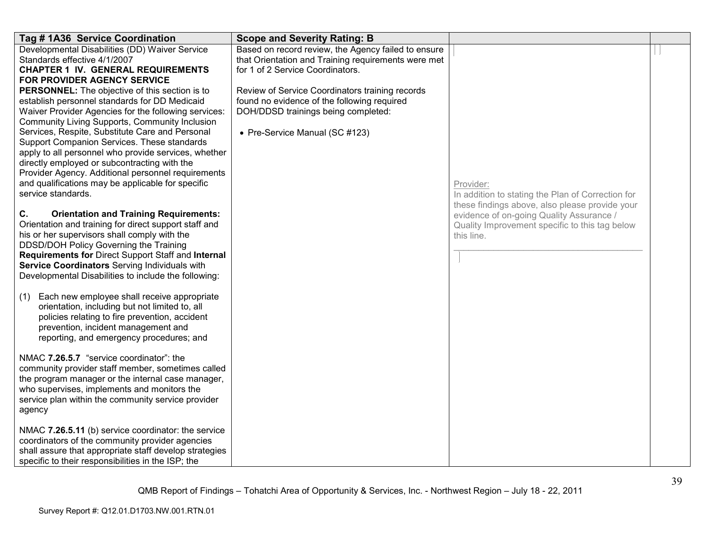| Tag # 1A36 Service Coordination                                                                                                                                                                                                                                                                                                                                                                                                                                                                                                                                                                                                                                                                                                                                                                                                                                                                                                                                                                                                                                                                                                                                                                            | <b>Scope and Severity Rating: B</b>                                                                                                                                                                                                                                                                                       |                                                                                                                                                                                                                              |  |
|------------------------------------------------------------------------------------------------------------------------------------------------------------------------------------------------------------------------------------------------------------------------------------------------------------------------------------------------------------------------------------------------------------------------------------------------------------------------------------------------------------------------------------------------------------------------------------------------------------------------------------------------------------------------------------------------------------------------------------------------------------------------------------------------------------------------------------------------------------------------------------------------------------------------------------------------------------------------------------------------------------------------------------------------------------------------------------------------------------------------------------------------------------------------------------------------------------|---------------------------------------------------------------------------------------------------------------------------------------------------------------------------------------------------------------------------------------------------------------------------------------------------------------------------|------------------------------------------------------------------------------------------------------------------------------------------------------------------------------------------------------------------------------|--|
| Developmental Disabilities (DD) Waiver Service<br>Standards effective 4/1/2007<br><b>CHAPTER 1 IV. GENERAL REQUIREMENTS</b><br>FOR PROVIDER AGENCY SERVICE<br><b>PERSONNEL:</b> The objective of this section is to<br>establish personnel standards for DD Medicaid<br>Waiver Provider Agencies for the following services:<br>Community Living Supports, Community Inclusion<br>Services, Respite, Substitute Care and Personal<br>Support Companion Services. These standards<br>apply to all personnel who provide services, whether<br>directly employed or subcontracting with the<br>Provider Agency. Additional personnel requirements<br>and qualifications may be applicable for specific<br>service standards.<br>C.<br><b>Orientation and Training Requirements:</b><br>Orientation and training for direct support staff and<br>his or her supervisors shall comply with the<br>DDSD/DOH Policy Governing the Training<br>Requirements for Direct Support Staff and Internal<br>Service Coordinators Serving Individuals with<br>Developmental Disabilities to include the following:<br>Each new employee shall receive appropriate<br>(1)<br>orientation, including but not limited to, all | Based on record review, the Agency failed to ensure<br>that Orientation and Training requirements were met<br>for 1 of 2 Service Coordinators.<br>Review of Service Coordinators training records<br>found no evidence of the following required<br>DOH/DDSD trainings being completed:<br>• Pre-Service Manual (SC #123) | Provider:<br>In addition to stating the Plan of Correction for<br>these findings above, also please provide your<br>evidence of on-going Quality Assurance /<br>Quality Improvement specific to this tag below<br>this line. |  |
| policies relating to fire prevention, accident<br>prevention, incident management and<br>reporting, and emergency procedures; and<br>NMAC 7.26.5.7 "service coordinator": the<br>community provider staff member, sometimes called<br>the program manager or the internal case manager,<br>who supervises, implements and monitors the<br>service plan within the community service provider                                                                                                                                                                                                                                                                                                                                                                                                                                                                                                                                                                                                                                                                                                                                                                                                               |                                                                                                                                                                                                                                                                                                                           |                                                                                                                                                                                                                              |  |
| agency<br>NMAC 7.26.5.11 (b) service coordinator: the service<br>coordinators of the community provider agencies<br>shall assure that appropriate staff develop strategies<br>specific to their responsibilities in the ISP; the                                                                                                                                                                                                                                                                                                                                                                                                                                                                                                                                                                                                                                                                                                                                                                                                                                                                                                                                                                           |                                                                                                                                                                                                                                                                                                                           |                                                                                                                                                                                                                              |  |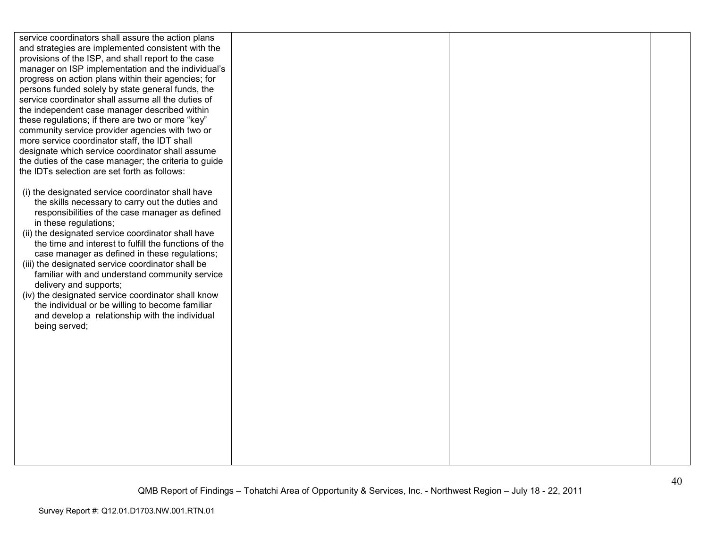service coordinators shall assure the action plans and strategies are implemented consistent with the provisions of the ISP, and shall report to the case manager on ISP implementation and the individual's progress on action plans within their agencies; for persons funded solely by state general funds, the service coordinator shall assume all the duties of the independent case manager described within these regulations; if there are two or more "key" community service provider agencies with two or more service coordinator staff, the IDT shall designate which service coordinator shall assume the duties of the case manager; the criteria to guide the IDTs selection are set forth as follows:

- (i) the designated service coordinator shall have the skills necessary to carry out the duties and responsibilities of the case manager as defined in these regulations;
- (ii) the designated service coordinator shall have the time and interest to fulfill the functions of the case manager as defined in these regulations;
- (iii) the designated service coordinator shall be familiar with and understand community service delivery and supports;
- (iv) the designated service coordinator shall know the individual or be willing to become familiar and develop a relationship with the individual being served;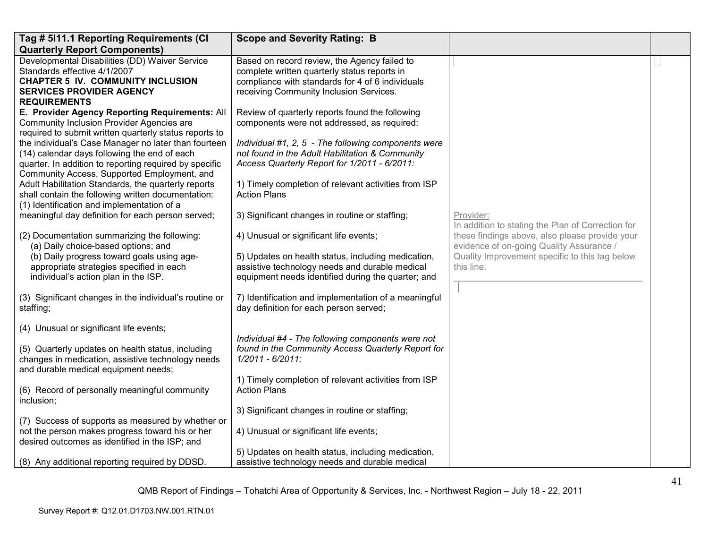| Tag # 5111.1 Reporting Requirements (CI                                                                                                                                                                                                                                                                                                                                                                                                                                                                                                                                                                                                       | <b>Scope and Severity Rating: B</b>                                                                                                                                                                                                                                                                                                                                                                                                 |                                                                                                                  |  |
|-----------------------------------------------------------------------------------------------------------------------------------------------------------------------------------------------------------------------------------------------------------------------------------------------------------------------------------------------------------------------------------------------------------------------------------------------------------------------------------------------------------------------------------------------------------------------------------------------------------------------------------------------|-------------------------------------------------------------------------------------------------------------------------------------------------------------------------------------------------------------------------------------------------------------------------------------------------------------------------------------------------------------------------------------------------------------------------------------|------------------------------------------------------------------------------------------------------------------|--|
| <b>Quarterly Report Components)</b>                                                                                                                                                                                                                                                                                                                                                                                                                                                                                                                                                                                                           |                                                                                                                                                                                                                                                                                                                                                                                                                                     |                                                                                                                  |  |
| Developmental Disabilities (DD) Waiver Service<br>Standards effective 4/1/2007<br><b>CHAPTER 5 IV. COMMUNITY INCLUSION</b><br><b>SERVICES PROVIDER AGENCY</b><br><b>REQUIREMENTS</b>                                                                                                                                                                                                                                                                                                                                                                                                                                                          | Based on record review, the Agency failed to<br>complete written quarterly status reports in<br>compliance with standards for 4 of 6 individuals<br>receiving Community Inclusion Services.                                                                                                                                                                                                                                         |                                                                                                                  |  |
| E. Provider Agency Reporting Requirements: All<br><b>Community Inclusion Provider Agencies are</b><br>required to submit written quarterly status reports to<br>the individual's Case Manager no later than fourteen<br>(14) calendar days following the end of each<br>quarter. In addition to reporting required by specific<br>Community Access, Supported Employment, and<br>Adult Habilitation Standards, the quarterly reports<br>shall contain the following written documentation:<br>(1) Identification and implementation of a<br>meaningful day definition for each person served;<br>(2) Documentation summarizing the following: | Review of quarterly reports found the following<br>components were not addressed, as required:<br>Individual #1, 2, 5 - The following components were<br>not found in the Adult Habilitation & Community<br>Access Quarterly Report for 1/2011 - 6/2011:<br>1) Timely completion of relevant activities from ISP<br><b>Action Plans</b><br>3) Significant changes in routine or staffing;<br>4) Unusual or significant life events; | Provider:<br>In addition to stating the Plan of Correction for<br>these findings above, also please provide your |  |
| (a) Daily choice-based options; and<br>(b) Daily progress toward goals using age-<br>appropriate strategies specified in each<br>individual's action plan in the ISP.                                                                                                                                                                                                                                                                                                                                                                                                                                                                         | 5) Updates on health status, including medication,<br>assistive technology needs and durable medical<br>equipment needs identified during the quarter; and                                                                                                                                                                                                                                                                          | evidence of on-going Quality Assurance /<br>Quality Improvement specific to this tag below<br>this line.         |  |
| (3) Significant changes in the individual's routine or<br>staffing;                                                                                                                                                                                                                                                                                                                                                                                                                                                                                                                                                                           | 7) Identification and implementation of a meaningful<br>day definition for each person served;                                                                                                                                                                                                                                                                                                                                      |                                                                                                                  |  |
| (4) Unusual or significant life events;                                                                                                                                                                                                                                                                                                                                                                                                                                                                                                                                                                                                       | Individual #4 - The following components were not                                                                                                                                                                                                                                                                                                                                                                                   |                                                                                                                  |  |
| (5) Quarterly updates on health status, including<br>changes in medication, assistive technology needs<br>and durable medical equipment needs;                                                                                                                                                                                                                                                                                                                                                                                                                                                                                                | found in the Community Access Quarterly Report for<br>1/2011 - 6/2011:                                                                                                                                                                                                                                                                                                                                                              |                                                                                                                  |  |
| (6) Record of personally meaningful community<br>inclusion;                                                                                                                                                                                                                                                                                                                                                                                                                                                                                                                                                                                   | 1) Timely completion of relevant activities from ISP<br><b>Action Plans</b>                                                                                                                                                                                                                                                                                                                                                         |                                                                                                                  |  |
|                                                                                                                                                                                                                                                                                                                                                                                                                                                                                                                                                                                                                                               | 3) Significant changes in routine or staffing;                                                                                                                                                                                                                                                                                                                                                                                      |                                                                                                                  |  |
| (7) Success of supports as measured by whether or<br>not the person makes progress toward his or her<br>desired outcomes as identified in the ISP; and                                                                                                                                                                                                                                                                                                                                                                                                                                                                                        | 4) Unusual or significant life events;                                                                                                                                                                                                                                                                                                                                                                                              |                                                                                                                  |  |
| (8) Any additional reporting required by DDSD.                                                                                                                                                                                                                                                                                                                                                                                                                                                                                                                                                                                                | 5) Updates on health status, including medication,<br>assistive technology needs and durable medical                                                                                                                                                                                                                                                                                                                                |                                                                                                                  |  |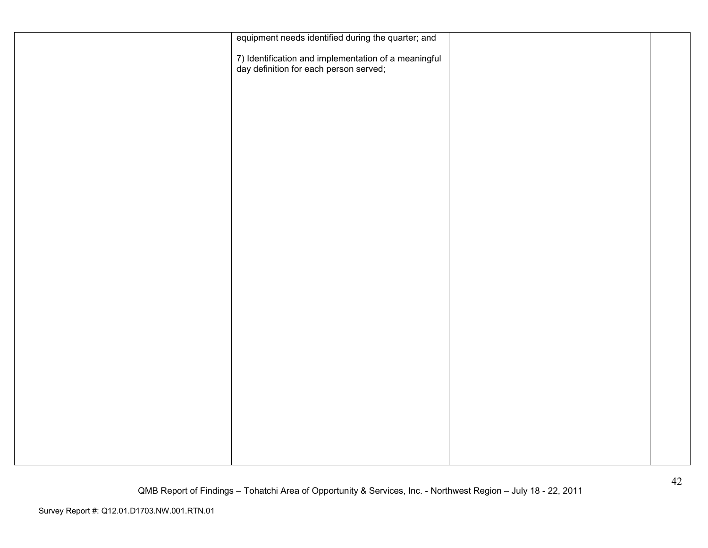| equipment needs identified during the quarter; and                                             |  |
|------------------------------------------------------------------------------------------------|--|
| 7) Identification and implementation of a meaningful<br>day definition for each person served; |  |
|                                                                                                |  |
|                                                                                                |  |
|                                                                                                |  |
|                                                                                                |  |
|                                                                                                |  |
|                                                                                                |  |
|                                                                                                |  |
|                                                                                                |  |
|                                                                                                |  |
|                                                                                                |  |
|                                                                                                |  |
|                                                                                                |  |
|                                                                                                |  |
|                                                                                                |  |
|                                                                                                |  |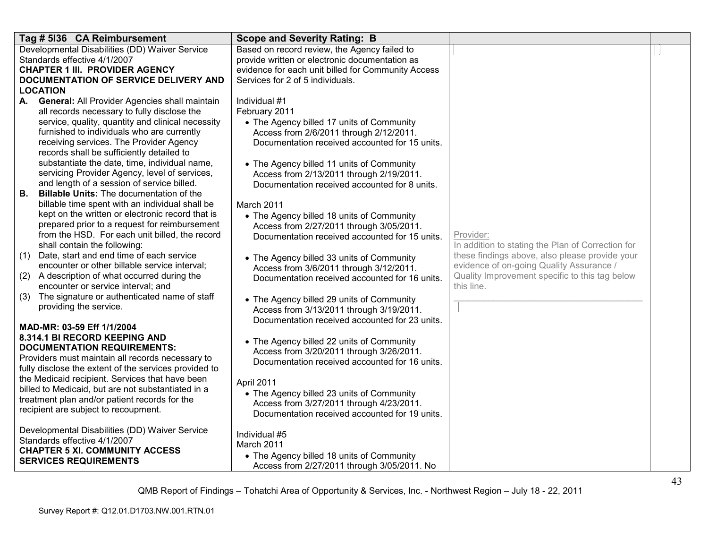| Tag # 5136 CA Reimbursement                                                           | <b>Scope and Severity Rating: B</b>                                                       |                                                   |  |
|---------------------------------------------------------------------------------------|-------------------------------------------------------------------------------------------|---------------------------------------------------|--|
| Developmental Disabilities (DD) Waiver Service                                        | Based on record review, the Agency failed to                                              |                                                   |  |
| Standards effective 4/1/2007                                                          | provide written or electronic documentation as                                            |                                                   |  |
| <b>CHAPTER 1 III. PROVIDER AGENCY</b>                                                 | evidence for each unit billed for Community Access                                        |                                                   |  |
| DOCUMENTATION OF SERVICE DELIVERY AND                                                 | Services for 2 of 5 individuals.                                                          |                                                   |  |
| <b>LOCATION</b>                                                                       |                                                                                           |                                                   |  |
| A. General: All Provider Agencies shall maintain                                      | Individual #1                                                                             |                                                   |  |
| all records necessary to fully disclose the                                           | February 2011                                                                             |                                                   |  |
| service, quality, quantity and clinical necessity                                     | • The Agency billed 17 units of Community                                                 |                                                   |  |
| furnished to individuals who are currently                                            | Access from 2/6/2011 through 2/12/2011.                                                   |                                                   |  |
| receiving services. The Provider Agency<br>records shall be sufficiently detailed to  | Documentation received accounted for 15 units.                                            |                                                   |  |
| substantiate the date, time, individual name,                                         |                                                                                           |                                                   |  |
| servicing Provider Agency, level of services,                                         | • The Agency billed 11 units of Community                                                 |                                                   |  |
| and length of a session of service billed.                                            | Access from 2/13/2011 through 2/19/2011.<br>Documentation received accounted for 8 units. |                                                   |  |
| В.<br><b>Billable Units:</b> The documentation of the                                 |                                                                                           |                                                   |  |
| billable time spent with an individual shall be                                       | March 2011                                                                                |                                                   |  |
| kept on the written or electronic record that is                                      | • The Agency billed 18 units of Community                                                 |                                                   |  |
| prepared prior to a request for reimbursement                                         | Access from 2/27/2011 through 3/05/2011.                                                  |                                                   |  |
| from the HSD. For each unit billed, the record                                        | Documentation received accounted for 15 units.                                            | Provider:                                         |  |
| shall contain the following:                                                          |                                                                                           | In addition to stating the Plan of Correction for |  |
| Date, start and end time of each service<br>(1)                                       | • The Agency billed 33 units of Community                                                 | these findings above, also please provide your    |  |
| encounter or other billable service interval;                                         | Access from 3/6/2011 through 3/12/2011.                                                   | evidence of on-going Quality Assurance /          |  |
| A description of what occurred during the<br>(2)                                      | Documentation received accounted for 16 units.                                            | Quality Improvement specific to this tag below    |  |
| encounter or service interval; and                                                    |                                                                                           | this line.                                        |  |
| The signature or authenticated name of staff<br>(3)                                   | • The Agency billed 29 units of Community                                                 |                                                   |  |
| providing the service.                                                                | Access from 3/13/2011 through 3/19/2011.                                                  |                                                   |  |
|                                                                                       | Documentation received accounted for 23 units.                                            |                                                   |  |
| MAD-MR: 03-59 Eff 1/1/2004                                                            |                                                                                           |                                                   |  |
| 8.314.1 BI RECORD KEEPING AND                                                         | • The Agency billed 22 units of Community                                                 |                                                   |  |
| <b>DOCUMENTATION REQUIREMENTS:</b>                                                    | Access from 3/20/2011 through 3/26/2011.                                                  |                                                   |  |
| Providers must maintain all records necessary to                                      | Documentation received accounted for 16 units.                                            |                                                   |  |
| fully disclose the extent of the services provided to                                 |                                                                                           |                                                   |  |
| the Medicaid recipient. Services that have been                                       | April 2011                                                                                |                                                   |  |
| billed to Medicaid, but are not substantiated in a                                    | • The Agency billed 23 units of Community                                                 |                                                   |  |
| treatment plan and/or patient records for the<br>recipient are subject to recoupment. | Access from 3/27/2011 through 4/23/2011.                                                  |                                                   |  |
|                                                                                       | Documentation received accounted for 19 units.                                            |                                                   |  |
| Developmental Disabilities (DD) Waiver Service                                        |                                                                                           |                                                   |  |
| Standards effective 4/1/2007                                                          | Individual #5                                                                             |                                                   |  |
| <b>CHAPTER 5 XI. COMMUNITY ACCESS</b>                                                 | March 2011                                                                                |                                                   |  |
| <b>SERVICES REQUIREMENTS</b>                                                          | • The Agency billed 18 units of Community                                                 |                                                   |  |
|                                                                                       | Access from 2/27/2011 through 3/05/2011. No                                               |                                                   |  |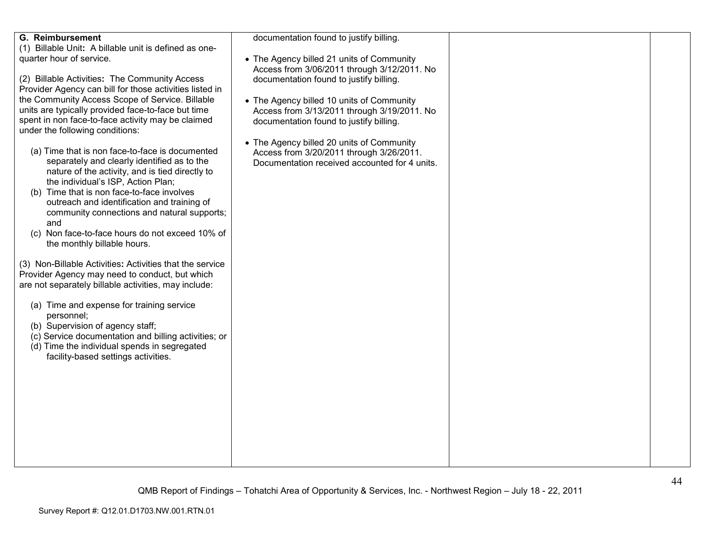| <b>G. Reimbursement</b>                                                              | documentation found to justify billing.       |  |
|--------------------------------------------------------------------------------------|-----------------------------------------------|--|
| (1) Billable Unit: A billable unit is defined as one-                                |                                               |  |
| quarter hour of service.                                                             | • The Agency billed 21 units of Community     |  |
|                                                                                      | Access from 3/06/2011 through 3/12/2011. No   |  |
| (2) Billable Activities: The Community Access                                        | documentation found to justify billing.       |  |
| Provider Agency can bill for those activities listed in                              |                                               |  |
| the Community Access Scope of Service. Billable                                      | • The Agency billed 10 units of Community     |  |
| units are typically provided face-to-face but time                                   | Access from 3/13/2011 through 3/19/2011. No   |  |
| spent in non face-to-face activity may be claimed<br>under the following conditions: | documentation found to justify billing.       |  |
|                                                                                      | • The Agency billed 20 units of Community     |  |
| (a) Time that is non face-to-face is documented                                      | Access from 3/20/2011 through 3/26/2011.      |  |
| separately and clearly identified as to the                                          | Documentation received accounted for 4 units. |  |
| nature of the activity, and is tied directly to                                      |                                               |  |
| the individual's ISP, Action Plan;                                                   |                                               |  |
| (b) Time that is non face-to-face involves                                           |                                               |  |
| outreach and identification and training of                                          |                                               |  |
| community connections and natural supports;                                          |                                               |  |
| and                                                                                  |                                               |  |
| (c) Non face-to-face hours do not exceed 10% of                                      |                                               |  |
| the monthly billable hours.                                                          |                                               |  |
|                                                                                      |                                               |  |
| (3) Non-Billable Activities: Activities that the service                             |                                               |  |
| Provider Agency may need to conduct, but which                                       |                                               |  |
| are not separately billable activities, may include:                                 |                                               |  |
| (a) Time and expense for training service                                            |                                               |  |
| personnel;                                                                           |                                               |  |
| (b) Supervision of agency staff;                                                     |                                               |  |
| (c) Service documentation and billing activities; or                                 |                                               |  |
| (d) Time the individual spends in segregated                                         |                                               |  |
| facility-based settings activities.                                                  |                                               |  |
|                                                                                      |                                               |  |
|                                                                                      |                                               |  |
|                                                                                      |                                               |  |
|                                                                                      |                                               |  |
|                                                                                      |                                               |  |
|                                                                                      |                                               |  |
|                                                                                      |                                               |  |
|                                                                                      |                                               |  |
|                                                                                      |                                               |  |
|                                                                                      |                                               |  |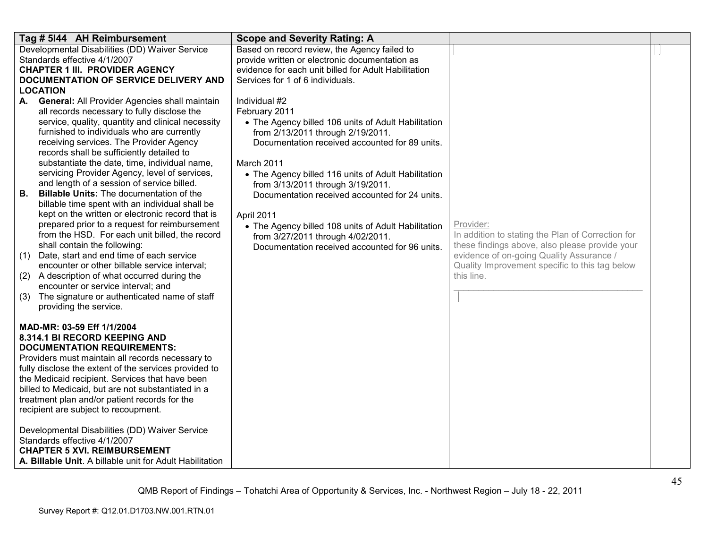| Tag # 5144 AH Reimbursement                                                                     | <b>Scope and Severity Rating: A</b>                                                            |                                                                |  |
|-------------------------------------------------------------------------------------------------|------------------------------------------------------------------------------------------------|----------------------------------------------------------------|--|
| Developmental Disabilities (DD) Waiver Service<br>Standards effective 4/1/2007                  | Based on record review, the Agency failed to<br>provide written or electronic documentation as |                                                                |  |
| <b>CHAPTER 1 III. PROVIDER AGENCY</b>                                                           | evidence for each unit billed for Adult Habilitation                                           |                                                                |  |
| DOCUMENTATION OF SERVICE DELIVERY AND                                                           | Services for 1 of 6 individuals.                                                               |                                                                |  |
| <b>LOCATION</b>                                                                                 |                                                                                                |                                                                |  |
| A. General: All Provider Agencies shall maintain<br>all records necessary to fully disclose the | Individual #2<br>February 2011                                                                 |                                                                |  |
| service, quality, quantity and clinical necessity                                               | • The Agency billed 106 units of Adult Habilitation                                            |                                                                |  |
| furnished to individuals who are currently                                                      | from 2/13/2011 through 2/19/2011.                                                              |                                                                |  |
| receiving services. The Provider Agency                                                         | Documentation received accounted for 89 units.                                                 |                                                                |  |
| records shall be sufficiently detailed to                                                       |                                                                                                |                                                                |  |
| substantiate the date, time, individual name,<br>servicing Provider Agency, level of services,  | March 2011                                                                                     |                                                                |  |
| and length of a session of service billed.                                                      | • The Agency billed 116 units of Adult Habilitation<br>from 3/13/2011 through 3/19/2011.       |                                                                |  |
| <b>Billable Units: The documentation of the</b><br>В.                                           | Documentation received accounted for 24 units.                                                 |                                                                |  |
| billable time spent with an individual shall be                                                 |                                                                                                |                                                                |  |
| kept on the written or electronic record that is                                                | April 2011                                                                                     |                                                                |  |
| prepared prior to a request for reimbursement<br>from the HSD. For each unit billed, the record | • The Agency billed 108 units of Adult Habilitation                                            | Provider:<br>In addition to stating the Plan of Correction for |  |
| shall contain the following:                                                                    | from 3/27/2011 through 4/02/2011.<br>Documentation received accounted for 96 units.            | these findings above, also please provide your                 |  |
| Date, start and end time of each service<br>(1)                                                 |                                                                                                | evidence of on-going Quality Assurance /                       |  |
| encounter or other billable service interval;                                                   |                                                                                                | Quality Improvement specific to this tag below                 |  |
| (2) A description of what occurred during the                                                   |                                                                                                | this line.                                                     |  |
| encounter or service interval; and<br>The signature or authenticated name of staff<br>(3)       |                                                                                                |                                                                |  |
| providing the service.                                                                          |                                                                                                |                                                                |  |
|                                                                                                 |                                                                                                |                                                                |  |
| MAD-MR: 03-59 Eff 1/1/2004                                                                      |                                                                                                |                                                                |  |
| 8.314.1 BI RECORD KEEPING AND<br><b>DOCUMENTATION REQUIREMENTS:</b>                             |                                                                                                |                                                                |  |
| Providers must maintain all records necessary to                                                |                                                                                                |                                                                |  |
| fully disclose the extent of the services provided to                                           |                                                                                                |                                                                |  |
| the Medicaid recipient. Services that have been                                                 |                                                                                                |                                                                |  |
| billed to Medicaid, but are not substantiated in a                                              |                                                                                                |                                                                |  |
| treatment plan and/or patient records for the<br>recipient are subject to recoupment.           |                                                                                                |                                                                |  |
|                                                                                                 |                                                                                                |                                                                |  |
| Developmental Disabilities (DD) Waiver Service                                                  |                                                                                                |                                                                |  |
| Standards effective 4/1/2007                                                                    |                                                                                                |                                                                |  |
| <b>CHAPTER 5 XVI. REIMBURSEMENT</b><br>A. Billable Unit. A billable unit for Adult Habilitation |                                                                                                |                                                                |  |
|                                                                                                 |                                                                                                |                                                                |  |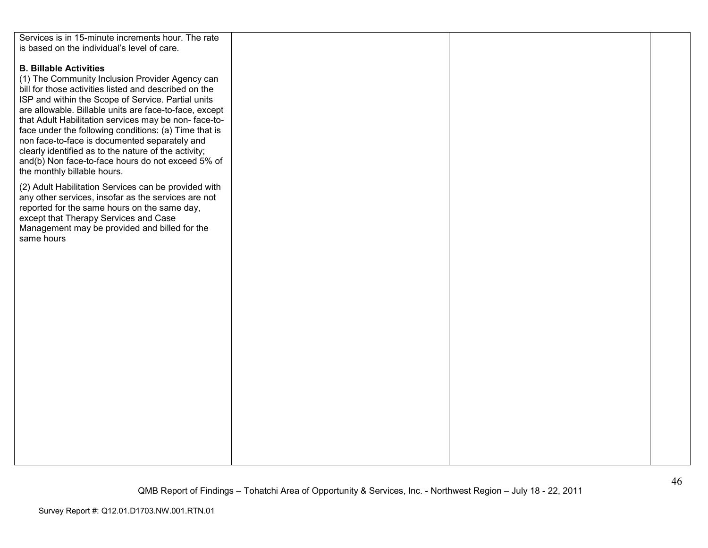| Services is in 15-minute increments hour. The rate     |  |  |
|--------------------------------------------------------|--|--|
|                                                        |  |  |
| is based on the individual's level of care.            |  |  |
|                                                        |  |  |
| <b>B. Billable Activities</b>                          |  |  |
|                                                        |  |  |
| (1) The Community Inclusion Provider Agency can        |  |  |
| bill for those activities listed and described on the  |  |  |
|                                                        |  |  |
| ISP and within the Scope of Service. Partial units     |  |  |
| are allowable. Billable units are face-to-face, except |  |  |
| that Adult Habilitation services may be non-face-to-   |  |  |
|                                                        |  |  |
| face under the following conditions: (a) Time that is  |  |  |
| non face-to-face is documented separately and          |  |  |
| clearly identified as to the nature of the activity;   |  |  |
|                                                        |  |  |
| and(b) Non face-to-face hours do not exceed 5% of      |  |  |
| the monthly billable hours.                            |  |  |
|                                                        |  |  |
| (2) Adult Habilitation Services can be provided with   |  |  |
| any other services, insofar as the services are not    |  |  |
|                                                        |  |  |
| reported for the same hours on the same day,           |  |  |
| except that Therapy Services and Case                  |  |  |
| Management may be provided and billed for the          |  |  |
|                                                        |  |  |
| same hours                                             |  |  |
|                                                        |  |  |
|                                                        |  |  |
|                                                        |  |  |
|                                                        |  |  |
|                                                        |  |  |
|                                                        |  |  |
|                                                        |  |  |
|                                                        |  |  |
|                                                        |  |  |
|                                                        |  |  |
|                                                        |  |  |
|                                                        |  |  |
|                                                        |  |  |
|                                                        |  |  |
|                                                        |  |  |
|                                                        |  |  |
|                                                        |  |  |
|                                                        |  |  |
|                                                        |  |  |
|                                                        |  |  |
|                                                        |  |  |
|                                                        |  |  |
|                                                        |  |  |
|                                                        |  |  |
|                                                        |  |  |
|                                                        |  |  |
|                                                        |  |  |
|                                                        |  |  |
|                                                        |  |  |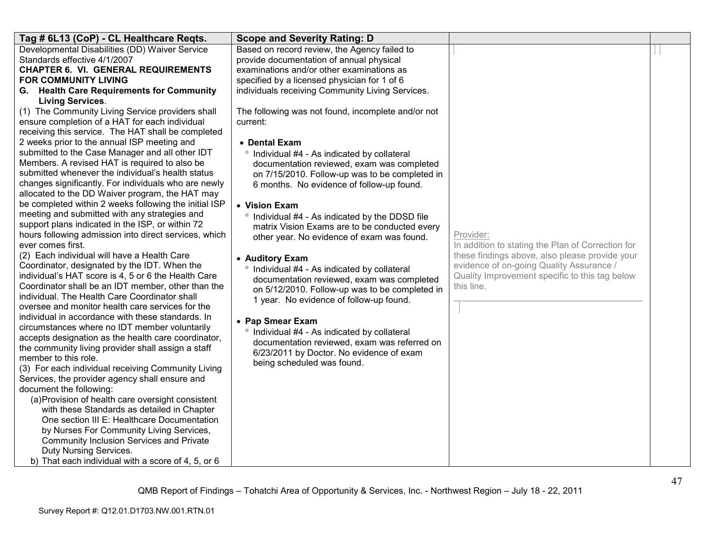| Tag # 6L13 (CoP) - CL Healthcare Reqts.                                                                                                                                                                                                                                                                                                                                                                                                                                                                                                                                                                                                                                                                                                                                                                                                                                                                                                                                                                                                                                                                                                                                                                                                                                                                                                                                                                                                                                                                                                                                                                                                                                                                                                                  | <b>Scope and Severity Rating: D</b>                                                                                                                                                                                                                                                                                                                                                                                                                                                                                                                                                                                                                                                                                                                                                                                                                         |                                                                                                                                                                                                                              |  |
|----------------------------------------------------------------------------------------------------------------------------------------------------------------------------------------------------------------------------------------------------------------------------------------------------------------------------------------------------------------------------------------------------------------------------------------------------------------------------------------------------------------------------------------------------------------------------------------------------------------------------------------------------------------------------------------------------------------------------------------------------------------------------------------------------------------------------------------------------------------------------------------------------------------------------------------------------------------------------------------------------------------------------------------------------------------------------------------------------------------------------------------------------------------------------------------------------------------------------------------------------------------------------------------------------------------------------------------------------------------------------------------------------------------------------------------------------------------------------------------------------------------------------------------------------------------------------------------------------------------------------------------------------------------------------------------------------------------------------------------------------------|-------------------------------------------------------------------------------------------------------------------------------------------------------------------------------------------------------------------------------------------------------------------------------------------------------------------------------------------------------------------------------------------------------------------------------------------------------------------------------------------------------------------------------------------------------------------------------------------------------------------------------------------------------------------------------------------------------------------------------------------------------------------------------------------------------------------------------------------------------------|------------------------------------------------------------------------------------------------------------------------------------------------------------------------------------------------------------------------------|--|
| Developmental Disabilities (DD) Waiver Service<br>Standards effective 4/1/2007<br><b>CHAPTER 6. VI. GENERAL REQUIREMENTS</b><br><b>FOR COMMUNITY LIVING</b><br>G. Health Care Requirements for Community<br><b>Living Services.</b>                                                                                                                                                                                                                                                                                                                                                                                                                                                                                                                                                                                                                                                                                                                                                                                                                                                                                                                                                                                                                                                                                                                                                                                                                                                                                                                                                                                                                                                                                                                      | Based on record review, the Agency failed to<br>provide documentation of annual physical<br>examinations and/or other examinations as<br>specified by a licensed physician for 1 of 6<br>individuals receiving Community Living Services.                                                                                                                                                                                                                                                                                                                                                                                                                                                                                                                                                                                                                   |                                                                                                                                                                                                                              |  |
| (1) The Community Living Service providers shall<br>ensure completion of a HAT for each individual<br>receiving this service. The HAT shall be completed<br>2 weeks prior to the annual ISP meeting and<br>submitted to the Case Manager and all other IDT<br>Members. A revised HAT is required to also be<br>submitted whenever the individual's health status<br>changes significantly. For individuals who are newly<br>allocated to the DD Waiver program, the HAT may<br>be completed within 2 weeks following the initial ISP<br>meeting and submitted with any strategies and<br>support plans indicated in the ISP, or within 72<br>hours following admission into direct services, which<br>ever comes first.<br>(2) Each individual will have a Health Care<br>Coordinator, designated by the IDT. When the<br>individual's HAT score is 4, 5 or 6 the Health Care<br>Coordinator shall be an IDT member, other than the<br>individual. The Health Care Coordinator shall<br>oversee and monitor health care services for the<br>individual in accordance with these standards. In<br>circumstances where no IDT member voluntarily<br>accepts designation as the health care coordinator,<br>the community living provider shall assign a staff<br>member to this role.<br>(3) For each individual receiving Community Living<br>Services, the provider agency shall ensure and<br>document the following:<br>(a) Provision of health care oversight consistent<br>with these Standards as detailed in Chapter<br>One section III E: Healthcare Documentation<br>by Nurses For Community Living Services,<br><b>Community Inclusion Services and Private</b><br>Duty Nursing Services.<br>b) That each individual with a score of 4, 5, or 6 | The following was not found, incomplete and/or not<br>current:<br>• Dental Exam<br>° Individual #4 - As indicated by collateral<br>documentation reviewed, exam was completed<br>on 7/15/2010. Follow-up was to be completed in<br>6 months. No evidence of follow-up found.<br>• Vision Exam<br>° Individual #4 - As indicated by the DDSD file<br>matrix Vision Exams are to be conducted every<br>other year. No evidence of exam was found.<br>• Auditory Exam<br>° Individual #4 - As indicated by collateral<br>documentation reviewed, exam was completed<br>on 5/12/2010. Follow-up was to be completed in<br>1 year. No evidence of follow-up found.<br>• Pap Smear Exam<br>° Individual #4 - As indicated by collateral<br>documentation reviewed, exam was referred on<br>6/23/2011 by Doctor. No evidence of exam<br>being scheduled was found. | Provider:<br>In addition to stating the Plan of Correction for<br>these findings above, also please provide your<br>evidence of on-going Quality Assurance /<br>Quality Improvement specific to this tag below<br>this line. |  |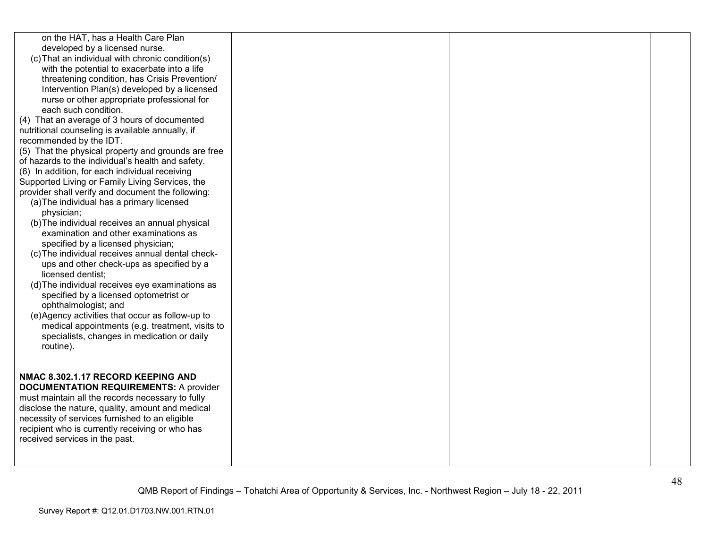| on the HAT, has a Health Care Plan<br>developed by a licensed nurse. |  |  |
|----------------------------------------------------------------------|--|--|
| (c) That an individual with chronic condition(s)                     |  |  |
| with the potential to exacerbate into a life                         |  |  |
| threatening condition, has Crisis Prevention/                        |  |  |
| Intervention Plan(s) developed by a licensed                         |  |  |
| nurse or other appropriate professional for                          |  |  |
| each such condition.                                                 |  |  |
| (4) That an average of 3 hours of documented                         |  |  |
| nutritional counseling is available annually, if                     |  |  |
| recommended by the IDT.                                              |  |  |
| (5) That the physical property and grounds are free                  |  |  |
| of hazards to the individual's health and safety.                    |  |  |
| (6) In addition, for each individual receiving                       |  |  |
| Supported Living or Family Living Services, the                      |  |  |
| provider shall verify and document the following:                    |  |  |
| (a) The individual has a primary licensed                            |  |  |
| physician;                                                           |  |  |
| (b) The individual receives an annual physical                       |  |  |
| examination and other examinations as                                |  |  |
| specified by a licensed physician;                                   |  |  |
| (c) The individual receives annual dental check-                     |  |  |
| ups and other check-ups as specified by a                            |  |  |
| licensed dentist:                                                    |  |  |
| (d) The individual receives eye examinations as                      |  |  |
| specified by a licensed optometrist or                               |  |  |
| ophthalmologist; and                                                 |  |  |
| (e)Agency activities that occur as follow-up to                      |  |  |
| medical appointments (e.g. treatment, visits to                      |  |  |
| specialists, changes in medication or daily                          |  |  |
| routine).                                                            |  |  |
|                                                                      |  |  |
| NMAC 8.302.1.17 RECORD KEEPING AND                                   |  |  |
| <b>DOCUMENTATION REQUIREMENTS: A provider</b>                        |  |  |
| must maintain all the records necessary to fully                     |  |  |
| disclose the nature, quality, amount and medical                     |  |  |
| necessity of services furnished to an eligible                       |  |  |
| recipient who is currently receiving or who has                      |  |  |
| received services in the past.                                       |  |  |
|                                                                      |  |  |
|                                                                      |  |  |
|                                                                      |  |  |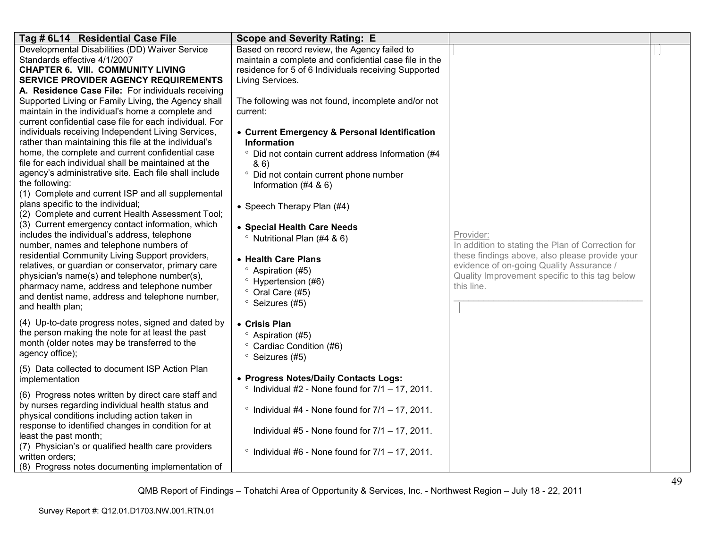| Tag # 6L14 Residential Case File                                                                                                                                                                                                                                                                                                                                                                                                                                                                                                                                                                                                                                                                                                                               | <b>Scope and Severity Rating: E</b>                                                                                                                                                                                                                                                                                                                                          |                                                                                                                                                                                                                              |  |
|----------------------------------------------------------------------------------------------------------------------------------------------------------------------------------------------------------------------------------------------------------------------------------------------------------------------------------------------------------------------------------------------------------------------------------------------------------------------------------------------------------------------------------------------------------------------------------------------------------------------------------------------------------------------------------------------------------------------------------------------------------------|------------------------------------------------------------------------------------------------------------------------------------------------------------------------------------------------------------------------------------------------------------------------------------------------------------------------------------------------------------------------------|------------------------------------------------------------------------------------------------------------------------------------------------------------------------------------------------------------------------------|--|
| Developmental Disabilities (DD) Waiver Service<br>Standards effective 4/1/2007<br><b>CHAPTER 6. VIII. COMMUNITY LIVING</b><br><b>SERVICE PROVIDER AGENCY REQUIREMENTS</b><br>A. Residence Case File: For individuals receiving<br>Supported Living or Family Living, the Agency shall<br>maintain in the individual's home a complete and<br>current confidential case file for each individual. For<br>individuals receiving Independent Living Services,<br>rather than maintaining this file at the individual's                                                                                                                                                                                                                                            | Based on record review, the Agency failed to<br>maintain a complete and confidential case file in the<br>residence for 5 of 6 Individuals receiving Supported<br>Living Services.<br>The following was not found, incomplete and/or not<br>current:<br>• Current Emergency & Personal Identification<br><b>Information</b>                                                   |                                                                                                                                                                                                                              |  |
| home, the complete and current confidential case<br>file for each individual shall be maintained at the<br>agency's administrative site. Each file shall include<br>the following:<br>(1) Complete and current ISP and all supplemental<br>plans specific to the individual;<br>(2) Complete and current Health Assessment Tool;<br>(3) Current emergency contact information, which<br>includes the individual's address, telephone<br>number, names and telephone numbers of<br>residential Community Living Support providers,<br>relatives, or guardian or conservator, primary care<br>physician's name(s) and telephone number(s),<br>pharmacy name, address and telephone number<br>and dentist name, address and telephone number,<br>and health plan; | Did not contain current address Information (#4<br>86)<br>° Did not contain current phone number<br>Information $(#4 8 6)$<br>• Speech Therapy Plan (#4)<br>• Special Health Care Needs<br><sup>o</sup> Nutritional Plan (#4 & 6)<br>• Health Care Plans<br><sup>o</sup> Aspiration (#5)<br><sup>o</sup> Hypertension (#6)<br>° Oral Care (#5)<br><sup>o</sup> Seizures (#5) | Provider:<br>In addition to stating the Plan of Correction for<br>these findings above, also please provide your<br>evidence of on-going Quality Assurance /<br>Quality Improvement specific to this tag below<br>this line. |  |
| (4) Up-to-date progress notes, signed and dated by<br>the person making the note for at least the past<br>month (older notes may be transferred to the<br>agency office);                                                                                                                                                                                                                                                                                                                                                                                                                                                                                                                                                                                      | • Crisis Plan<br><sup>o</sup> Aspiration (#5)<br>° Cardiac Condition (#6)<br><sup>o</sup> Seizures (#5)                                                                                                                                                                                                                                                                      |                                                                                                                                                                                                                              |  |
| (5) Data collected to document ISP Action Plan<br>implementation                                                                                                                                                                                                                                                                                                                                                                                                                                                                                                                                                                                                                                                                                               | • Progress Notes/Daily Contacts Logs:                                                                                                                                                                                                                                                                                                                                        |                                                                                                                                                                                                                              |  |
| (6) Progress notes written by direct care staff and<br>by nurses regarding individual health status and<br>physical conditions including action taken in<br>response to identified changes in condition for at<br>least the past month;<br>(7) Physician's or qualified health care providers<br>written orders;                                                                                                                                                                                                                                                                                                                                                                                                                                               | $\degree$ Individual #4 - None found for $7/1 - 17$ , 2011.<br>Individual #5 - None found for $7/1 - 17$ , 2011.<br>$\degree$ Individual #6 - None found for $7/1 - 17$ , 2011.                                                                                                                                                                                              |                                                                                                                                                                                                                              |  |
| (8) Progress notes documenting implementation of                                                                                                                                                                                                                                                                                                                                                                                                                                                                                                                                                                                                                                                                                                               | Individual $#2$ - None found for $7/1 - 17$ , 2011.                                                                                                                                                                                                                                                                                                                          |                                                                                                                                                                                                                              |  |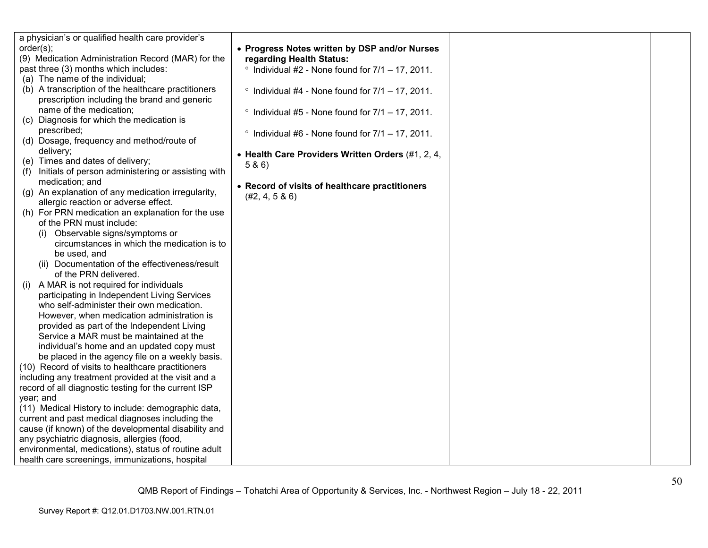| a physician's or qualified health care provider's         |                                                             |
|-----------------------------------------------------------|-------------------------------------------------------------|
| order(s);                                                 | • Progress Notes written by DSP and/or Nurses               |
| (9) Medication Administration Record (MAR) for the        | regarding Health Status:                                    |
| past three (3) months which includes:                     | $\degree$ Individual #2 - None found for $7/1 - 17$ , 2011. |
| (a) The name of the individual;                           |                                                             |
| (b) A transcription of the healthcare practitioners       | $\degree$ Individual #4 - None found for $7/1 - 17$ , 2011. |
| prescription including the brand and generic              |                                                             |
| name of the medication;                                   | $\degree$ Individual #5 - None found for $7/1 - 17$ , 2011. |
| (c) Diagnosis for which the medication is                 |                                                             |
| prescribed;                                               |                                                             |
| (d) Dosage, frequency and method/route of                 | $\degree$ Individual #6 - None found for $7/1 - 17$ , 2011. |
| delivery;                                                 |                                                             |
| (e) Times and dates of delivery;                          | • Health Care Providers Written Orders (#1, 2, 4,           |
| Initials of person administering or assisting with<br>(1) | 5 & 6)                                                      |
| medication; and                                           |                                                             |
| (g) An explanation of any medication irregularity,        | • Record of visits of healthcare practitioners              |
| allergic reaction or adverse effect.                      | (#2, 4, 5 & 6)                                              |
| (h) For PRN medication an explanation for the use         |                                                             |
| of the PRN must include:                                  |                                                             |
| Observable signs/symptoms or<br>(1)                       |                                                             |
| circumstances in which the medication is to               |                                                             |
| be used, and                                              |                                                             |
| (ii) Documentation of the effectiveness/result            |                                                             |
| of the PRN delivered.                                     |                                                             |
| A MAR is not required for individuals<br>(i)              |                                                             |
| participating in Independent Living Services              |                                                             |
| who self-administer their own medication.                 |                                                             |
| However, when medication administration is                |                                                             |
| provided as part of the Independent Living                |                                                             |
| Service a MAR must be maintained at the                   |                                                             |
| individual's home and an updated copy must                |                                                             |
|                                                           |                                                             |
| be placed in the agency file on a weekly basis.           |                                                             |
| (10) Record of visits to healthcare practitioners         |                                                             |
| including any treatment provided at the visit and a       |                                                             |
| record of all diagnostic testing for the current ISP      |                                                             |
| year; and                                                 |                                                             |
| (11) Medical History to include: demographic data,        |                                                             |
| current and past medical diagnoses including the          |                                                             |
| cause (if known) of the developmental disability and      |                                                             |
| any psychiatric diagnosis, allergies (food,               |                                                             |
| environmental, medications), status of routine adult      |                                                             |
| health care screenings, immunizations, hospital           |                                                             |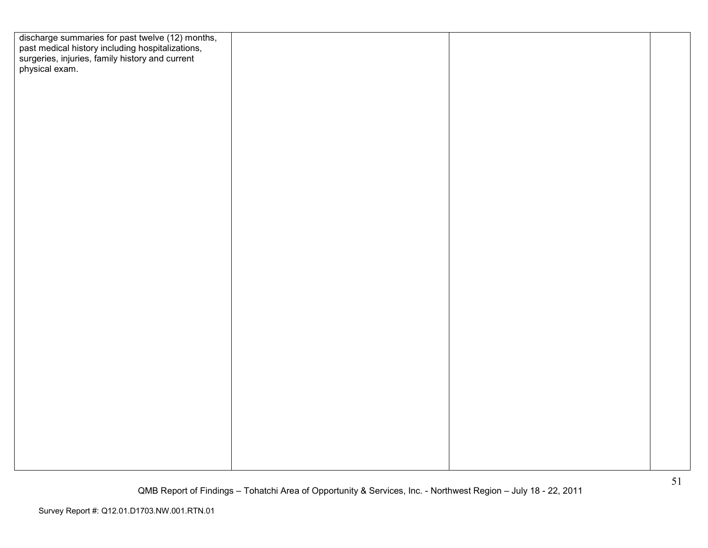| discharge summaries for past twelve (12) months,<br>past medical history including hospitalizations,<br>surgeries, injuries, family history and current<br>physical exam. |  |  |
|---------------------------------------------------------------------------------------------------------------------------------------------------------------------------|--|--|
|                                                                                                                                                                           |  |  |
|                                                                                                                                                                           |  |  |
|                                                                                                                                                                           |  |  |
|                                                                                                                                                                           |  |  |
|                                                                                                                                                                           |  |  |
|                                                                                                                                                                           |  |  |
|                                                                                                                                                                           |  |  |
|                                                                                                                                                                           |  |  |
|                                                                                                                                                                           |  |  |
|                                                                                                                                                                           |  |  |
|                                                                                                                                                                           |  |  |
|                                                                                                                                                                           |  |  |
|                                                                                                                                                                           |  |  |
|                                                                                                                                                                           |  |  |
|                                                                                                                                                                           |  |  |
|                                                                                                                                                                           |  |  |
|                                                                                                                                                                           |  |  |
|                                                                                                                                                                           |  |  |
|                                                                                                                                                                           |  |  |
|                                                                                                                                                                           |  |  |
|                                                                                                                                                                           |  |  |
|                                                                                                                                                                           |  |  |
|                                                                                                                                                                           |  |  |
|                                                                                                                                                                           |  |  |
|                                                                                                                                                                           |  |  |
|                                                                                                                                                                           |  |  |
|                                                                                                                                                                           |  |  |
|                                                                                                                                                                           |  |  |
|                                                                                                                                                                           |  |  |
|                                                                                                                                                                           |  |  |
|                                                                                                                                                                           |  |  |
|                                                                                                                                                                           |  |  |
|                                                                                                                                                                           |  |  |
|                                                                                                                                                                           |  |  |
|                                                                                                                                                                           |  |  |
|                                                                                                                                                                           |  |  |
|                                                                                                                                                                           |  |  |
|                                                                                                                                                                           |  |  |
|                                                                                                                                                                           |  |  |
|                                                                                                                                                                           |  |  |
|                                                                                                                                                                           |  |  |
|                                                                                                                                                                           |  |  |
|                                                                                                                                                                           |  |  |
|                                                                                                                                                                           |  |  |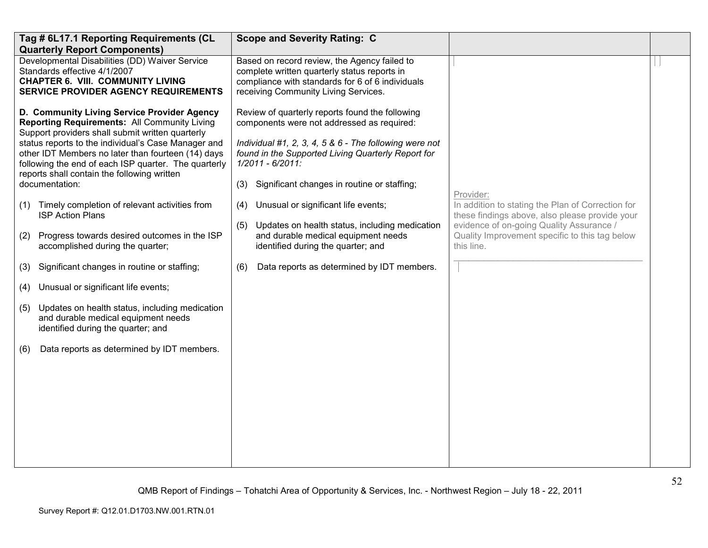|                                        | Tag # 6L17.1 Reporting Requirements (CL<br><b>Quarterly Report Components)</b>                                                                                                                                                                                                                                                                                                                                                                                                                                                                                                                                                                                                                                                                                                                                                  | <b>Scope and Severity Rating: C</b>                                                                                                                                                                                                                                                                                                                                                                                                                                                                                                 |                                                                                                                                                                                                                              |  |
|----------------------------------------|---------------------------------------------------------------------------------------------------------------------------------------------------------------------------------------------------------------------------------------------------------------------------------------------------------------------------------------------------------------------------------------------------------------------------------------------------------------------------------------------------------------------------------------------------------------------------------------------------------------------------------------------------------------------------------------------------------------------------------------------------------------------------------------------------------------------------------|-------------------------------------------------------------------------------------------------------------------------------------------------------------------------------------------------------------------------------------------------------------------------------------------------------------------------------------------------------------------------------------------------------------------------------------------------------------------------------------------------------------------------------------|------------------------------------------------------------------------------------------------------------------------------------------------------------------------------------------------------------------------------|--|
|                                        | Developmental Disabilities (DD) Waiver Service<br>Standards effective 4/1/2007<br><b>CHAPTER 6. VIII. COMMUNITY LIVING</b><br><b>SERVICE PROVIDER AGENCY REQUIREMENTS</b>                                                                                                                                                                                                                                                                                                                                                                                                                                                                                                                                                                                                                                                       | Based on record review, the Agency failed to<br>complete written quarterly status reports in<br>compliance with standards for 6 of 6 individuals<br>receiving Community Living Services.                                                                                                                                                                                                                                                                                                                                            |                                                                                                                                                                                                                              |  |
| (1)<br>(2)<br>(3)<br>(4)<br>(5)<br>(6) | D. Community Living Service Provider Agency<br><b>Reporting Requirements: All Community Living</b><br>Support providers shall submit written quarterly<br>status reports to the individual's Case Manager and<br>other IDT Members no later than fourteen (14) days<br>following the end of each ISP quarter. The quarterly<br>reports shall contain the following written<br>documentation:<br>Timely completion of relevant activities from<br><b>ISP Action Plans</b><br>Progress towards desired outcomes in the ISP<br>accomplished during the quarter;<br>Significant changes in routine or staffing;<br>Unusual or significant life events;<br>Updates on health status, including medication<br>and durable medical equipment needs<br>identified during the quarter; and<br>Data reports as determined by IDT members. | Review of quarterly reports found the following<br>components were not addressed as required:<br>Individual #1, 2, 3, 4, 5 & 6 - The following were not<br>found in the Supported Living Quarterly Report for<br>$1/2011 - 6/2011$ :<br>Significant changes in routine or staffing;<br>(3)<br>Unusual or significant life events;<br>(4)<br>Updates on health status, including medication<br>(5)<br>and durable medical equipment needs<br>identified during the quarter; and<br>Data reports as determined by IDT members.<br>(6) | Provider:<br>In addition to stating the Plan of Correction for<br>these findings above, also please provide your<br>evidence of on-going Quality Assurance /<br>Quality Improvement specific to this tag below<br>this line. |  |
|                                        |                                                                                                                                                                                                                                                                                                                                                                                                                                                                                                                                                                                                                                                                                                                                                                                                                                 |                                                                                                                                                                                                                                                                                                                                                                                                                                                                                                                                     |                                                                                                                                                                                                                              |  |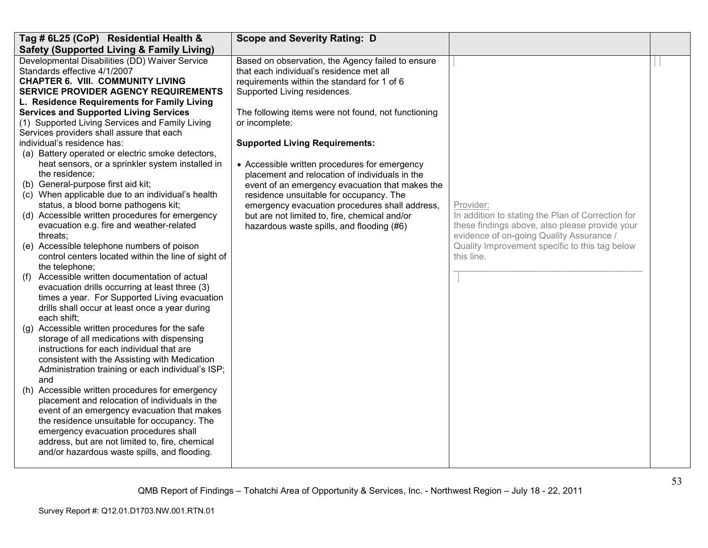| Tag # 6L25 (CoP) Residential Health &                               | <b>Scope and Severity Rating: D</b>                 |                                                              |  |
|---------------------------------------------------------------------|-----------------------------------------------------|--------------------------------------------------------------|--|
| <b>Safety (Supported Living &amp; Family Living)</b>                |                                                     |                                                              |  |
| Developmental Disabilities (DD) Waiver Service                      | Based on observation, the Agency failed to ensure   |                                                              |  |
| Standards effective 4/1/2007                                        | that each individual's residence met all            |                                                              |  |
| <b>CHAPTER 6. VIII. COMMUNITY LIVING</b>                            | requirements within the standard for 1 of 6         |                                                              |  |
| <b>SERVICE PROVIDER AGENCY REQUIREMENTS</b>                         | Supported Living residences.                        |                                                              |  |
| L. Residence Requirements for Family Living                         |                                                     |                                                              |  |
| <b>Services and Supported Living Services</b>                       | The following items were not found, not functioning |                                                              |  |
| (1) Supported Living Services and Family Living                     | or incomplete:                                      |                                                              |  |
| Services providers shall assure that each                           |                                                     |                                                              |  |
| individual's residence has:                                         | <b>Supported Living Requirements:</b>               |                                                              |  |
| (a) Battery operated or electric smoke detectors,                   |                                                     |                                                              |  |
| heat sensors, or a sprinkler system installed in                    | • Accessible written procedures for emergency       |                                                              |  |
| the residence;                                                      | placement and relocation of individuals in the      |                                                              |  |
| (b) General-purpose first aid kit;                                  | event of an emergency evacuation that makes the     |                                                              |  |
| (c) When applicable due to an individual's health                   | residence unsuitable for occupancy. The             |                                                              |  |
| status, a blood borne pathogens kit;                                | emergency evacuation procedures shall address,      | Provider:                                                    |  |
| (d) Accessible written procedures for emergency                     | but are not limited to, fire, chemical and/or       | In addition to stating the Plan of Correction for            |  |
| evacuation e.g. fire and weather-related                            | hazardous waste spills, and flooding (#6)           | these findings above, also please provide your               |  |
| threats:                                                            |                                                     | evidence of on-going Quality Assurance /                     |  |
| (e) Accessible telephone numbers of poison                          |                                                     | Quality Improvement specific to this tag below<br>this line. |  |
| control centers located within the line of sight of                 |                                                     |                                                              |  |
| the telephone;<br>Accessible written documentation of actual<br>(f) |                                                     |                                                              |  |
| evacuation drills occurring at least three (3)                      |                                                     |                                                              |  |
| times a year. For Supported Living evacuation                       |                                                     |                                                              |  |
| drills shall occur at least once a year during                      |                                                     |                                                              |  |
| each shift:                                                         |                                                     |                                                              |  |
| (g) Accessible written procedures for the safe                      |                                                     |                                                              |  |
| storage of all medications with dispensing                          |                                                     |                                                              |  |
| instructions for each individual that are                           |                                                     |                                                              |  |
| consistent with the Assisting with Medication                       |                                                     |                                                              |  |
| Administration training or each individual's ISP;                   |                                                     |                                                              |  |
| and                                                                 |                                                     |                                                              |  |
| (h) Accessible written procedures for emergency                     |                                                     |                                                              |  |
| placement and relocation of individuals in the                      |                                                     |                                                              |  |
| event of an emergency evacuation that makes                         |                                                     |                                                              |  |
| the residence unsuitable for occupancy. The                         |                                                     |                                                              |  |
| emergency evacuation procedures shall                               |                                                     |                                                              |  |
| address, but are not limited to, fire, chemical                     |                                                     |                                                              |  |
| and/or hazardous waste spills, and flooding.                        |                                                     |                                                              |  |
|                                                                     |                                                     |                                                              |  |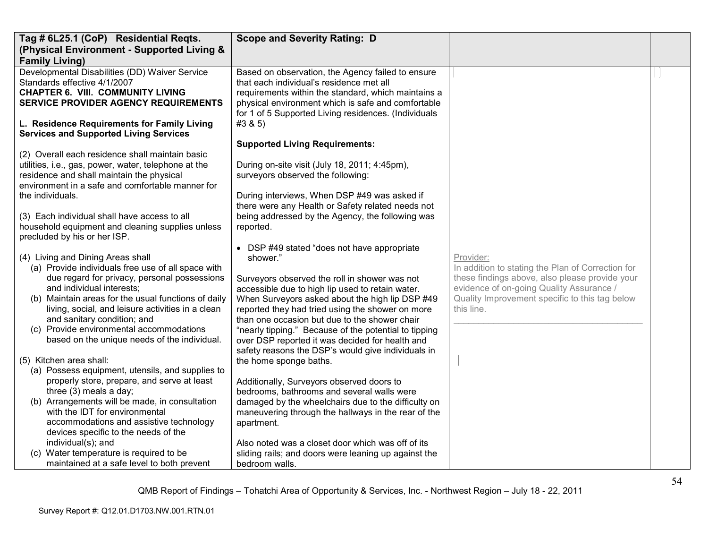| Tag # 6L25.1 (CoP) Residential Reqts.                                                                                                                                                                    | <b>Scope and Severity Rating: D</b>                                                                                                                                                                                                                                |                                                                                                                                              |  |
|----------------------------------------------------------------------------------------------------------------------------------------------------------------------------------------------------------|--------------------------------------------------------------------------------------------------------------------------------------------------------------------------------------------------------------------------------------------------------------------|----------------------------------------------------------------------------------------------------------------------------------------------|--|
| (Physical Environment - Supported Living &                                                                                                                                                               |                                                                                                                                                                                                                                                                    |                                                                                                                                              |  |
| <b>Family Living)</b>                                                                                                                                                                                    |                                                                                                                                                                                                                                                                    |                                                                                                                                              |  |
| Developmental Disabilities (DD) Waiver Service<br>Standards effective 4/1/2007<br><b>CHAPTER 6. VIII. COMMUNITY LIVING</b><br>SERVICE PROVIDER AGENCY REQUIREMENTS                                       | Based on observation, the Agency failed to ensure<br>that each individual's residence met all<br>requirements within the standard, which maintains a<br>physical environment which is safe and comfortable<br>for 1 of 5 Supported Living residences. (Individuals |                                                                                                                                              |  |
| L. Residence Requirements for Family Living<br><b>Services and Supported Living Services</b>                                                                                                             | #3 & 5)                                                                                                                                                                                                                                                            |                                                                                                                                              |  |
|                                                                                                                                                                                                          | <b>Supported Living Requirements:</b>                                                                                                                                                                                                                              |                                                                                                                                              |  |
| (2) Overall each residence shall maintain basic<br>utilities, i.e., gas, power, water, telephone at the<br>residence and shall maintain the physical<br>environment in a safe and comfortable manner for | During on-site visit (July 18, 2011; 4:45pm),<br>surveyors observed the following:                                                                                                                                                                                 |                                                                                                                                              |  |
| the individuals.                                                                                                                                                                                         | During interviews, When DSP #49 was asked if<br>there were any Health or Safety related needs not                                                                                                                                                                  |                                                                                                                                              |  |
| (3) Each individual shall have access to all<br>household equipment and cleaning supplies unless<br>precluded by his or her ISP.                                                                         | being addressed by the Agency, the following was<br>reported.                                                                                                                                                                                                      |                                                                                                                                              |  |
| (4) Living and Dining Areas shall<br>(a) Provide individuals free use of all space with                                                                                                                  | • DSP #49 stated "does not have appropriate<br>shower."                                                                                                                                                                                                            | Provider:<br>In addition to stating the Plan of Correction for                                                                               |  |
| due regard for privacy, personal possessions<br>and individual interests;<br>(b) Maintain areas for the usual functions of daily                                                                         | Surveyors observed the roll in shower was not<br>accessible due to high lip used to retain water.<br>When Surveyors asked about the high lip DSP #49                                                                                                               | these findings above, also please provide your<br>evidence of on-going Quality Assurance /<br>Quality Improvement specific to this tag below |  |
| living, social, and leisure activities in a clean<br>and sanitary condition; and                                                                                                                         | reported they had tried using the shower on more<br>than one occasion but due to the shower chair                                                                                                                                                                  | this line.                                                                                                                                   |  |
| (c) Provide environmental accommodations<br>based on the unique needs of the individual.                                                                                                                 | "nearly tipping." Because of the potential to tipping<br>over DSP reported it was decided for health and<br>safety reasons the DSP's would give individuals in                                                                                                     |                                                                                                                                              |  |
| (5) Kitchen area shall:                                                                                                                                                                                  | the home sponge baths.                                                                                                                                                                                                                                             |                                                                                                                                              |  |
| (a) Possess equipment, utensils, and supplies to                                                                                                                                                         |                                                                                                                                                                                                                                                                    |                                                                                                                                              |  |
| properly store, prepare, and serve at least                                                                                                                                                              | Additionally, Surveyors observed doors to                                                                                                                                                                                                                          |                                                                                                                                              |  |
| three (3) meals a day;                                                                                                                                                                                   | bedrooms, bathrooms and several walls were                                                                                                                                                                                                                         |                                                                                                                                              |  |
| (b) Arrangements will be made, in consultation<br>with the IDT for environmental                                                                                                                         | damaged by the wheelchairs due to the difficulty on<br>maneuvering through the hallways in the rear of the                                                                                                                                                         |                                                                                                                                              |  |
| accommodations and assistive technology                                                                                                                                                                  | apartment.                                                                                                                                                                                                                                                         |                                                                                                                                              |  |
| devices specific to the needs of the                                                                                                                                                                     |                                                                                                                                                                                                                                                                    |                                                                                                                                              |  |
| individual(s); and                                                                                                                                                                                       | Also noted was a closet door which was off of its                                                                                                                                                                                                                  |                                                                                                                                              |  |
| (c) Water temperature is required to be                                                                                                                                                                  | sliding rails; and doors were leaning up against the                                                                                                                                                                                                               |                                                                                                                                              |  |
| maintained at a safe level to both prevent                                                                                                                                                               | bedroom walls.                                                                                                                                                                                                                                                     |                                                                                                                                              |  |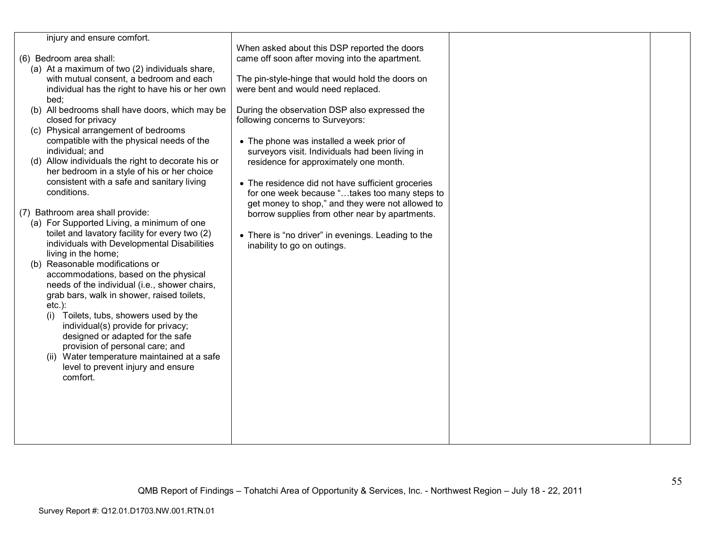| injury and ensure comfort.                                                                |                                                                                                   |  |
|-------------------------------------------------------------------------------------------|---------------------------------------------------------------------------------------------------|--|
|                                                                                           | When asked about this DSP reported the doors                                                      |  |
| (6) Bedroom area shall:                                                                   | came off soon after moving into the apartment.                                                    |  |
| (a) At a maximum of two (2) individuals share,                                            |                                                                                                   |  |
| with mutual consent, a bedroom and each                                                   | The pin-style-hinge that would hold the doors on                                                  |  |
| individual has the right to have his or her own                                           | were bent and would need replaced.                                                                |  |
| bed:                                                                                      |                                                                                                   |  |
| (b) All bedrooms shall have doors, which may be                                           | During the observation DSP also expressed the                                                     |  |
| closed for privacy                                                                        | following concerns to Surveyors:                                                                  |  |
| (c) Physical arrangement of bedrooms                                                      |                                                                                                   |  |
| compatible with the physical needs of the                                                 | • The phone was installed a week prior of                                                         |  |
| individual; and                                                                           | surveyors visit. Individuals had been living in                                                   |  |
| (d) Allow individuals the right to decorate his or                                        | residence for approximately one month.                                                            |  |
| her bedroom in a style of his or her choice<br>consistent with a safe and sanitary living |                                                                                                   |  |
| conditions.                                                                               | • The residence did not have sufficient groceries                                                 |  |
|                                                                                           | for one week because "takes too many steps to<br>get money to shop," and they were not allowed to |  |
| (7) Bathroom area shall provide:                                                          | borrow supplies from other near by apartments.                                                    |  |
| (a) For Supported Living, a minimum of one                                                |                                                                                                   |  |
| toilet and lavatory facility for every two (2)                                            | • There is "no driver" in evenings. Leading to the                                                |  |
| individuals with Developmental Disabilities                                               | inability to go on outings.                                                                       |  |
| living in the home;                                                                       |                                                                                                   |  |
| (b) Reasonable modifications or                                                           |                                                                                                   |  |
| accommodations, based on the physical                                                     |                                                                                                   |  |
| needs of the individual (i.e., shower chairs,                                             |                                                                                                   |  |
| grab bars, walk in shower, raised toilets,                                                |                                                                                                   |  |
| $etc.$ ):                                                                                 |                                                                                                   |  |
| Toilets, tubs, showers used by the<br>(i)                                                 |                                                                                                   |  |
| individual(s) provide for privacy;                                                        |                                                                                                   |  |
| designed or adapted for the safe                                                          |                                                                                                   |  |
| provision of personal care; and                                                           |                                                                                                   |  |
| (ii) Water temperature maintained at a safe                                               |                                                                                                   |  |
| level to prevent injury and ensure                                                        |                                                                                                   |  |
| comfort.                                                                                  |                                                                                                   |  |
|                                                                                           |                                                                                                   |  |
|                                                                                           |                                                                                                   |  |
|                                                                                           |                                                                                                   |  |
|                                                                                           |                                                                                                   |  |
|                                                                                           |                                                                                                   |  |
|                                                                                           |                                                                                                   |  |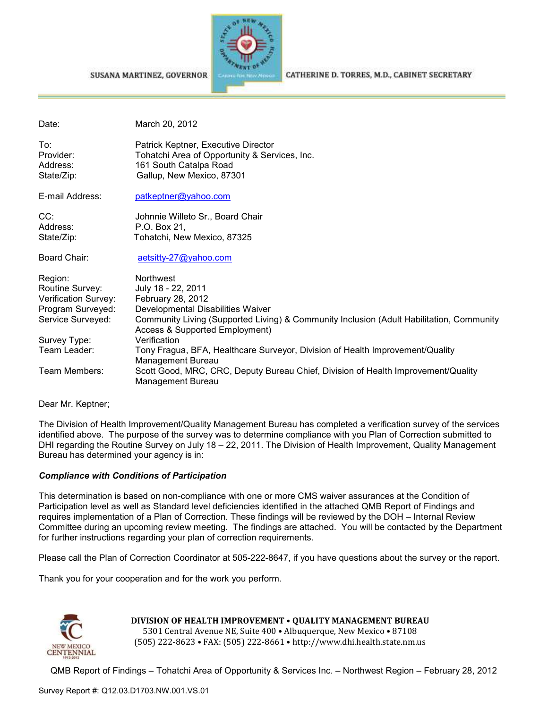#### SUSANA MARTINEZ, GOVERNOR



CATHERINE D. TORRES, M.D., CABINET SECRETARY

| Date:                                                                                        | March 20, 2012                                                                                                                                                                                                                            |
|----------------------------------------------------------------------------------------------|-------------------------------------------------------------------------------------------------------------------------------------------------------------------------------------------------------------------------------------------|
| To:<br>Provider:<br>Address:<br>State/Zip:                                                   | Patrick Keptner, Executive Director<br>Tohatchi Area of Opportunity & Services, Inc.<br>161 South Catalpa Road<br>Gallup, New Mexico, 87301                                                                                               |
| E-mail Address:                                                                              | patkeptner@yahoo.com                                                                                                                                                                                                                      |
| CC:<br>Address:<br>State/Zip:                                                                | Johnnie Willeto Sr., Board Chair<br>P.O. Box 21,<br>Tohatchi, New Mexico, 87325                                                                                                                                                           |
| Board Chair:                                                                                 | aetsitty-27@yahoo.com                                                                                                                                                                                                                     |
| Region:<br>Routine Survey:<br>Verification Survey:<br>Program Surveyed:<br>Service Surveyed: | <b>Northwest</b><br>July 18 - 22, 2011<br>February 28, 2012<br>Developmental Disabilities Waiver<br>Community Living (Supported Living) & Community Inclusion (Adult Habilitation, Community<br><b>Access &amp; Supported Employment)</b> |
| Survey Type:<br>Team Leader:                                                                 | Verification<br>Tony Fragua, BFA, Healthcare Surveyor, Division of Health Improvement/Quality<br>Management Bureau                                                                                                                        |
| Team Members:                                                                                | Scott Good, MRC, CRC, Deputy Bureau Chief, Division of Health Improvement/Quality<br><b>Management Bureau</b>                                                                                                                             |

Dear Mr. Keptner;

The Division of Health Improvement/Quality Management Bureau has completed a verification survey of the services identified above. The purpose of the survey was to determine compliance with you Plan of Correction submitted to DHI regarding the Routine Survey on July 18 – 22, 2011. The Division of Health Improvement, Quality Management Bureau has determined your agency is in:

#### *Compliance with Conditions of Participation*

This determination is based on non-compliance with one or more CMS waiver assurances at the Condition of Participation level as well as Standard level deficiencies identified in the attached QMB Report of Findings and requires implementation of a Plan of Correction. These findings will be reviewed by the DOH – Internal Review Committee during an upcoming review meeting. The findings are attached. You will be contacted by the Department for further instructions regarding your plan of correction requirements.

Please call the Plan of Correction Coordinator at 505-222-8647, if you have questions about the survey or the report.

Thank you for your cooperation and for the work you perform.



# **DIVISION OF HEALTH IMPROVEMENT** • **QUALITY MANAGEMENT BUREAU** 5301 Central Avenue NE, Suite 400 • Albuquerque, New Mexico • 87108

(505) 222-8623 • FAX: (505) 222-8661 • http://www.dhi.health.state.nm.us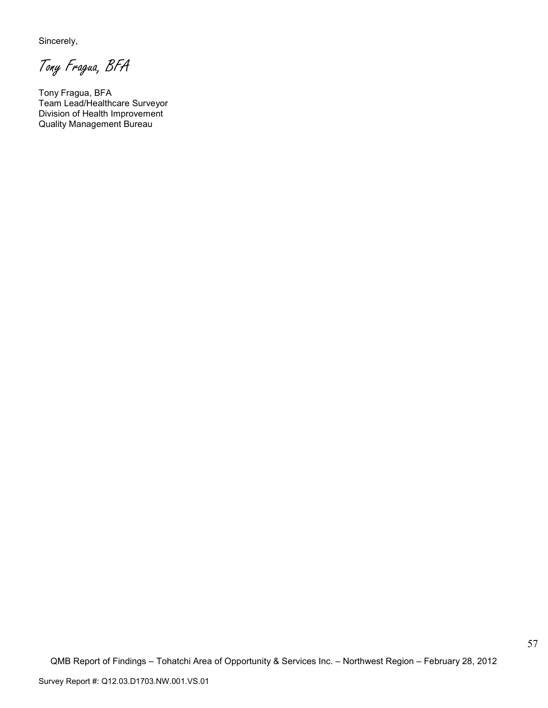Sincerely,

Tony Fragua, BFA

Tony Fragua, BFA Team Lead/Healthcare Surveyor Division of Health Improvement Quality Management Bureau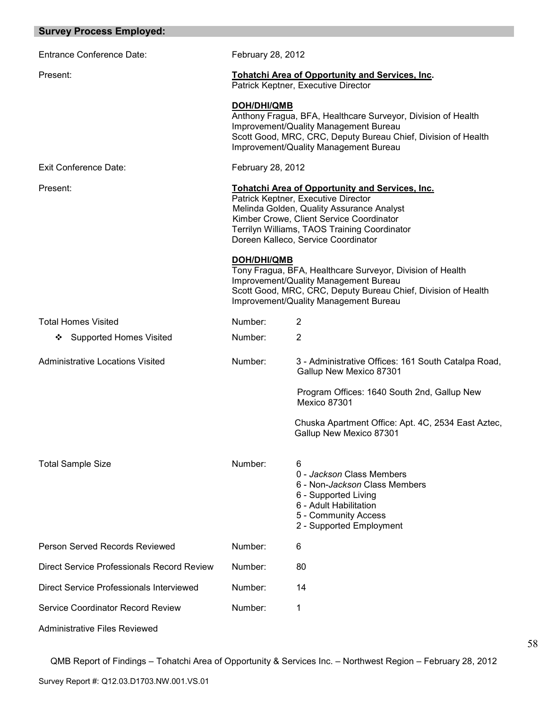| <b>Survey Process Employed:</b>            |                                                                                                                                                                                                                                                                                                                                                                                                                                                                            |                                                                                                                                                                                                                 |
|--------------------------------------------|----------------------------------------------------------------------------------------------------------------------------------------------------------------------------------------------------------------------------------------------------------------------------------------------------------------------------------------------------------------------------------------------------------------------------------------------------------------------------|-----------------------------------------------------------------------------------------------------------------------------------------------------------------------------------------------------------------|
| <b>Entrance Conference Date:</b>           | February 28, 2012                                                                                                                                                                                                                                                                                                                                                                                                                                                          |                                                                                                                                                                                                                 |
| Present:                                   | <b>Tohatchi Area of Opportunity and Services, Inc.</b><br>Patrick Keptner, Executive Director                                                                                                                                                                                                                                                                                                                                                                              |                                                                                                                                                                                                                 |
|                                            | <b>DOH/DHI/QMB</b>                                                                                                                                                                                                                                                                                                                                                                                                                                                         | Anthony Fragua, BFA, Healthcare Surveyor, Division of Health<br>Improvement/Quality Management Bureau<br>Scott Good, MRC, CRC, Deputy Bureau Chief, Division of Health<br>Improvement/Quality Management Bureau |
| <b>Exit Conference Date:</b>               | February 28, 2012                                                                                                                                                                                                                                                                                                                                                                                                                                                          |                                                                                                                                                                                                                 |
| Present:                                   | <b>Tohatchi Area of Opportunity and Services, Inc.</b><br>Patrick Keptner, Executive Director<br>Melinda Golden, Quality Assurance Analyst<br>Kimber Crowe, Client Service Coordinator<br>Terrilyn Williams, TAOS Training Coordinator<br>Doreen Kalleco, Service Coordinator<br><b>DOH/DHI/QMB</b><br>Tony Fragua, BFA, Healthcare Surveyor, Division of Health<br>Improvement/Quality Management Bureau<br>Scott Good, MRC, CRC, Deputy Bureau Chief, Division of Health |                                                                                                                                                                                                                 |
|                                            |                                                                                                                                                                                                                                                                                                                                                                                                                                                                            | Improvement/Quality Management Bureau                                                                                                                                                                           |
| <b>Total Homes Visited</b>                 | Number:                                                                                                                                                                                                                                                                                                                                                                                                                                                                    | $\overline{2}$                                                                                                                                                                                                  |
| <b>Supported Homes Visited</b><br>❖        | Number:                                                                                                                                                                                                                                                                                                                                                                                                                                                                    | $\overline{2}$                                                                                                                                                                                                  |
| <b>Administrative Locations Visited</b>    | Number:                                                                                                                                                                                                                                                                                                                                                                                                                                                                    | 3 - Administrative Offices: 161 South Catalpa Road,<br>Gallup New Mexico 87301                                                                                                                                  |
|                                            |                                                                                                                                                                                                                                                                                                                                                                                                                                                                            | Program Offices: 1640 South 2nd, Gallup New<br>Mexico 87301                                                                                                                                                     |
|                                            |                                                                                                                                                                                                                                                                                                                                                                                                                                                                            | Chuska Apartment Office: Apt. 4C, 2534 East Aztec,<br>Gallup New Mexico 87301                                                                                                                                   |
| <b>Total Sample Size</b>                   | Number:                                                                                                                                                                                                                                                                                                                                                                                                                                                                    | 6<br>0 - Jackson Class Members<br>6 - Non- <i>Jackson</i> Class Members<br>6 - Supported Living<br>6 - Adult Habilitation<br>5 - Community Access<br>2 - Supported Employment                                   |
| Person Served Records Reviewed             | Number:                                                                                                                                                                                                                                                                                                                                                                                                                                                                    | 6                                                                                                                                                                                                               |
| Direct Service Professionals Record Review | Number:                                                                                                                                                                                                                                                                                                                                                                                                                                                                    | 80                                                                                                                                                                                                              |
| Direct Service Professionals Interviewed   | Number:                                                                                                                                                                                                                                                                                                                                                                                                                                                                    | 14                                                                                                                                                                                                              |
| <b>Service Coordinator Record Review</b>   | Number:                                                                                                                                                                                                                                                                                                                                                                                                                                                                    | 1                                                                                                                                                                                                               |
| Administrative Files Reviewed              |                                                                                                                                                                                                                                                                                                                                                                                                                                                                            |                                                                                                                                                                                                                 |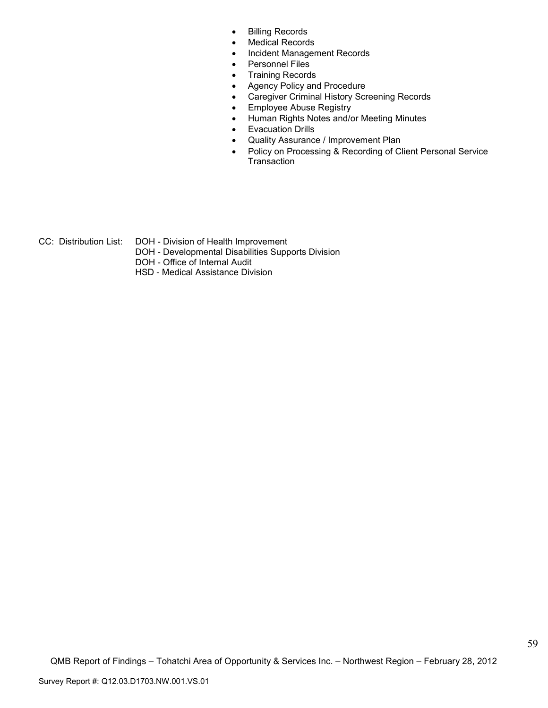- Billing Records
- Medical Records
- Incident Management Records
- Personnel Files
- Training Records
- Agency Policy and Procedure
- Caregiver Criminal History Screening Records
- Employee Abuse Registry
- Human Rights Notes and/or Meeting Minutes
- Evacuation Drills
- Quality Assurance / Improvement Plan
- Policy on Processing & Recording of Client Personal Service **Transaction**
- CC: Distribution List: DOH Division of Health Improvement
	- DOH Developmental Disabilities Supports Division
	- DOH Office of Internal Audit
	- HSD Medical Assistance Division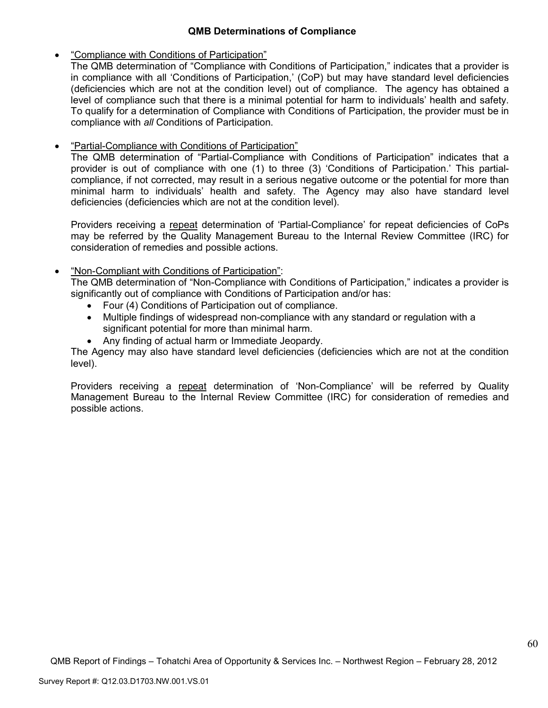# **QMB Determinations of Compliance**

• "Compliance with Conditions of Participation"

The QMB determination of "Compliance with Conditions of Participation," indicates that a provider is in compliance with all 'Conditions of Participation,' (CoP) but may have standard level deficiencies (deficiencies which are not at the condition level) out of compliance. The agency has obtained a level of compliance such that there is a minimal potential for harm to individuals' health and safety. To qualify for a determination of Compliance with Conditions of Participation, the provider must be in compliance with *all* Conditions of Participation.

• "Partial-Compliance with Conditions of Participation"

The QMB determination of "Partial-Compliance with Conditions of Participation" indicates that a provider is out of compliance with one (1) to three (3) 'Conditions of Participation.' This partialcompliance, if not corrected, may result in a serious negative outcome or the potential for more than minimal harm to individuals' health and safety. The Agency may also have standard level deficiencies (deficiencies which are not at the condition level).

Providers receiving a repeat determination of 'Partial-Compliance' for repeat deficiencies of CoPs may be referred by the Quality Management Bureau to the Internal Review Committee (IRC) for consideration of remedies and possible actions.

• "Non-Compliant with Conditions of Participation":

The QMB determination of "Non-Compliance with Conditions of Participation," indicates a provider is significantly out of compliance with Conditions of Participation and/or has:

- Four (4) Conditions of Participation out of compliance.
- Multiple findings of widespread non-compliance with any standard or regulation with a significant potential for more than minimal harm.
- Any finding of actual harm or Immediate Jeopardy.

The Agency may also have standard level deficiencies (deficiencies which are not at the condition level).

Providers receiving a repeat determination of 'Non-Compliance' will be referred by Quality Management Bureau to the Internal Review Committee (IRC) for consideration of remedies and possible actions.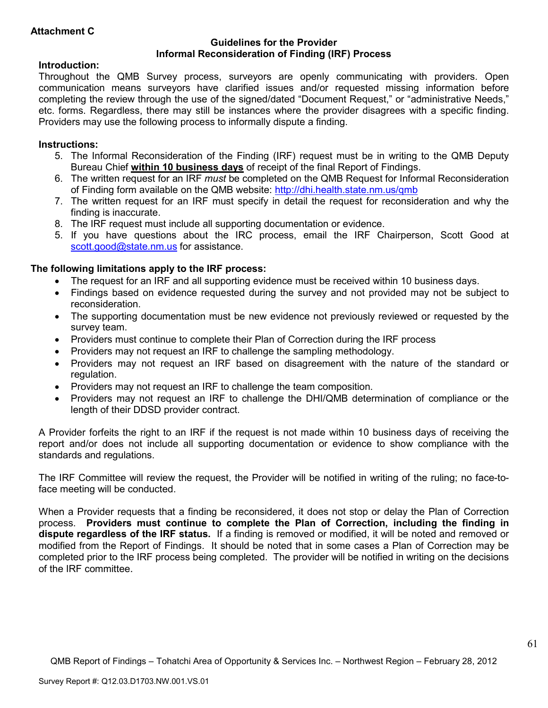# **Attachment C**

### **Guidelines for the Provider Informal Reconsideration of Finding (IRF) Process**

# **Introduction:**

Throughout the QMB Survey process, surveyors are openly communicating with providers. Open communication means surveyors have clarified issues and/or requested missing information before completing the review through the use of the signed/dated "Document Request," or "administrative Needs," etc. forms. Regardless, there may still be instances where the provider disagrees with a specific finding. Providers may use the following process to informally dispute a finding.

# **Instructions:**

- 5. The Informal Reconsideration of the Finding (IRF) request must be in writing to the QMB Deputy Bureau Chief **within 10 business days** of receipt of the final Report of Findings.
- 6. The written request for an IRF *must* be completed on the QMB Request for Informal Reconsideration of Finding form available on the QMB website: http://dhi.health.state.nm.us/qmb
- 7. The written request for an IRF must specify in detail the request for reconsideration and why the finding is inaccurate.
- 8. The IRF request must include all supporting documentation or evidence.
- 5. If you have questions about the IRC process, email the IRF Chairperson, Scott Good at scott.good@state.nm.us for assistance.

# **The following limitations apply to the IRF process:**

- The request for an IRF and all supporting evidence must be received within 10 business days.
- Findings based on evidence requested during the survey and not provided may not be subject to reconsideration.
- The supporting documentation must be new evidence not previously reviewed or requested by the survey team.
- Providers must continue to complete their Plan of Correction during the IRF process
- Providers may not request an IRF to challenge the sampling methodology.
- Providers may not request an IRF based on disagreement with the nature of the standard or regulation.
- Providers may not request an IRF to challenge the team composition.
- Providers may not request an IRF to challenge the DHI/QMB determination of compliance or the length of their DDSD provider contract.

A Provider forfeits the right to an IRF if the request is not made within 10 business days of receiving the report and/or does not include all supporting documentation or evidence to show compliance with the standards and regulations.

The IRF Committee will review the request, the Provider will be notified in writing of the ruling; no face-toface meeting will be conducted.

When a Provider requests that a finding be reconsidered, it does not stop or delay the Plan of Correction process. **Providers must continue to complete the Plan of Correction, including the finding in dispute regardless of the IRF status.** If a finding is removed or modified, it will be noted and removed or modified from the Report of Findings. It should be noted that in some cases a Plan of Correction may be completed prior to the IRF process being completed. The provider will be notified in writing on the decisions of the IRF committee.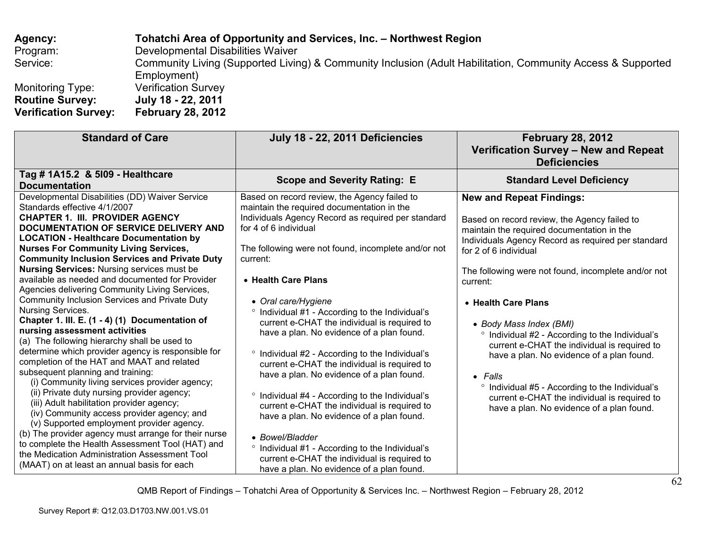**Agency: Tohatchi Area of Opportunity and Services, Inc. – Northwest Region** Program: Developmental Disabilities Waiver Service: Community Living (Supported Living) & Community Inclusion (Adult Habilitation, Community Access & Supported Employment) Monitoring Type: Verification Survey **Routine Survey: July 18 - 22, 2011 February 28, 2012 Verification Survey:** 

| <b>Standard of Care</b>                                                                                                                                                                                                                                                                                                                                                                                                                                                                                                                                                                                                                                                                                                                                                                                                                                                                                                                                                                                                                                                                                                                                                                                                                                                                     | July 18 - 22, 2011 Deficiencies                                                                                                                                                                                                                                                                                                                                                                                                                                                                                                                                                                                                                                                                                                                                                                                                                                                                                                                | <b>February 28, 2012</b><br>Verification Survey - New and Repeat<br><b>Deficiencies</b>                                                                                                                                                                                                                                                                                                                                                                                                                                                                                                                                                                                    |
|---------------------------------------------------------------------------------------------------------------------------------------------------------------------------------------------------------------------------------------------------------------------------------------------------------------------------------------------------------------------------------------------------------------------------------------------------------------------------------------------------------------------------------------------------------------------------------------------------------------------------------------------------------------------------------------------------------------------------------------------------------------------------------------------------------------------------------------------------------------------------------------------------------------------------------------------------------------------------------------------------------------------------------------------------------------------------------------------------------------------------------------------------------------------------------------------------------------------------------------------------------------------------------------------|------------------------------------------------------------------------------------------------------------------------------------------------------------------------------------------------------------------------------------------------------------------------------------------------------------------------------------------------------------------------------------------------------------------------------------------------------------------------------------------------------------------------------------------------------------------------------------------------------------------------------------------------------------------------------------------------------------------------------------------------------------------------------------------------------------------------------------------------------------------------------------------------------------------------------------------------|----------------------------------------------------------------------------------------------------------------------------------------------------------------------------------------------------------------------------------------------------------------------------------------------------------------------------------------------------------------------------------------------------------------------------------------------------------------------------------------------------------------------------------------------------------------------------------------------------------------------------------------------------------------------------|
| Tag # 1A15.2 & 5109 - Healthcare<br><b>Documentation</b>                                                                                                                                                                                                                                                                                                                                                                                                                                                                                                                                                                                                                                                                                                                                                                                                                                                                                                                                                                                                                                                                                                                                                                                                                                    | <b>Scope and Severity Rating: E</b>                                                                                                                                                                                                                                                                                                                                                                                                                                                                                                                                                                                                                                                                                                                                                                                                                                                                                                            | <b>Standard Level Deficiency</b>                                                                                                                                                                                                                                                                                                                                                                                                                                                                                                                                                                                                                                           |
| Developmental Disabilities (DD) Waiver Service<br>Standards effective 4/1/2007<br><b>CHAPTER 1. III. PROVIDER AGENCY</b><br>DOCUMENTATION OF SERVICE DELIVERY AND<br><b>LOCATION - Healthcare Documentation by</b><br><b>Nurses For Community Living Services,</b><br><b>Community Inclusion Services and Private Duty</b><br><b>Nursing Services: Nursing services must be</b><br>available as needed and documented for Provider<br>Agencies delivering Community Living Services,<br>Community Inclusion Services and Private Duty<br>Nursing Services.<br>Chapter 1. III. E. (1 - 4) (1) Documentation of<br>nursing assessment activities<br>(a) The following hierarchy shall be used to<br>determine which provider agency is responsible for<br>completion of the HAT and MAAT and related<br>subsequent planning and training:<br>(i) Community living services provider agency;<br>(ii) Private duty nursing provider agency;<br>(iii) Adult habilitation provider agency;<br>(iv) Community access provider agency; and<br>(v) Supported employment provider agency.<br>(b) The provider agency must arrange for their nurse<br>to complete the Health Assessment Tool (HAT) and<br>the Medication Administration Assessment Tool<br>(MAAT) on at least an annual basis for each | Based on record review, the Agency failed to<br>maintain the required documentation in the<br>Individuals Agency Record as required per standard<br>for 4 of 6 individual<br>The following were not found, incomplete and/or not<br>current:<br>• Health Care Plans<br>• Oral care/Hygiene<br><sup>o</sup> Individual #1 - According to the Individual's<br>current e-CHAT the individual is required to<br>have a plan. No evidence of a plan found.<br><sup>o</sup> Individual #2 - According to the Individual's<br>current e-CHAT the individual is required to<br>have a plan. No evidence of a plan found.<br><sup>o</sup> Individual #4 - According to the Individual's<br>current e-CHAT the individual is required to<br>have a plan. No evidence of a plan found.<br>• Bowel/Bladder<br>° Individual #1 - According to the Individual's<br>current e-CHAT the individual is required to<br>have a plan. No evidence of a plan found. | <b>New and Repeat Findings:</b><br>Based on record review, the Agency failed to<br>maintain the required documentation in the<br>Individuals Agency Record as required per standard<br>for 2 of 6 individual<br>The following were not found, incomplete and/or not<br>current:<br>• Health Care Plans<br>• Body Mass Index (BMI)<br><sup>o</sup> Individual #2 - According to the Individual's<br>current e-CHAT the individual is required to<br>have a plan. No evidence of a plan found.<br>$\bullet$ Falls<br><sup>o</sup> Individual #5 - According to the Individual's<br>current e-CHAT the individual is required to<br>have a plan. No evidence of a plan found. |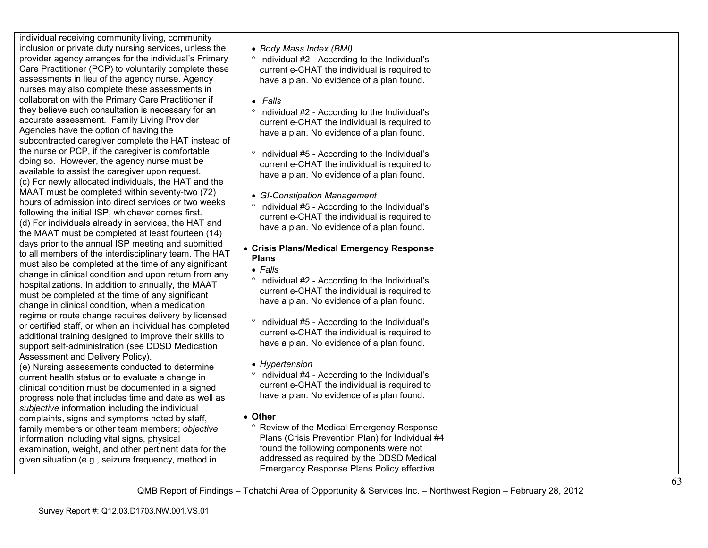individual receiving community living, community inclusion or private duty nursing services, unless the provider agency arranges for the individual's Primary Care Practitioner (PCP) to voluntarily complete these assessments in lieu of the agency nurse. Agency nurses may also complete these assessments in collaboration with the Primary Care Practitioner if they believe such consultation is necessary for an accurate assessment. Family Living Provider Agencies have the option of having the subcontracted caregiver complete the HAT instead ofthe nurse or PCP, if the caregiver is comfortable doing so. However, the agency nurse must be available to assist the caregiver upon request. (c) For newly allocated individuals, the HAT and the MAAT must be completed within seventy-two (72) hours of admission into direct services or two weeks following the initial ISP, whichever comes first. (d) For individuals already in services, the HAT and the MAAT must be completed at least fourteen (14) days prior to the annual ISP meeting and submitted to all members of the interdisciplinary team. The HAT must also be completed at the time of any significant change in clinical condition and upon return from any hospitalizations. In addition to annually, the MAATmust be completed at the time of any significant change in clinical condition, when a medication regime or route change requires delivery by licensed or certified staff, or when an individual has completed additional training designed to improve their skills to support self-administration (see DDSD Medication Assessment and Delivery Policy).

 (e) Nursing assessments conducted to determine current health status or to evaluate a change in clinical condition must be documented in a signed progress note that includes time and date as well as *subjective* information including the individual complaints, signs and symptoms noted by staff, family members or other team members; *objective* information including vital signs, physical examination, weight, and other pertinent data for the given situation (e.g., seizure frequency, method in

- *Body Mass Index (BMI)*
- ° Individual #2 According to the Individual's current e-CHAT the individual is required to have a plan. No evidence of a plan found.
- *Falls*
- ° Individual #2 According to the Individual's current e-CHAT the individual is required to have a plan. No evidence of a plan found.
- ° Individual #5 According to the Individual's current e-CHAT the individual is required to have a plan. No evidence of a plan found.
- *GI-Constipation Management*
- ° Individual #5 According to the Individual's current e-CHAT the individual is required to have a plan. No evidence of a plan found.

#### • **Crisis Plans/Medical Emergency Response Plans**

- *Falls*
- ° Individual #2 According to the Individual's current e-CHAT the individual is required to have a plan. No evidence of a plan found.
- ° Individual #5 According to the Individual's current e-CHAT the individual is required to have a plan. No evidence of a plan found.
- *Hypertension*
- ° Individual #4 According to the Individual's current e-CHAT the individual is required to have a plan. No evidence of a plan found.
- **Other** 
	- ° Review of the Medical Emergency Response Plans (Crisis Prevention Plan) for Individual #4 found the following components were not addressed as required by the DDSD Medical Emergency Response Plans Policy effective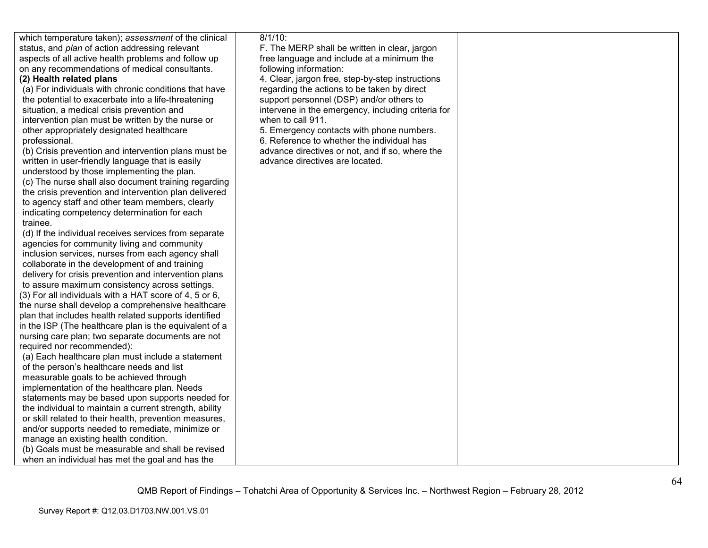which temperature taken); *assessment* of the clinical status, and *plan* of action addressing relevant aspects of all active health problems and follow upon any recommendations of medical consultants.

#### **(2) Health related plans**

 (a) For individuals with chronic conditions that have the potential to exacerbate into a life-threateningsituation, a medical crisis prevention and intervention plan must be written by the nurse or other appropriately designated healthcare professional.

 (b) Crisis prevention and intervention plans must be written in user-friendly language that is easily understood by those implementing the plan.

 (c) The nurse shall also document training regarding the crisis prevention and intervention plan delivered to agency staff and other team members, clearly indicating competency determination for each trainee.

 (d) If the individual receives services from separate agencies for community living and community inclusion services, nurses from each agency shall collaborate in the development of and training delivery for crisis prevention and intervention plans to assure maximum consistency across settings. (3) For all individuals with a HAT score of 4, 5 or 6, the nurse shall develop a comprehensive healthcare plan that includes health related supports identified in the ISP (The healthcare plan is the equivalent of a nursing care plan; two separate documents are not required nor recommended):

 (a) Each healthcare plan must include a statement of the person's healthcare needs and list measurable goals to be achieved through implementation of the healthcare plan. Needs statements may be based upon supports needed for the individual to maintain a current strength, ability or skill related to their health, prevention measures, and/or supports needed to remediate, minimize or manage an existing health condition. (b) Goals must be measurable and shall be revised

when an individual has met the goal and has the

8/1/10:

 F. The MERP shall be written in clear, jargon free language and include at a minimum the following information:

 4. Clear, jargon free, step-by-step instructions regarding the actions to be taken by direct support personnel (DSP) and/or others to intervene in the emergency, including criteria for when to call 911.

5. Emergency contacts with phone numbers.

6. Reference to whether the individual has advance directives or not, and if so, where the advance directives are located.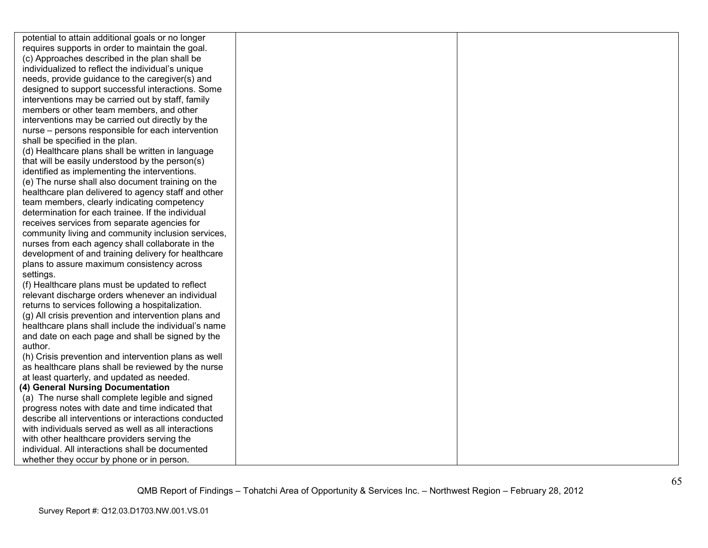potential to attain additional goals or no longer requires supports in order to maintain the goal. (c) Approaches described in the plan shall be individualized to reflect the individual's unique needs, provide guidance to the caregiver(s) and designed to support successful interactions. Some interventions may be carried out by staff, family members or other team members, and other interventions may be carried out directly by the nurse – persons responsible for each intervention shall be specified in the plan.

 (d) Healthcare plans shall be written in language that will be easily understood by the person(s) identified as implementing the interventions. (e) The nurse shall also document training on the healthcare plan delivered to agency staff and otherteam members, clearly indicating competency determination for each trainee. If the individual receives services from separate agencies for community living and community inclusion services, nurses from each agency shall collaborate in the development of and training delivery for healthcareplans to assure maximum consistency across settings.

 (f) Healthcare plans must be updated to reflect relevant discharge orders whenever an individual returns to services following a hospitalization. (g) All crisis prevention and intervention plans and healthcare plans shall include the individual's name and date on each page and shall be signed by the author.

 (h) Crisis prevention and intervention plans as well as healthcare plans shall be reviewed by the nurse at least quarterly, and updated as needed.

### **(4) General Nursing Documentation**

 (a) The nurse shall complete legible and signed progress notes with date and time indicated that describe all interventions or interactions conducted with individuals served as well as all interactionswith other healthcare providers serving the individual. All interactions shall be documented whether they occur by phone or in person.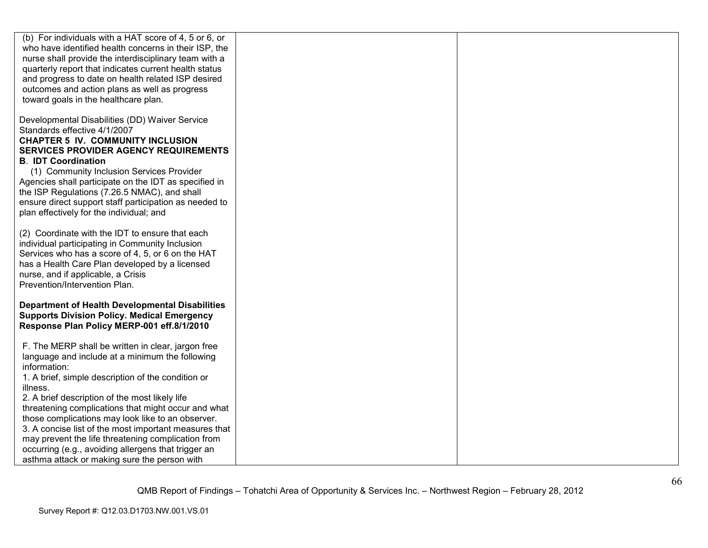| (b) For individuals with a HAT score of 4, 5 or 6, or<br>who have identified health concerns in their ISP, the<br>nurse shall provide the interdisciplinary team with a<br>quarterly report that indicates current health status<br>and progress to date on health related ISP desired<br>outcomes and action plans as well as progress<br>toward goals in the healthcare plan.                                                                                                                                                                                             |  |
|-----------------------------------------------------------------------------------------------------------------------------------------------------------------------------------------------------------------------------------------------------------------------------------------------------------------------------------------------------------------------------------------------------------------------------------------------------------------------------------------------------------------------------------------------------------------------------|--|
| Developmental Disabilities (DD) Waiver Service<br>Standards effective 4/1/2007<br><b>CHAPTER 5 IV. COMMUNITY INCLUSION</b><br><b>SERVICES PROVIDER AGENCY REQUIREMENTS</b><br><b>B. IDT Coordination</b><br>(1) Community Inclusion Services Provider<br>Agencies shall participate on the IDT as specified in<br>the ISP Regulations (7.26.5 NMAC), and shall<br>ensure direct support staff participation as needed to<br>plan effectively for the individual; and                                                                                                        |  |
| (2) Coordinate with the IDT to ensure that each<br>individual participating in Community Inclusion<br>Services who has a score of 4, 5, or 6 on the HAT<br>has a Health Care Plan developed by a licensed<br>nurse, and if applicable, a Crisis<br>Prevention/Intervention Plan.                                                                                                                                                                                                                                                                                            |  |
| <b>Department of Health Developmental Disabilities</b><br><b>Supports Division Policy. Medical Emergency</b><br>Response Plan Policy MERP-001 eff.8/1/2010                                                                                                                                                                                                                                                                                                                                                                                                                  |  |
| F. The MERP shall be written in clear, jargon free<br>language and include at a minimum the following<br>information:<br>1. A brief, simple description of the condition or<br>illness.<br>2. A brief description of the most likely life<br>threatening complications that might occur and what<br>those complications may look like to an observer.<br>3. A concise list of the most important measures that<br>may prevent the life threatening complication from<br>occurring (e.g., avoiding allergens that trigger an<br>asthma attack or making sure the person with |  |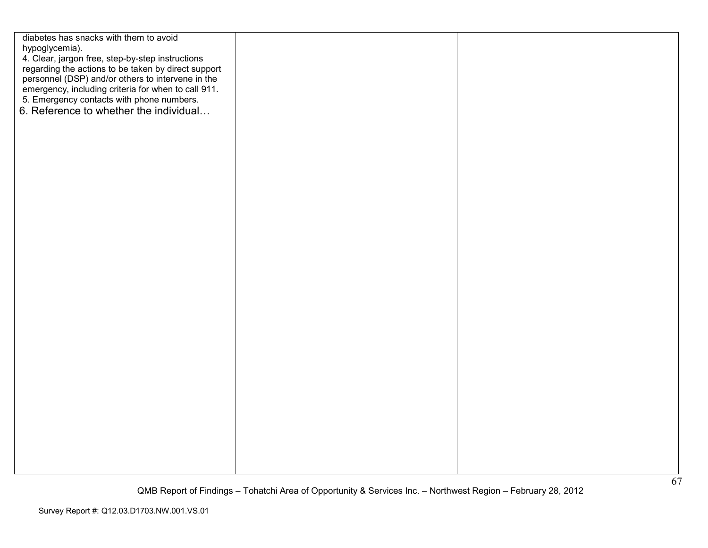diabetes has snacks with them to avoid hypoglycemia). 4. Clear, jargon free, step-by-step instructions regarding the actions to be taken by direct support personnel (DSP) and/or others to intervene in the emergency, including criteria for when to call 911. 5. Emergency contacts with phone numbers. 6. Reference to whether the individual...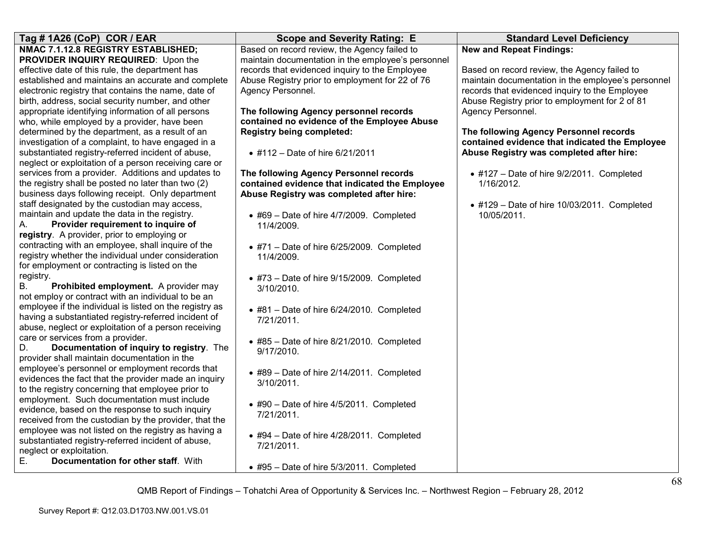| Tag #1A26 (CoP) COR / EAR                               | <b>Scope and Severity Rating: E</b>                | <b>Standard Level Deficiency</b>                    |
|---------------------------------------------------------|----------------------------------------------------|-----------------------------------------------------|
| NMAC 7.1.12.8 REGISTRY ESTABLISHED;                     | Based on record review, the Agency failed to       | <b>New and Repeat Findings:</b>                     |
| PROVIDER INQUIRY REQUIRED: Upon the                     | maintain documentation in the employee's personnel |                                                     |
| effective date of this rule, the department has         | records that evidenced inquiry to the Employee     | Based on record review, the Agency failed to        |
| established and maintains an accurate and complete      | Abuse Registry prior to employment for 22 of 76    | maintain documentation in the employee's personnel  |
| electronic registry that contains the name, date of     | Agency Personnel.                                  | records that evidenced inquiry to the Employee      |
| birth, address, social security number, and other       |                                                    | Abuse Registry prior to employment for 2 of 81      |
| appropriate identifying information of all persons      | The following Agency personnel records             | Agency Personnel.                                   |
| who, while employed by a provider, have been            | contained no evidence of the Employee Abuse        |                                                     |
| determined by the department, as a result of an         | <b>Registry being completed:</b>                   | The following Agency Personnel records              |
| investigation of a complaint, to have engaged in a      |                                                    | contained evidence that indicated the Employee      |
| substantiated registry-referred incident of abuse,      | • #112 - Date of hire 6/21/2011                    | Abuse Registry was completed after hire:            |
| neglect or exploitation of a person receiving care or   |                                                    |                                                     |
| services from a provider. Additions and updates to      | The following Agency Personnel records             | $\bullet$ #127 - Date of hire 9/2/2011. Completed   |
| the registry shall be posted no later than two (2)      | contained evidence that indicated the Employee     | 1/16/2012.                                          |
| business days following receipt. Only department        | Abuse Registry was completed after hire:           |                                                     |
| staff designated by the custodian may access,           |                                                    | $\bullet$ #129 - Date of hire 10/03/2011. Completed |
| maintain and update the data in the registry.           | $\bullet$ #69 - Date of hire 4/7/2009. Completed   | 10/05/2011.                                         |
| Provider requirement to inquire of<br>А.                | 11/4/2009.                                         |                                                     |
| registry. A provider, prior to employing or             |                                                    |                                                     |
| contracting with an employee, shall inquire of the      | $\bullet$ #71 - Date of hire 6/25/2009. Completed  |                                                     |
| registry whether the individual under consideration     | 11/4/2009.                                         |                                                     |
| for employment or contracting is listed on the          |                                                    |                                                     |
| registry.                                               | $\bullet$ #73 - Date of hire 9/15/2009. Completed  |                                                     |
| <b>B.</b><br>Prohibited employment. A provider may      | 3/10/2010.                                         |                                                     |
| not employ or contract with an individual to be an      |                                                    |                                                     |
| employee if the individual is listed on the registry as | $\bullet$ #81 - Date of hire 6/24/2010. Completed  |                                                     |
| having a substantiated registry-referred incident of    | 7/21/2011.                                         |                                                     |
| abuse, neglect or exploitation of a person receiving    |                                                    |                                                     |
| care or services from a provider.                       | $\bullet$ #85 - Date of hire 8/21/2010. Completed  |                                                     |
| Documentation of inquiry to registry. The<br>D.         | 9/17/2010.                                         |                                                     |
| provider shall maintain documentation in the            |                                                    |                                                     |
| employee's personnel or employment records that         | $\bullet$ #89 - Date of hire 2/14/2011. Completed  |                                                     |
| evidences the fact that the provider made an inquiry    | 3/10/2011.                                         |                                                     |
| to the registry concerning that employee prior to       |                                                    |                                                     |
| employment. Such documentation must include             | • #90 - Date of hire 4/5/2011. Completed           |                                                     |
| evidence, based on the response to such inquiry         | 7/21/2011.                                         |                                                     |
| received from the custodian by the provider, that the   |                                                    |                                                     |
| employee was not listed on the registry as having a     | $\bullet$ #94 - Date of hire 4/28/2011. Completed  |                                                     |
| substantiated registry-referred incident of abuse,      | 7/21/2011.                                         |                                                     |
| neglect or exploitation.                                |                                                    |                                                     |
| Ε.<br>Documentation for other staff. With               | • #95 - Date of hire 5/3/2011. Completed           |                                                     |
|                                                         |                                                    |                                                     |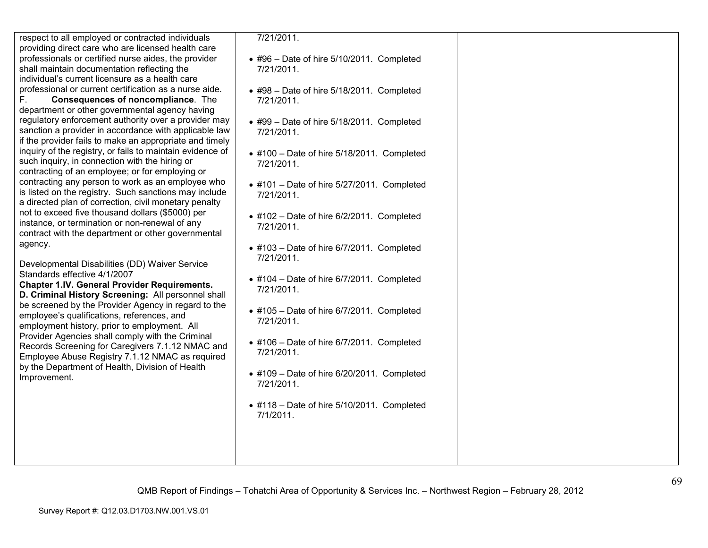respect to all employed or contracted individuals providing direct care who are licensed health care professionals or certified nurse aides, the provider shall maintain documentation reflecting the individual's current licensure as a health care professional or current certification as a nurse aide.

F. **Consequences of noncompliance**. The department or other governmental agency having regulatory enforcement authority over a provider may sanction a provider in accordance with applicable law if the provider fails to make an appropriate and timely inquiry of the registry, or fails to maintain evidence of such inquiry, in connection with the hiring or contracting of an employee; or for employing or contracting any person to work as an employee who is listed on the registry. Such sanctions may include a directed plan of correction, civil monetary penalty not to exceed five thousand dollars (\$5000) per instance, or termination or non-renewal of any contract with the department or other governmental agency.

Developmental Disabilities (DD) Waiver Service Standards effective 4/1/2007

 **Chapter 1.IV. General Provider Requirements. D. Criminal History Screening:** All personnel shall be screened by the Provider Agency in regard to theemployee's qualifications, references, and employment history, prior to employment. All Provider Agencies shall comply with the Criminal Records Screening for Caregivers 7.1.12 NMAC and Employee Abuse Registry 7.1.12 NMAC as required by the Department of Health, Division of Health Improvement.

7/21/2011.

- #96 Date of hire 5/10/2011. Completed 7/21/2011.
- #98 Date of hire 5/18/2011. Completed 7/21/2011.
- #99 Date of hire 5/18/2011. Completed 7/21/2011.
- #100 Date of hire 5/18/2011. Completed 7/21/2011.
- #101 Date of hire 5/27/2011. Completed 7/21/2011.
- #102 Date of hire 6/2/2011. Completed 7/21/2011.
- #103 Date of hire 6/7/2011. Completed 7/21/2011.
- #104 Date of hire 6/7/2011. Completed 7/21/2011.
- #105 Date of hire 6/7/2011. Completed 7/21/2011.
- #106 Date of hire 6/7/2011. Completed 7/21/2011.
- #109 Date of hire 6/20/2011. Completed 7/21/2011.
- #118 Date of hire 5/10/2011. Completed 7/1/2011.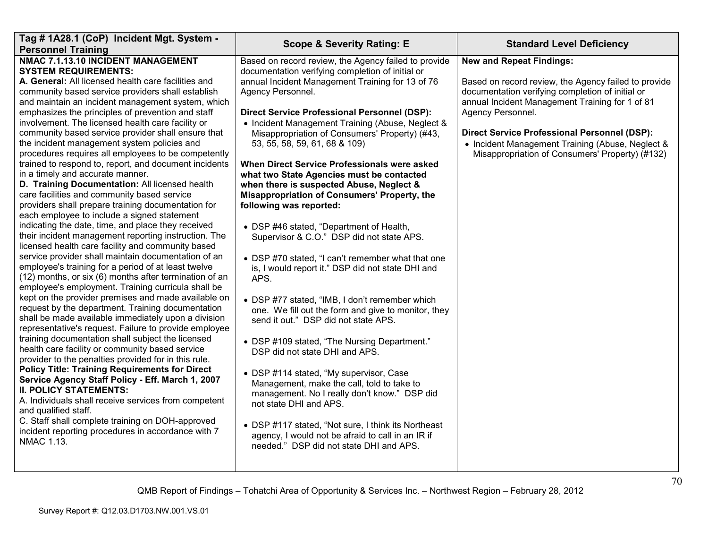| Tag # 1A28.1 (CoP) Incident Mgt. System -                                                                                                                                                                                                                                                                                                                                                                                                                                                                                                                                                                                                                                                                                                                                                                                                                                                                                                                                                                                                                                                                                                                                                                                                                                                                                                                                                                                                                                                                                                                                                                                                                                                                                                                                                                                                                           | <b>Scope &amp; Severity Rating: E</b>                                                                                                                                                                                                                                                                                                                                                                                                                                                                                                                                                                                                                                                                                                                                                                                                                                                                                                                                                                                                                                                                                                                                                                                | <b>Standard Level Deficiency</b>                                                                                                                                                                                                                                                                                                                                                  |
|---------------------------------------------------------------------------------------------------------------------------------------------------------------------------------------------------------------------------------------------------------------------------------------------------------------------------------------------------------------------------------------------------------------------------------------------------------------------------------------------------------------------------------------------------------------------------------------------------------------------------------------------------------------------------------------------------------------------------------------------------------------------------------------------------------------------------------------------------------------------------------------------------------------------------------------------------------------------------------------------------------------------------------------------------------------------------------------------------------------------------------------------------------------------------------------------------------------------------------------------------------------------------------------------------------------------------------------------------------------------------------------------------------------------------------------------------------------------------------------------------------------------------------------------------------------------------------------------------------------------------------------------------------------------------------------------------------------------------------------------------------------------------------------------------------------------------------------------------------------------|----------------------------------------------------------------------------------------------------------------------------------------------------------------------------------------------------------------------------------------------------------------------------------------------------------------------------------------------------------------------------------------------------------------------------------------------------------------------------------------------------------------------------------------------------------------------------------------------------------------------------------------------------------------------------------------------------------------------------------------------------------------------------------------------------------------------------------------------------------------------------------------------------------------------------------------------------------------------------------------------------------------------------------------------------------------------------------------------------------------------------------------------------------------------------------------------------------------------|-----------------------------------------------------------------------------------------------------------------------------------------------------------------------------------------------------------------------------------------------------------------------------------------------------------------------------------------------------------------------------------|
| <b>Personnel Training</b><br>NMAC 7.1.13.10 INCIDENT MANAGEMENT<br><b>SYSTEM REQUIREMENTS:</b><br>A. General: All licensed health care facilities and<br>community based service providers shall establish<br>and maintain an incident management system, which<br>emphasizes the principles of prevention and staff<br>involvement. The licensed health care facility or<br>community based service provider shall ensure that<br>the incident management system policies and<br>procedures requires all employees to be competently<br>trained to respond to, report, and document incidents<br>in a timely and accurate manner.<br>D. Training Documentation: All licensed health<br>care facilities and community based service<br>providers shall prepare training documentation for<br>each employee to include a signed statement<br>indicating the date, time, and place they received<br>their incident management reporting instruction. The<br>licensed health care facility and community based<br>service provider shall maintain documentation of an<br>employee's training for a period of at least twelve<br>(12) months, or six (6) months after termination of an<br>employee's employment. Training curricula shall be<br>kept on the provider premises and made available on<br>request by the department. Training documentation<br>shall be made available immediately upon a division<br>representative's request. Failure to provide employee<br>training documentation shall subject the licensed<br>health care facility or community based service<br>provider to the penalties provided for in this rule.<br><b>Policy Title: Training Requirements for Direct</b><br>Service Agency Staff Policy - Eff. March 1, 2007<br><b>II. POLICY STATEMENTS:</b><br>A. Individuals shall receive services from competent<br>and qualified staff. | Based on record review, the Agency failed to provide<br>documentation verifying completion of initial or<br>annual Incident Management Training for 13 of 76<br>Agency Personnel.<br><b>Direct Service Professional Personnel (DSP):</b><br>• Incident Management Training (Abuse, Neglect &<br>Misappropriation of Consumers' Property) (#43,<br>53, 55, 58, 59, 61, 68 & 109)<br>When Direct Service Professionals were asked<br>what two State Agencies must be contacted<br>when there is suspected Abuse, Neglect &<br>Misappropriation of Consumers' Property, the<br>following was reported:<br>• DSP #46 stated, "Department of Health,<br>Supervisor & C.O." DSP did not state APS.<br>• DSP #70 stated, "I can't remember what that one<br>is, I would report it." DSP did not state DHI and<br>APS.<br>• DSP #77 stated, "IMB, I don't remember which<br>one. We fill out the form and give to monitor, they<br>send it out." DSP did not state APS.<br>• DSP #109 stated, "The Nursing Department."<br>DSP did not state DHI and APS.<br>• DSP #114 stated, "My supervisor, Case<br>Management, make the call, told to take to<br>management. No I really don't know." DSP did<br>not state DHI and APS. | <b>New and Repeat Findings:</b><br>Based on record review, the Agency failed to provide<br>documentation verifying completion of initial or<br>annual Incident Management Training for 1 of 81<br>Agency Personnel.<br><b>Direct Service Professional Personnel (DSP):</b><br>• Incident Management Training (Abuse, Neglect &<br>Misappropriation of Consumers' Property) (#132) |
| C. Staff shall complete training on DOH-approved<br>incident reporting procedures in accordance with 7<br><b>NMAC 1.13.</b>                                                                                                                                                                                                                                                                                                                                                                                                                                                                                                                                                                                                                                                                                                                                                                                                                                                                                                                                                                                                                                                                                                                                                                                                                                                                                                                                                                                                                                                                                                                                                                                                                                                                                                                                         | • DSP #117 stated, "Not sure, I think its Northeast<br>agency, I would not be afraid to call in an IR if<br>needed." DSP did not state DHI and APS.                                                                                                                                                                                                                                                                                                                                                                                                                                                                                                                                                                                                                                                                                                                                                                                                                                                                                                                                                                                                                                                                  |                                                                                                                                                                                                                                                                                                                                                                                   |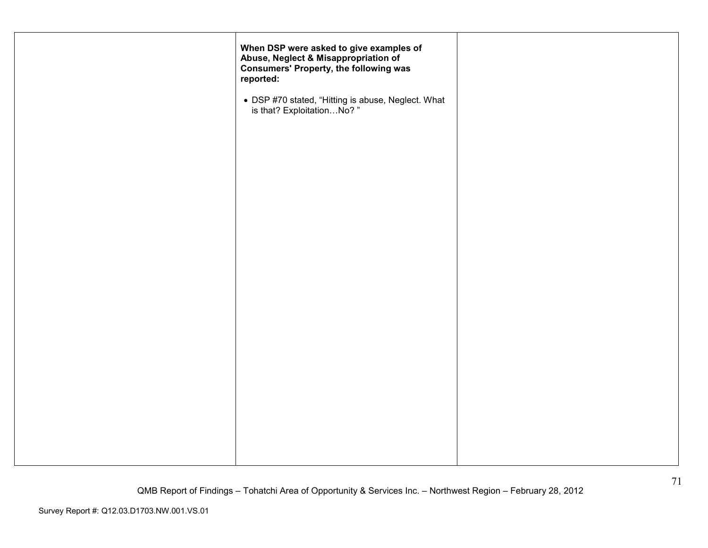| When DSP were asked to give examples of<br>Abuse, Neglect & Misappropriation of<br><b>Consumers' Property, the following was</b><br>reported: |  |
|-----------------------------------------------------------------------------------------------------------------------------------------------|--|
| • DSP #70 stated, "Hitting is abuse, Neglect. What is that? ExploitationNo?"                                                                  |  |
|                                                                                                                                               |  |
|                                                                                                                                               |  |
|                                                                                                                                               |  |
|                                                                                                                                               |  |
|                                                                                                                                               |  |
|                                                                                                                                               |  |
|                                                                                                                                               |  |
|                                                                                                                                               |  |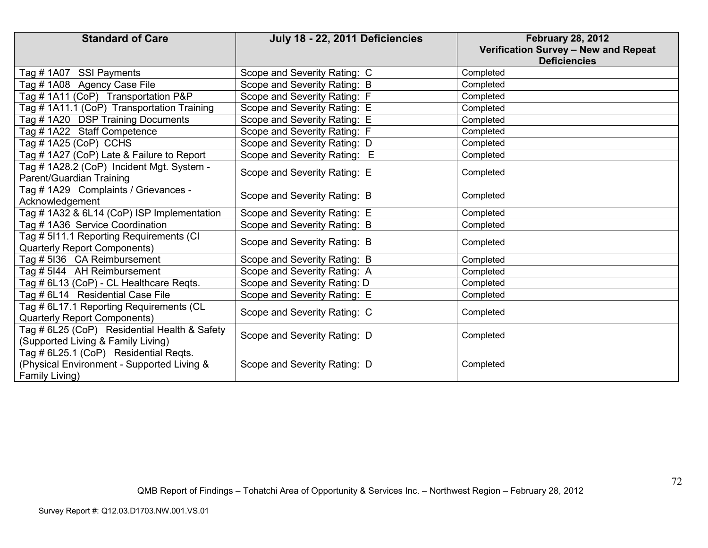| <b>Standard of Care</b>                                                                               | July 18 - 22, 2011 Deficiencies | <b>February 28, 2012</b><br>Verification Survey - New and Repeat<br><b>Deficiencies</b> |
|-------------------------------------------------------------------------------------------------------|---------------------------------|-----------------------------------------------------------------------------------------|
| Tag # 1A07 SSI Payments                                                                               | Scope and Severity Rating: C    | Completed                                                                               |
| Tag # 1A08 Agency Case File                                                                           | Scope and Severity Rating: B    | Completed                                                                               |
| Tag # 1A11 (CoP) Transportation P&P                                                                   | Scope and Severity Rating: F    | Completed                                                                               |
| Tag # 1A11.1 (CoP) Transportation Training                                                            | Scope and Severity Rating: E    | Completed                                                                               |
| Tag #1A20 DSP Training Documents                                                                      | Scope and Severity Rating: E    | Completed                                                                               |
| Tag #1A22 Staff Competence                                                                            | Scope and Severity Rating: F    | Completed                                                                               |
| Tag # 1A25 (CoP) CCHS                                                                                 | Scope and Severity Rating: D    | Completed                                                                               |
| Tag # 1A27 (CoP) Late & Failure to Report                                                             | Scope and Severity Rating: E    | Completed                                                                               |
| Tag # 1A28.2 (CoP) Incident Mgt. System -<br>Parent/Guardian Training                                 | Scope and Severity Rating: E    | Completed                                                                               |
| Tag # 1A29 Complaints / Grievances -<br>Acknowledgement                                               | Scope and Severity Rating: B    | Completed                                                                               |
| Tag # 1A32 & 6L14 (CoP) ISP Implementation                                                            | Scope and Severity Rating: E    | Completed                                                                               |
| Tag # 1A36 Service Coordination                                                                       | Scope and Severity Rating: B    | Completed                                                                               |
| Tag # 5I11.1 Reporting Requirements (CI<br>Quarterly Report Components)                               | Scope and Severity Rating: B    | Completed                                                                               |
| Tag # 5136 CA Reimbursement                                                                           | Scope and Severity Rating: B    | Completed                                                                               |
| Tag # 5144 AH Reimbursement                                                                           | Scope and Severity Rating: A    | Completed                                                                               |
| Tag # 6L13 (CoP) - CL Healthcare Reqts.                                                               | Scope and Severity Rating: D    | Completed                                                                               |
| Tag # 6L14 Residential Case File                                                                      | Scope and Severity Rating: E    | Completed                                                                               |
| Tag # 6L17.1 Reporting Requirements (CL<br>Quarterly Report Components)                               | Scope and Severity Rating: C    | Completed                                                                               |
| Tag # 6L25 (CoP) Residential Health & Safety<br>(Supported Living & Family Living)                    | Scope and Severity Rating: D    | Completed                                                                               |
| Tag # 6L25.1 (CoP) Residential Regts.<br>(Physical Environment - Supported Living &<br>Family Living) | Scope and Severity Rating: D    | Completed                                                                               |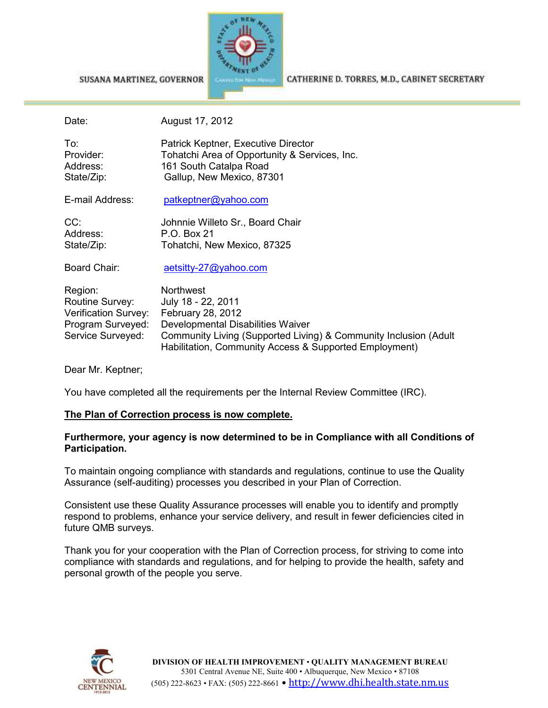

SUSANA MARTINEZ, GOVERNOR

CATHERINE D. TORRES, M.D., CABINET SECRETARY

| Date:                       | August 17, 2012                               |
|-----------------------------|-----------------------------------------------|
| To:                         | Patrick Keptner, Executive Director           |
| Provider:                   | Tohatchi Area of Opportunity & Services, Inc. |
| Address:                    | 161 South Catalpa Road                        |
| State/Zip:                  | Gallup, New Mexico, 87301                     |
| E-mail Address:             | patkeptner@yahoo.com                          |
| CC:                         | Johnnie Willeto Sr., Board Chair              |
| Address:                    | P.O. Box 21                                   |
| State/Zip:                  | Tohatchi, New Mexico, 87325                   |
| Board Chair:                | aetsitty-27@yahoo.com                         |
| Region:                     | <b>Northwest</b>                              |
| Routine Survey:             | July 18 - 22, 2011                            |
| <b>Verification Survey:</b> | February 28, 2012                             |

Verification Survey: February 28, 2012 Program Surveyed: Developmental Disabilities Waiver Service Surveyed: Community Living (Supported Living) & Community Inclusion (Adult Habilitation, Community Access & Supported Employment)

Dear Mr. Keptner;

You have completed all the requirements per the Internal Review Committee (IRC).

## **The Plan of Correction process is now complete.**

## **Furthermore, your agency is now determined to be in Compliance with all Conditions of Participation.**

To maintain ongoing compliance with standards and regulations, continue to use the Quality Assurance (self-auditing) processes you described in your Plan of Correction.

Consistent use these Quality Assurance processes will enable you to identify and promptly respond to problems, enhance your service delivery, and result in fewer deficiencies cited in future QMB surveys.

Thank you for your cooperation with the Plan of Correction process, for striving to come into compliance with standards and regulations, and for helping to provide the health, safety and personal growth of the people you serve.